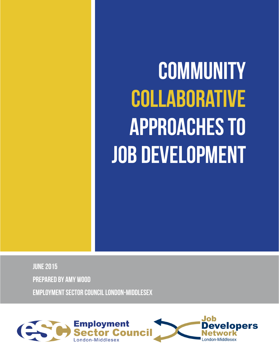# **Community Collaborative Approaches to Job Development**

**June 2015 Prepared by Amy Wood Employment Sector Council London-Middlesex**

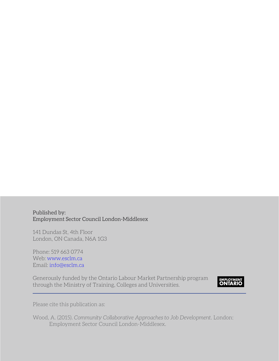Published by: Employment Sector Council London-Middlesex

141 Dundas St, 4th Floor London, ON Canada, N6A 1G3

Phone: 519 663 0774 Web: [www.esclm.ca](http://www.esclm.ca) Email: [info@esclm.ca](mailto:info%40esclm.ca?subject=Job%20Development%20White%20Paper%20Inquiry)

Generously funded by the Ontario Labour Market Partnership program through the Ministry of Training, Colleges and Universities.



Please cite this publication as:

Wood, A. (2015). *Community Collaborative Approaches to Job Development*. London: Employment Sector Council London-Middlesex.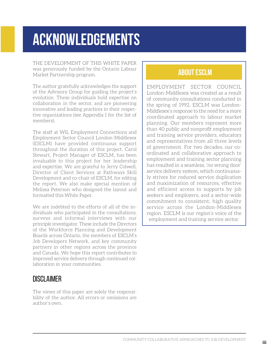# <span id="page-2-0"></span>**ACKNOWLEDGEMENTS**

The development of this White Paper was generously funded by the Ontario Labour Market Partnership program.

The author gratefully acknowledges the support of the Advisory Group for guiding the project's evolution. These individuals hold expertise on collaboration in the sector, and are pioneering innovative and leading practices in their respective organizations (see Appendix I for the list of members).

The staff at WIL Employment Connections and Employment Sector Council London-Middlesex (ESCLM) have provided continuous support throughout the duration of this project. Carol Stewart, Project Manager of ESCLM, has been invaluable to this project for her leadership and expertise. We are grateful to Jerry Colwell, Director of Client Services at Pathways Skill Development and co-chair of ESCLM, for editing the report. We also make special mention of Melissa Peterson who designed the layout and formatted this White Paper.

We are indebted to the efforts of all of the individuals who participated in the consultations, surveys and informal interviews with our principle investigator. These include the Directors of the Workforce Planning and Development Boards across Ontario, the members of ESCLM's Job Developers Network, and key community partners in other regions across the province and Canada. We hope this report contributes to improved service delivery through continued collaboration in your communities.

### Disclaimer

The views of this paper are solely the responsibility of the author. All errors or omissions are author's own.

### **ABOUT ESCLM**

Employment Sector Council London-Middlesex was created as a result of community consultations conducted in the spring of 1992. ESCLM was London-Middlesex's response to the need for a more coordinated approach to labour market planning. Our members represent more than 40 public and nonprofit employment and training service providers, educators and representatives from all three levels of government. For two decades, our coordinated and collaborative approach to employment and training sector planning has resulted in a seamless, 'no wrong door' service delivery system, which continuously strives for reduced service duplication and maximization of resources, effective and efficient access to supports by job seekers and employers, and a sector-wide commitment to consistent, high quality service across the London-Middlesex region. ESCLM is our region's voice of the employment and training service sector.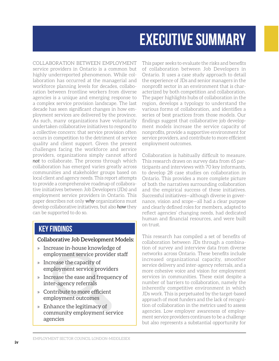# **EXECUTIVE SUMMARY**

<span id="page-3-0"></span>Collaboration between employment service providers in Ontario is a common but highly underreported phenomenon. While collaboration has occurred at the managerial and workforce planning levels for decades, collaboration between frontline workers from diverse agencies is a unique and emerging response to a complex service provision landscape. The last decade has seen significant changes in how employment services are delivered by the province. As such, many organizations have voluntarily undertaken collaborative initiatives to respond to a collective concern: that service provision often occurs in competition to the detriment of service quality and client support. Given the present challenges facing the workforce and service providers, organizations simply cannot afford *not* to collaborate. The process through which collaboration has emerged varies greatly across communities and stakeholder groups based on local client and agency needs. This report attempts to provide a comprehensive roadmap of collaborative initiatives between Job Developers (JDs) and employment service providers in Ontario. This paper describes not only *why* organizations must develop collaborative initiatives, but also *how* they can be supported to do so.

### **Key FINDINGS**

#### Collaborative Job Development Models:

- » Increase in-house knowledge of employment service provider staff
- » Increase the capacity of employment service providers
- » Increase the ease and frequency of inter-agency referrals
- » Contribute to more efficient employment outcomes
- » Enhance the legitimacy of community employment service agencies

This paper seeks to evaluate the risks and benefits of collaboration between Job Developers in Ontario. It uses a case study approach to detail the experience of JDs and senior managers in the nonprofit sector in an environment that is characterized by both competition and collaboration. The paper highlights hubs of collaboration in the region, develops a typology to understand the various forms of collaboration, and identifies a series of best practices from those models. Our findings suggest that collaborative job development models increase the service capacity of nonprofits, provide a supportive environment for service providers, and contribute to more efficient employment outcomes.

Collaboration is habitually difficult to measure. This research draws on survey data from 65 participants and interviews with 70 key informants, to develop 28 case studies on collaboration in Ontario. This provides a more complete picture of both the narratives surrounding collaboration and the empirical success of these initiatives. Successful initiatives—although diverse in governance, vision and scope—all had a clear purpose and clearly defined roles for members, adapted to reflect agencies' changing needs, had dedicated human and financial resources, and were built on trust.

This research has compiled a set of benefits of collaboration between JDs through a combination of survey and interview data from diverse networks across Ontario. These benefits include increased organizational capacity, smoother service delivery and inter-agency referrals, and a more cohesive voice and vision for employment services in communities. These exist despite a number of barriers to collaboration, namely the inherently competitive environment in which JDs work. This is perpetuated by the target-based approach of most funders and the lack of recognition of collaboration in the metrics used to assess agencies. Low employer awareness of employment service providers continues to be a challenge but also represents a substantial opportunity for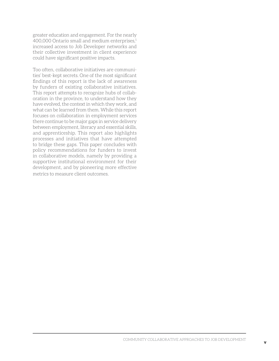greater education and engagement. For the nearly 400,000 Ontario small and medium enterprises,1 increased access to Job Developer networks and their collective investment in client experience could have significant positive impacts.

Too often, collaborative initiatives are communities' best-kept secrets. One of the most significant findings of this report is the lack of awareness by funders of existing collaborative initiatives. This report attempts to recognize hubs of collaboration in the province, to understand how they have evolved, the context in which they work, and what can be learned from them. While this report focuses on collaboration in employment services there continue to be major gaps in service delivery between employment, literacy and essential skills, and apprenticeship. This report also highlights processes and initiatives that have attempted to bridge these gaps. This paper concludes with policy recommendations for funders to invest in collaborative models, namely by providing a supportive institutional environment for their development, and by pioneering more effective metrics to measure client outcomes.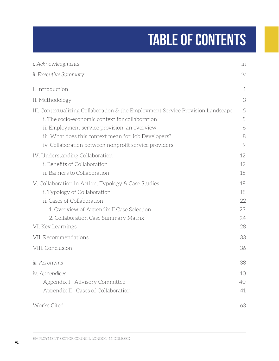# **Table of Contents**

| <i>i. Acknowledgments</i>                                                                                                                                                                                                                   | iii              |  |  |  |  |
|---------------------------------------------------------------------------------------------------------------------------------------------------------------------------------------------------------------------------------------------|------------------|--|--|--|--|
| ii. Executive Summary                                                                                                                                                                                                                       | iv               |  |  |  |  |
| I. Introduction                                                                                                                                                                                                                             | $\mathbf 1$      |  |  |  |  |
| II. Methodology                                                                                                                                                                                                                             | 3                |  |  |  |  |
| III. Contextualizing Collaboration & the Employment Service Provision Landscape<br>i. The socio-economic context for collaboration<br>ii. Employment service provision: an overview<br>iii. What does this context mean for Job Developers? | 5<br>5<br>6<br>8 |  |  |  |  |
| iv. Collaboration between nonprofit service providers                                                                                                                                                                                       | 9                |  |  |  |  |
| IV. Understanding Collaboration<br>i. Benefits of Collaboration<br>ii. Barriers to Collaboration                                                                                                                                            | 12<br>12<br>15   |  |  |  |  |
| V. Collaboration in Action: Typology & Case Studies                                                                                                                                                                                         |                  |  |  |  |  |
| i. Typology of Collaboration<br>ii. Cases of Collaboration<br>1. Overview of Appendix II Case Selection                                                                                                                                     | 18<br>22<br>23   |  |  |  |  |
| 2. Collaboration Case Summary Matrix<br>VI. Key Learnings                                                                                                                                                                                   | 24<br>28         |  |  |  |  |
| VII. Recommendations                                                                                                                                                                                                                        | 33               |  |  |  |  |
| VIII. Conclusion                                                                                                                                                                                                                            | 36               |  |  |  |  |
| iii. Acronyms                                                                                                                                                                                                                               | 38               |  |  |  |  |
| iv. Appendices                                                                                                                                                                                                                              | 40               |  |  |  |  |
| Appendix I-Advisory Committee<br>Appendix II-Cases of Collaboration                                                                                                                                                                         | 40<br>41         |  |  |  |  |
| Works Cited                                                                                                                                                                                                                                 | 63               |  |  |  |  |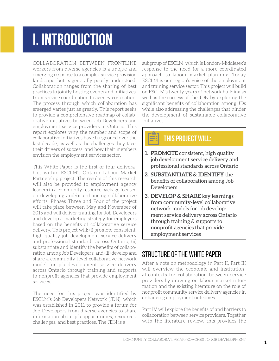# **i. introduction**

Collaboration between frontline workers from diverse agencies is a unique and emerging response to a complex service provision landscape, but is generally poorly understood. Collaboration ranges from the sharing of best practices to jointly hosting events and initiatives, from service coordination to agency co-location. The process through which collaboration has emerged varies just as greatly. This report seeks to provide a comprehensive roadmap of collaborative initiatives between Job Developers and employment service providers in Ontario. This report explores why the number and scope of collaborative initiatives have burgeoned over the last decade, as well as the challenges they face, their drivers of success, and how their members envision the employment services sector.

This White Paper is the first of four deliverables within ESCLM's Ontario Labour Market Partnership project. The results of this research will also be provided to employment agency leaders in a community resource package focused on developing and/or enhancing collaborative efforts. Phases Three and Four of the project will take place between May and November of 2015 and will deliver training for Job Developers and develop a marketing strategy for employers based on the benefits of collaborative service delivery. This project will: (i) promote consistent, high quality job development service delivery and professional standards across Ontario; (ii) substantiate and identify the benefits of collaboration among Job Developers; and (iii) develop and share a community-level collaborative network model for job development service delivery across Ontario through training and supports to nonprofit agencies that provide employment services.

The need for this project was identified by ESCLM's Job Developers Network (JDN), which was established in 2011 to provide a forum for Job Developers from diverse agencies to share information about job opportunities, resources, challenges, and best practices. The JDN is a

subgroup of ESCLM, which is London-Middlesex's response to the need for a more coordinated approach to labour market planning. Today ESCLM is our region's voice of the employment and training service sector. This project will build on ESCLM's twenty years of network building as well as the success of the JDN by exploring the significant benefits of collaboration among JDs while also addressing the challenges that hinder the development of sustainable collaborative initiatives.

#### æ. **THIS PROJECT WILL:**

- **1. Promote** consistent, high quality job development service delivery and professional standards across Ontario
- **2. Substantiate & Identify** the benefits of collaboration among Job Developers
- **3. Develop & Share** key learnings from community-level collaborative network models for job development service delivery across Ontario through training & supports to nonprofit agencies that provide employment services

## Structure of the White Paper

After a note on methodology in Part II, Part III will overview the economic and institutional contexts for collaboration between service providers by drawing on labour market information and the existing literature on the role of nonprofit community service delivery agencies in enhancing employment outcomes.

Part IV will explore the benefits of and barriers to collaboration between service providers. Together with the literature review, this provides the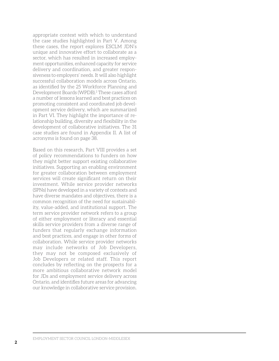appropriate context with which to understand the case studies highlighted in Part V. Among these cases, the report explores ESCLM JDN's unique and innovative effort to collaborate as a sector, which has resulted in increased employment opportunities, enhanced capacity for service delivery and coordination, and greater responsiveness to employers' needs. It will also highlight successful collaboration models across Ontario, as identified by the 25 Workforce Planning and Development Boards (WPDB).<sup>2</sup> These cases afford a number of lessons learned and best practices on promoting consistent and coordinated job development service delivery, which are summarized in Part VI. They highlight the importance of relationship building, diversity and flexibility in the development of collaborative initiatives. The 31 case studies are found in Appendix II. A list of acronyms is found on page 38.

Based on this research, Part VIII provides a set of policy recommendations to funders on how they might better support existing collaborative initiatives. Supporting an enabling environment for greater collaboration between employment services will create significant return on their investment. While service provider networks (SPNs) have developed in a variety of contexts and have diverse mandates and objectives, there is a common recognition of the need for sustainability, value-added, and institutional support. The term service provider network refers to a group of either employment or literacy and essential skills service providers from a diverse range of funders that regularly exchange information and best practices, and engage in other forms of collaboration. While service provider networks may include networks of Job Developers, they may not be composed exclusively of Job Developers or related staff. This report concludes by reflecting on the prospects for a more ambitious collaborative network model for JDs and employment service delivery across Ontario, and identifies future areas for advancing our knowledge in collaborative service provision.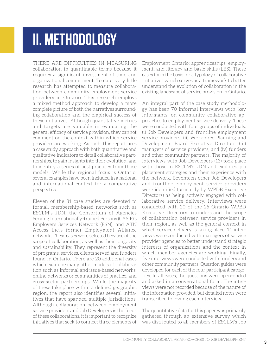## <span id="page-8-0"></span>**iI. METHODOLOGY**

There are difficulties in measuring collaboration in quantifiable terms because it requires a significant investment of time and organizational commitment. To date, very little research has attempted to measure collaboration between community employment service providers in Ontario. This research employs a mixed method approach to develop a more complete picture of both the narratives surrounding collaboration and the empirical success of these initiatives. Although quantitative metrics and targets are valuable in evaluating the general efficacy of service provision, they cannot comment on the context within which service providers are working. As such, this report uses a case study approach with both quantitative and qualitative indicators to detail collaborative partnerships, to gain insights into their evolution, and to identify a series of best practices from those models. While the regional focus is Ontario, several examples have been included in a national and international context for a comparative perspective.

Eleven of the 31 case studies are devoted to formal, membership-based networks such as ESCLM's JDN, the Consortium of Agencies Serving Internationally-trained Persons (CASIP)'s Employers Services Network (ESN), and ATN Access Inc.'s former Employment Alliance network. These cases were selected because of the scope of collaboration, as well as their longevity and sustainability. They represent the diversity of programs, services, clients served and funders found in Ontario. There are 20 additional cases which examine many other models of collaboration such as informal and issue-based networks, online networks or communities of practice, and cross-sector partnerships. While the majority of these take place within a defined geographic region, the report also identifies several initiatives that have spanned multiple jurisdictions. Although collaboration between employment service providers and Job Developers is the focus of these collaborations, it is important to recognize initiatives that seek to connect three elements of

Employment Ontario: apprenticeships, employment, and literacy and basic skills (LBS). These cases form the basis for a typology of collaborative initiatives which serves as a framework to better understand the evolution of collaboration in the existing landscape of service provision in Ontario.

An integral part of the case study methodology has been 70 informal interviews with 'key informants' on community collaborative approaches to employment service delivery. These were conducted with four groups of individuals: (i) Job Developers and frontline employment service providers, (ii) Workforce Planning and Development Board Executive Directors, (iii) managers of service providers, and (iv) funders and other community partners. The majority of interviews with Job Developers (13) took place with those in ESCLM's JDN and explored job placement strategies and their experience with the network. Seventeen other Job Developers and frontline employment service providers were identified (primarily by WPDB Executive Directors) as being actively engaged with collaborative service delivery. Interviews were conducted with 20 of the 25 Ontario WPBD Executive Directors to understand the scope of collaboration between service providers in their region, as well as the general context in which service delivery is taking place. 14 interviews were conducted with managers of service provider agencies to better understand strategic interests of organizations and the context in which member agencies are working. Finally, five interviews were conducted with funders and other community partners. Question guides were developed for each of the four participant categories. In all cases, the questions were open-ended and asked in a conversational form. The interviews were not recorded because of the nature of the information provided, but detailed notes were transcribed following each interview.

The quantitative data for this paper was primarily gathered through an extensive survey which was distributed to all members of ESCLM's Job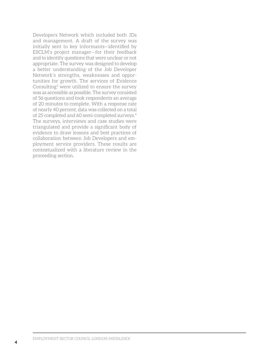Developers Network which included both JDs and management. A draft of the survey was initially sent to key informants—identified by ESCLM's project manager—for their feedback and to identify questions that were unclear or not appropriate. The survey was designed to develop a better understanding of the Job Developer Network's strengths, weaknesses and opportunities for growth. The services of Evidence Consulting3 were utilized to ensure the survey was as accessible as possible. The survey consisted of 56 questions and took respondents an average of 20 minutes to complete. With a response rate of nearly 40 percent, data was collected on a total of 25 completed and 60 semi-completed surveys.4 The surveys, interviews and case studies were triangulated and provide a significant body of evidence to draw lessons and best practices of collaboration between Job Developers and employment service providers. These results are contextualized with a literature review in the proceeding section.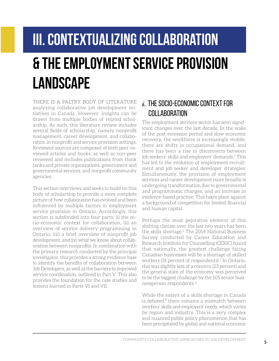# <span id="page-10-0"></span>**iII. contextualizing collaboration & the employment service provision LANDSCAPE**

There is a paltry body of literature analyzing collaborative job development initiatives in Canada. However, insights can be drawn from multiple bodies of related scholarship. As such, this literature review includes several fields of scholarship, namely nonprofit management, career development, and collaboration in nonprofit and service provision settings. Reviewed sources are composed of both peer-reviewed articles and books, as well as non-peer reviewed and includes publications from think tanks and private organizations, government and governmental services, and nonprofit community agencies.

This section overviews and seeks to build on this body of scholarship to provide a more complete picture of how collaboration has evolved and been influenced by multiple factors in employment service provision in Ontario. Accordingly, this section is subdivided into four parts: (i) the socio-economic context for collaboration, (ii) an overview of service delivery programming in Ontario, (iii) a brief overview of nonprofit job development, and (iv) what we know about collaboration between nonprofits. In combination with the primary research conducted by the principal investigator, this provides a strong evidence base to identify the benefits of collaboration between Job Developers, as well as the barriers to improved service coordination, outlined in Part V. This also provides the foundation for the case studies and lessons learned in Parts VI and VII.

## *i.* The socio-economic context for COLLABORATION

The employment services sector has seen significant changes over the last decade. In the wake of the post-recession period and slow economic recovery, the workforce is increasingly mobile, there are shifts in occupational demand, and there has been a rise in disconnects between job seekers' skills and employers' demands.<sup>5</sup> This has led to the evolution of employment recruitment and job seeker and developer strategies. Simultaneously, the provision of employment services and career development more broadly is undergoing transformation due to governmental and programmatic changes, and an increase in evidence-based practice. This takes place against a background of competition for limited financial and human capital.

Perhaps the most pejorative element of this shifting climate over the last two years has been the skills shortage.<sup>6</sup> The 2014 National Business Survey conducted by Career Education and Research Institute for Counselling (CERIC) found that nationally, the greatest challenge facing Canadian businesses will be a shortage of skilled workers (31 percent of respondents).<sup>7</sup> In Ontario, this was slightly less of a concern (23 percent) and the general state of the economy was perceived to be the biggest challenge by the 105 senior businessperson respondents.8

While the extent of a skills shortage in Canada is debated,<sup>9</sup> there remains a mismatch between workers' skills and employers' needs, which varies by region and industry. This is a very complex and nuanced public policy phenomenon that has been precipitated by global and national economic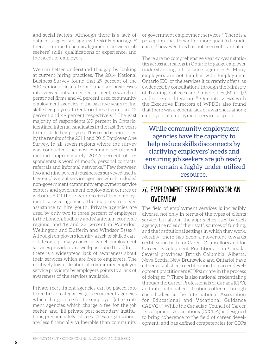and social factors. Although there is a lack of data to suggest an aggregate skills shortage,10 there continue to be misalignments between job seekers' skills, qualifications or experience, and the needs of employers.

We can better understand this gap by looking at current hiring practices. The 2014 National Business Survey found that 29 percent of the 500 senior officials from Canadian businesses interviewed outsourced recruitment to search or personnel firms and 41 percent used community employment agencies in the past five years to find skilled employees. In Ontario, these figures are 42 percent and 49 percent respectively.11 The vast majority of respondents (69 percent in Ontario) identified internal candidates in the last five years to find skilled employees. This trend is reinforced by the results of the 2014 and 2015 Employer One Survey. In all seven regions where the survey was conducted, the most common recruitment method (approximately 20-25 percent of respondents) is word of mouth, personal contacts, referrals and informal networks.12 Few (between two and nine percent) businesses surveyed used a free employment service agencies which included non-government community employment service centers and government employment centres or websites.13 Of those who received free employment service agencies, the majority received assistance to hire youth. Private agencies are used by only two to three percent of employers in the London, Sudbury and Manitoulin economic regions, and 19 and 22 percent in Waterloo, Wellington and Dufferin and Windsor Essex.14 Although employers identify a lack of skilled candidates as a primary concern, which employment services providers are well-positioned to address, there is a widespread lack of awareness about their services which are free to employers. The relatively low utilization of community employer service providers by employers points to a lack of awareness of the services available.

Private recruitment agencies can be placed into three broad categories: (i) recruitment agencies which charge a fee for the employer; (ii) recruitment agencies which charge a fee for the job seeker, and (iii) private post-secondary institutions, predominately colleges. These organizations are less financially vulnerable than community

or government employment services.15 There is a perception that they offer more qualified candidates;16 however, this has not been substantiated.

There are no comprehensive year-to-year statistics across all regions in Ontario to gauge employer understanding of service agencies.17 Many employers are not familiar with Employment Ontario (EO) or the services it currently offers, as evidenced by consultations through the Ministry of Training, Colleges and Universities (MTCU),<sup>18</sup> and in recent literature.19 Our interviews with the Executive Directors of WPDBs also found that there was a general lack of awareness among employers of employment service supports.

While community employment agencies have the capacity to help reduce skills disconnects by clarifying employers' needs and ensuring job seekers are job ready, they remain a highly under-utilized resource.

### *ii.* Employment service provision: an **OVERVIEW**

The field of employment services is incredibly diverse, not only in terms of the types of clients served, but also in the approaches used by each agency, the roles of their staff, sources of funding, and the institutional settings in which they work. Notably, there has been a movement towards certification both for Career Counsellors and for Career Development Practitioners in Canada. Several provinces (British Columbia, Alberta, Nova Scotia, New Brunswick and Ontario) have either established a certification for career development practitioners (CDPs) or are in the process of doing so.20 There is also national credentialing through the Career Professionals of Canada (CPC), and international certifications offered through such bodies as the International Association for Educational and Vocational Guidance (IAEVG).21 While the Canadian Council of Career Development Associations (CCCDA) is designed to bring coherence to the field of career development, and has defined competencies for CDPs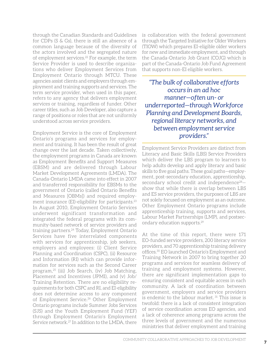through the Canadian Standards and Guidelines for CDPs (S & Gs), there is still an absence of a common language because of the diversity of the actors involved and the segregated nature of employment services.<sup>22</sup> For example, the term Service Provider is used to describe organizations who deliver Employment Services from Employment Ontario through MTCU. These agencies assist clients and employers through employment and training supports and services. The term service provider, when used in this paper, refers to any agency that delivers employment services or training, regardless of funder. Other career titles, such as Job Developer, also capture a range of positions or roles that are not uniformly understood across service providers.

Employment Service is the core of Employment Ontario's programs and services for employment and training. It has been the result of great change over the last decade. Taken collectively, the employment programs in Canada are known as Employment Benefits and Support Measures (EBSM) and are delivered through Labour Market Development Agreements (LMDA). The Canada-Ontario LMDA came into effect in 2007 and transferred responsibility for EBSMs to the government of Ontario (called Ontario Benefits and Measures [OBMs]) and required employment insurance (EI)-eligibility for participants.<sup>23</sup> In August 2010, Employment Ontario Services underwent significant transformation and integrated the federal programs with its community-based network of service providers and training partners.24 Today, Employment Ontario Services have five interrelated components with services for apprenticeship, job seekers, employers and employees: (i) Client Service Planning and Coordination (CSPC), (ii) Resource and Information (RI) which can provide information for services such as the Second Career program,25 (iii) Job Search, (iv) Job Matching, Placement and Incentives (JPMI), and (v) Job/ Training Retention. There are no eligibility requirements for both CSPC and RI, and EI-eligibility does not determine access to any component of Employment Service.26 Other Employment Ontario programs include Summer Jobs Services (SJS) and the Youth Employment Fund (YEF) through Employment Ontario's Employment Service network.27 In addition to the LMDA, there

is collaboration with the federal government through the Targeted Initiative for Older Workers (TIOW) which prepares EI-eligible older workers for new and immediate employment, and through the Canada-Ontario Job Grant (COJG) which is part of the Canada-Ontario Job Fund Agreement that supports non-EI eligible workers.

*"The bulk of collaborative efforts occurs in an ad hoc manner—often un- or underreported—through Workforce Planning and Development Boards, regional literacy networks, and between employment service providers."*

Employment Service Providers are distinct from Literacy and Basic Skills (LBS) Service Providers which deliver the LBS program to learners to help adults develop and apply literacy and basic skills to five goal paths. These goal paths—employment, post-secondary education, apprenticeship, secondary school credit and independence<sup>28</sup>show that while there is overlap between LBS and ES service providers, the purposes of LBS are not solely focused on employment as an outcome. Other Employment Ontario programs include apprenticeship training, supports and services, Labour Market Partnerships (LMP), and postsecondary education supports.29

At the time of this report, there were 171 EO-funded service providers, 200 literacy service providers, and 70 apprenticeship training delivery offices.30 EO launched Ontario's Employment and Training Network in 2007 to bring together 20 programs and services for seamless delivery of training and employment systems. However, there are significant implementation gaps to ensuring consistent and equitable access in each community. A lack of coordination between government, employers and service providers is endemic to the labour market.<sup>31</sup> This issue is twofold: there is a lack of consistent integration of service coordination across EO agencies, and a lack of coherence among programs across the three levels of government and the numerous ministries that deliver employment and training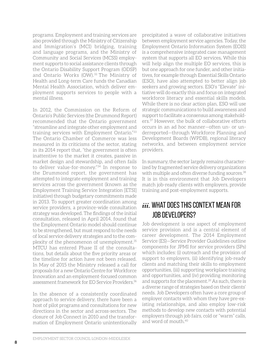programs. Employment and training services are also provided through the Ministry of Citizenship and Immigration's (MCI) bridging, training and language programs, and the Ministry of Community and Social Services (MCSS) employment supports to social assistance clients through the Ontario Disability Support Program (ODSP) and Ontario Works (OW).<sup>32</sup> The Ministry of Health and Long-term Care funds the Canadian Mental Health Association, which deliver employment supports services to people with a mental illness.

In 2012, the Commission on the Reform of Ontario's Public Services (the Drummond Report) recommended that the Ontario government "streamline and integrate other employment and training services with Employment Ontario."33 The Ontario Chamber of Commerce was less measured in its criticisms of the sector, stating in its 2014 report that, "the government is often inattentive to the market it creates, passive in market design and stewardship, and often fails to deliver value-for-money."34 In response to the Drummond report, the government has attempted to integrate employment and training services across the government (known as the Employment Training Service Integration [ETSI] initiative) through budgetary commitments made in 2013. To support greater coordination among service providers, a province-wide consultation strategy was developed. The findings of the initial consultation, released in April 2014, found that the Employment Ontario model should continue to be strengthened, but must respond to the needs of local service delivery strategies and to the complexity of the phenomenon of unemployment.35 MTCU has entered Phase II of the consultations, but details about the five priority areas or the timeline for action have not been released. In May of 2015 the Ministry released a call for proposals for a new Ontario Centre for Workforce Innovation and an employment-focused common assessment framework for EO Service Providers<sup>36</sup>

In the absence of a consistently coordinated approach to service delivery, there have been a host of pilot programs and consultations for new directions in the sector and across-sectors. The closure of Job Connect in 2010 and the transformation of Employment Ontario unintentionally precipitated a wave of collaborative initiatives between employment service agencies. Today, the Employment Ontario Information System (EOIS) is a comprehensive integrated case management system that supports all EO services*.* While this will help align the multiple EO services, this is but one approach for one funder, and other initiatives, for example through Essential Skills Ontario (ESO), have also attempted to better align job seekers and growing sectors. ESO's "Elevate" initiative will do exactly this and focus on integrated workforce literacy and essential skills models. While there is no clear action plan, ESO will use strategic communications to build awareness and support to facilitate a consensus among stakeholders.37 However, the bulk of collaborative efforts occurs in an ad hoc manner—often un- or underreported—through Workforce Planning and Development Boards (WPDB), regional literacy networks, and between employment service providers.

In summary, the sector largely remains characterized by fragmented service delivery organizations with multiple and often diverse funding sources.<sup>38</sup> It is in this environment that Job Developers match job-ready clients with employers, provide training and post-employment supports.

## *iii.* WHAT DOES THIS CONTEXT MEAN FOR JOB DEVELOPERS?

Job development is one aspect of employment service provision and is a central element of career development. The 2014 Employment Service (ES)—Service Provider Guidelines outline components for JPMI for service providers (SPs) which includes: (i) outreach and the provision of support to employers, (ii) identifying job-ready clients and matching their skills to employment opportunities, (iii) supporting workplace training and opportunities, and (iv) providing monitoring and supports for the placement.<sup>39</sup> As such, there is a diverse range of strategies based on their clients' needs. Job Developers often have a core group of employer contacts with whom they have pre-existing relationships, and also employ low-risk methods to develop new contacts with potential employers through job fairs, cold or "warm" calls, and word of mouth.40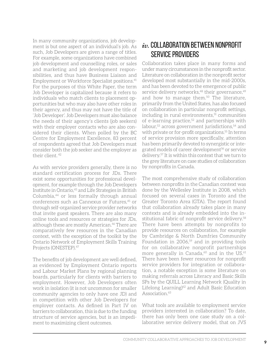In many community organizations, job development is but one aspect of an individual's job. As such, Job Developers are given a range of titles. For example, some organizations have combined job development and counselling roles, or sales and marketing and job development responsibilities, and thus have Business Liaison and Employment or Workforce Specialist positions.41 For the purposes of this White Paper, the term Job Developer is capitalized because it refers to individuals who match clients to placement opportunities but who may also have other roles in their agency, and thus may not have the title of 'Job Developer'. Job Developers must also balance the needs of their agency's clients (job seekers) with their employer contacts who are also considered their clients. When polled by the BC Centre for Employment Excellence, 83 percent of respondents agreed that Job Developers must consider both the job seeker and the employer as their client. 42

As with service providers generally, there is no standard certification process for JDs. There exist some opportunities for professional development, for example through the Job Developers Institute in Ontario,<sup>43</sup> and Life Strategies in British Columbia,44 or less formally through annual conferences such as Cannexus or Futures.<sup>45</sup> or through self-organized service provider networks that invite guest speakers. There are also many online tools and resources or strategies for JDs, although these are mostly American.<sup>46</sup> There are comparatively few resources in the Canadian context, with the exception of the toolkit by the Ontario Network of Employment Skills Training Projects (ONESTEP).47

The benefits of job development are well defined, as evidenced by Employment Ontario reports and Labour Market Plans by regional planning boards, particularly for clients with barriers to employment. However, Job Developers often work in isolation (it is not uncommon for smaller community agencies to only have one JD) and in competition with other Job Developers for employer contacts. As defined in Part IV on barriers to collaboration, this is due to the funding structure of service agencies, but is an impediment to maximizing client outcomes.

## *iv.* Collaboration between nonprofit service providers

Collaboration takes place in many forms and under many circumstances in the nonprofit sector. Literature on collaboration in the nonprofit sector developed most substantially in the mid-2000s, and has been devoted to the emergence of public service delivery networks, $48$  their governance, $49$ and how to manage them.<sup>50</sup> The literature, primarily from the United States, has also focused on collaboration in particular nonprofit settings, including in rural environments,<sup>51</sup> communities of e-learning practice, $52$  and partnerships with labour, $53$  across government jurisdictions, $54$  and with private or for-profit organizations.<sup>55</sup> In terms of service provision more specifically, attention has been primarily devoted to synergistic or integrated models of career development<sup>56</sup> or service delivery.57 It is within this context that we turn to the grey literature on case studies of collaboration by nonprofits in Canada.

The most comprehensive study of collaboration between nonprofits in the Canadian context was done by the Wellesley Institute in 2008, which focused on several cases in Toronto and the Greater Toronto Area (GTA). The report found that collaboration already takes place in many contexts and is already embedded into the institutional fabric of nonprofit service delivery.<sup>58</sup> There have been attempts by nonprofits to provide resources on collaboration, for example by Cambridge & North Dumfries Community Foundation in  $2006$ ,<sup>59</sup> and in providing tools for on collaborative nonprofit partnerships more generally in Canada,<sup>60</sup> and in the US.<sup>61</sup> There have been fewer resources for nonprofit service providers for integration or collaboration, a notable exception is some literature on making referrals across Literacy and Basic Skills SPs by the QUILL Learning Network (Quality in Lifelong Learning)<sup>62</sup> and Adult Basic Education Association.<sup>63</sup>

What tools are available to employment service providers interested in collaboration? To date, there has only been one case study on a collaborative service delivery model, that on JVS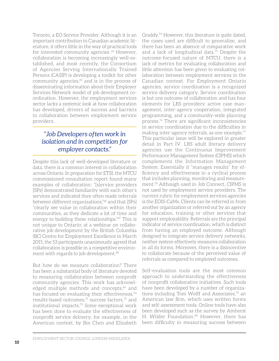Toronto, a EO Service Provider. Although it is an important contribution to Canadian academic literature, it offers little in the way of practical tools for interested community agencies. 64 However, collaboration is becoming increasingly well-established, and most recently, the Consortium of Agencies Serving Internationally Trained Persons (CASIP) is developing a toolkit for other community agencies,<sup>65</sup> and is in the process of disseminating information about their Employer Services Network model of job development coordination. However, the employment services sector lacks a systemic look at how collaboration has developed, drivers of success and barriers to collaboration between employment service providers.

### *"Job Developers often work in isolation and in competition for employer contacts."*

Despite this lack of well-developed literature or data, there is a common interest in collaboration across Ontario. In preparation for ETSI, the MTCU commissioned consultation report found many examples of collaboration: "[s]ervice providers [SPs] demonstrated familiarity with each other's services and indicated they often made referrals between different organizations,"<sup>66</sup> and that [SPs] "clearly see value in collaboration within their communities, as they dedicate a lot of time and energy to building these relationships."67 This is not unique to Ontario: at a webinar on collaborative job development by the British Columbia (BC) Centre for Employment Excellence in March 2015, the 53 participants unanimously agreed that collaboration is possible in a competitive environment with regards to job development.<sup>68</sup>

But how do we measure collaboration? There has been a substantial body of literature devoted to measuring collaboration between nonprofit community agencies. This work has acknowledged multiple methods and concepts,<sup>69</sup> and has focused on evaluating their effectiveness,<sup>70</sup> results-based outcomes,<sup>71</sup> success factors,<sup>72</sup> and institutional impacts.73 Some exceptional work has been done to evaluate the effectiveness of nonprofit service delivery, for example, in the American context, by Bin Chen and Elizabeth

Graddy.74 However, this literature is quite dated, the cases used are difficult to generalize, and there has been an absence of comparative work and a lack of longitudinal data.75 Despite the outcome-focused nature of MTCU, there is a lack of metrics for evaluating collaboration and little attention has been given to evaluating collaboration between employment services in the Canadian context. For Employment Ontario agencies, service coordination is a recognized service delivery category. Service coordination is but one outcome of collaboration and has four elements for LBS providers: active case management, inter-agency cooperation, integrated programming, and a community-wide planning process.76 There are significant inconsistencies in service coordination due to the difficulties in making inter-agency referrals, as one example.77 This particular issue will be explored in greater detail in Part IV. LBS adult literacy delivery agencies use the Continuous Improvement Performance Management System (CIPMS) which complements the Information Management System. Essentially it "manages results" for efficiency and effectiveness in a cyclical process that includes planning, monitoring and measurement.78 Although used in Job Connect, CIPMS is not used by employment service providers. The current rubric for employment services agencies is the EOIS-CaMs. Clients can be referred in from another organization or referred out by an agency for education, training or other services that support employability. Referrals are the principal indicator of service coordination, which is distinct from having an employed outcome. Although designed to integrate service delivery networks, neither system effectively measures collaboration in all its forms. Moreover, there is a disincentive to collaborate because of the perceived value of referrals as compared to employed outcomes.

Self-evaluation tools are the most common approach to understanding the effectiveness of nonprofit collaborative initiatives. Such tools have been developed by a number of organizations including Tom Wolff and Associates,<sup>79</sup> an American law firm, which uses written forms and self-assessment tools. Online tools have also been developed such as the survey by Amherst H. Wilder Foundation.<sup>80</sup> However, there has been difficulty in measuring success between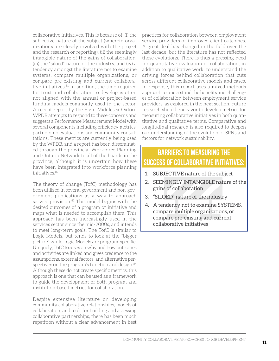collaborative initiatives. This is because of: (i) the subjective nature of the subject (wherein organizations are closely involved with the project and the research or reporting), (ii) the seemingly intangible nature of the gains of collaboration, (iii) the "siloed" nature of the industry, and (iv) a tendency amongst the literature not to examine systems, compare multiple organizations, or compare pre-existing and current collaborative initiatives.<sup>81</sup> In addition, the time required for trust and collaboration to develop is often not aligned with the annual or project-based funding models commonly used in the sector. A recent report by the Elgin Middlesex Oxford WPDB attempts to respond to these concerns and suggests a Performance Measurement Model with several components including efficiency metrics, partnership evaluations and community consultations. These metrics are currently being used by the WPDB, and a report has been disseminated through the provincial Workforce Planning and Ontario Network to all of the boards in the province, although it is uncertain how these have been integrated into workforce planning initiatives.82

The theory of change (TofC) methodology has been utilized in several government and non-government publications as a way to approach service provision.<sup>83</sup> This model begins with the desired outcomes of a program or initiative and maps what is needed to accomplish them. This approach has been increasingly used in the services sector since the mid-2000s, and intends to meet long-term goals. The TofC is similar to Logic Models, but tends to look at the "bigger picture" while Logic Models are program-specific. Uniquely, TofC focuses on why and how outcomes and activities are linked and gives credence to the assumptions, external factors, and alternative perspectives on the program's function and design.<sup>84</sup> Although these do not create specific metrics, this approach is one that can be used as a framework to guide the development of both program and institution-based metrics for collaboration.

Despite extensive literature on developing community collaborative relationships, models of collaboration, and tools for building and assessing collaborative partnerships, there has been much repetition without a clear advancement in best practices for collaboration between employment service providers or improved client outcomes. A great deal has changed in the field over the last decade, but the literature has not reflected these evolutions. There is thus a pressing need for quantitative evaluation of collaboration, in addition to qualitative work, to understand the driving forces behind collaboration that cuts across different collaborative models and cases. In response, this report uses a mixed methods approach to understand the benefits and challenges of collaboration between employment service providers, as explored in the next section. Future research should endeavor to develop metrics for measuring collaborative initiatives in both quantitative and qualitative terms. Comparative and longitudinal research is also required to deepen our understanding of the evolution of SPNs and factors for network sustainability.

### **BARRIERS TO MEASURing THE SUCCESS OF COLLABORATIVE INITIATIVES:**

- 1. SUBJECTIVE nature of the subject
- 2. SEEMINGLY INTANGIBLE nature of the gains of collaboration
- 3. "SILOED" nature of the industry
- 4. A tendency not to examine SYSTEMS, compare multiple organizations, or compare pre-existing and current collaborative initiatives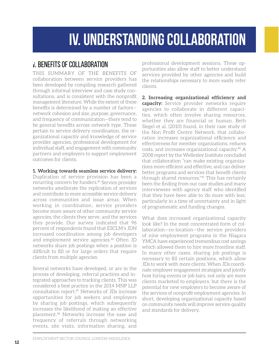## **iv. understanding collaboration**

## <span id="page-17-0"></span>*i.* BENEFITS OF COLLABORATION

This summary of the benefits of collaboration between service providers has been developed by compiling research gathered through informal interview and case study consultations, and is consistent with the nonprofit management literature. While the extent of these benefits is determined by a number of factors network cohesion and size, purpose, governance, and frequency of communication—there tend to be general benefits across network type. These pertain to service delivery coordination, the organizational capacity and knowledge of service provider agencies, professional development for individual staff, and engagement with community partners and employers to support employment outcomes for clients.

#### **1. Working towards seamless service delivery:**

Duplication of service provision has been a recurring concern by funders.<sup>85</sup> Service provider networks ameliorate the replication of services and contribute to more accessible service delivery across communities and issue areas. When working in coordination, service providers become more aware of other community service agencies, the clients they serve, and the services they provide. Our survey indicated that 96 percent of respondents found that ESCLM's JDN increased coordination among job developers and employment service agencies.<sup>86</sup> Often JD networks share job postings when a position is difficult to fill or for large orders that require clients from multiple agencies.

Several networks have developed, or are in the process of developing, referral practices and integrated approaches to tracking clients. This was considered a best practice in the 2014 MNP LLP consultation report.87 Networks of JDs increase opportunities for job seekers and employers by sharing job postings, which subsequently increases the likelihood of making an effective placement.88 Networks increase the ease and frequency of referrals through networking events, site visits, information sharing, and

professional development sessions. These opportunities also allow staff to better understand services provided by other agencies and build the relationships necessary to more easily refer clients.

**2. Increasing organizational efficiency and capacity:** Service provider networks require agencies to collaborate in different capacities, which often involve sharing resources, whether they are financial or human. Beth Siegel et al. (2010) found, in their case study of the Non Profit Centre Network, that collaboration increases organizational efficiency and effectiveness for member organizations, reduces costs, and increases organizational capacity.89 A 2008 report by the Wellesley Institute concluded that collaboration "can make existing organizations more efficient and effective, and can deliver better programs and services that benefit clients through shared resources."90 This has certainly been the finding from our case studies and many interviewees with agency staff who identified that they have been able to 'do more with less,' particularly in a time of uncertainty and in light of programmatic and funding changes.

What does increased organizational capacity look like? In the most concentrated form of collaboration—co-location—the service providers of nine employment programs in the Niagara YMCA have experienced tremendous cost savings which allowed them to hire more frontline staff. In many other cases, sharing job postings is necessary to fill certain positions, which allow JDs to work with more clients. When JDs coordinate employer engagement strategies and jointly host hiring events or job fairs, not only are more clients marketed to employers, but there is the potential for new employers to become aware of the services of nonprofit employment agencies. In short, developing organizational capacity based on community needs will improve service quality and standards for delivery.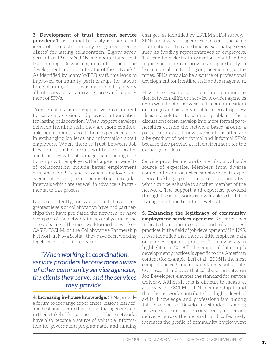**3. Development of trust between service providers:** Trust cannot be easily measured but is one of the most commonly recognized 'prerequisites' for lasting collaboration. Eighty-seven percent of ESCLM's JDN members stated that trust among JDs was a significant factor in the development and current status of the network.<sup>91</sup> As identified by many WPDB staff, this leads to improved community partnerships for labour force planning. Trust was mentioned by nearly all interviewees as a driving force and requirement of SPNs.

Trust creates a more supportive environment for service provision and provides a foundation for lasting collaboration. When rapport develops between frontline staff, they are more comfortable being honest about their experiences and in exchanging job leads and information about employers. When there is trust between Job Developers that referrals will be reciprocated and that they will not damage their existing relationships with employers, the long-term benefits of collaboration include better employment outcomes for SPs and stronger employer engagement. Having in-person meetings at regular intervals which are set well in advance is instrumental to this process.

Not coincidently, networks that have seen greatest levels of collaboration have had partnerships that have pre-dated the network, or have been part of the network for several years. In the cases of some of the most well-formed networks— CASIP, ESCLM, or the Collaborative Partnership Network in Nova Scotia—they have been working together for over fifteen years.

*"When working in coordination, service providers become more aware of other community service agencies, the clients they serve, and the services they provide."*

**4. Increasing in-house knowledge:** SPNs provide a forum to exchange experiences, lessons learned, and best practices in their individual agencies and in their stakeholder partnerships. These networks have also become a source of valuable information for government programmatic and funding

changes, as identified by ESCLM's JDN survey.<sup>92</sup> SPNs are a way for agencies to receive the same information at the same time by external speakers such as funding representatives or employers. This can help clarify information about funding requirements, or can provide an opportunity to learn more about funding or placement opportunities. SPNs may also be a source of professional development for frontline staff and management.

Having representation from, and communication between, different service provider agencies (who would not otherwise be in communication) on a regular basis is valuable in creating new ideas and solutions to common problems. These discussions often develop into more formal partnerships outside the network based around a particular project. Innovative solutions often are a by-product of both formal and informal SPNs because they provide a rich environment for the exchange of ideas.

Service provider networks are also a valuable source of expertise. Members from diverse communities or agencies can share their experience tackling a particular problem or initiative which can be valuable to another member of the network. The support and expertise provided through these networks is invaluable to both the management and frontline level staff.

**5. Enhancing the legitimacy of community employment services agencies:** Research has indicated an absence of standards or best practices in the field of job development.<sup>93</sup> In 1995, it was identified that there is little empirical data on job development practices<sup>94</sup>; this was again highlighted in 2008.<sup>95</sup> The empirical data on job development practices is specific to the American context (for example, Leff et al. [2005] is the most comprehensive<sup>96</sup>) and remains largely out of date. Our research indicates that collaboration between Job Developers elevates the standard for service delivery. Although this is difficult to measure, a survey of ESCLM's JDN membership found that the network contributed to higher level of skills, knowledge and professionalism among Job Developers.<sup>97</sup> Developing standards among networks creates more consistency in service delivery across the network and collectively increases the profile of community employment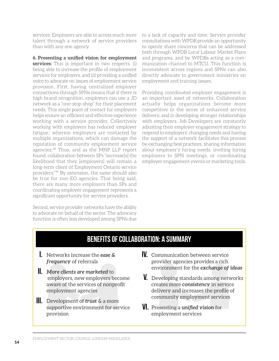services. Employers are able to access much more talent through a network of service providers than with any one agency.

**6. Presenting a unified vision for employment services:** This is important in two respects: (i) being able to increase the profile of employment services for employers, and (ii) providing a unified voice to advocate on issues of employment service provision. First, having centralized employer connections through SPNs means that if there is high brand recognition, employers can use a JD network as a "one-stop-shop" for their placement needs. This single point of contact for employers helps ensure an efficient and effective experience working with a service provider. Collectively working with employers has reduced 'employer fatigue,' wherein employers are contacted by multiple organizations, which can damage the reputation of community employment service agencies.<sup>98</sup> Thus, and as the MNP LLP report found, collaboration between SPs "increase[s] the likelihood that they [employers] will remain a long-term client of Employment Ontario service providers."99 By extension, the same should also be true for non-EO agencies. That being said, there are many more employers than SPs and coordinating employer engagement represents a significant opportunity for service providers.

Second, service provider networks have the ability to advocate on behalf of the sector. The advocacy function is often less developed among SPNs due

to a lack of capacity and time. Service provider consultations with WPDB provide an opportunity to openly share concerns that can be addressed both through WPDB Local Labour Market Plans and programs, and by WPDBs acting as a communication channel to MTCU. This function is inconsistent across regions and SPNs can also directly advocate to government ministries on employment and training issues.

Providing coordinated employer engagement is an important asset of networks. Collaboration actually helps organizations become more competitive in the sense of enhanced service delivery, and in developing stronger relationships with employers. Job Developers are constantly adjusting their employer engagement strategy to respond to employers' changing needs and having the support of a network facilitates this process by exchanging best practices, sharing information about employer's hiring needs, inviting hiring employers to SPN meetings, or coordinating employer engagement events or marketing tools.

### **BENEFITS OF COLLABORATION: A SUMMARY**

- Networks increase the *ease &*  **I.**  *frequency* of referrals
- *More clients are marketed* to **II.**  employers, new employers become aware of the services of nonprofit employment agencies
- Development of *trust* & a more **III.**  supportive environment for service provision
- Communication between service **IV.**  provider agencies provides a rich environment for the *exchange of ideas*
- Developing standards among networks **V.**  creates more *consistency* in service delivery and increases the profile of community employment services
- Presenting a *unified vision* for **Vi.** employment services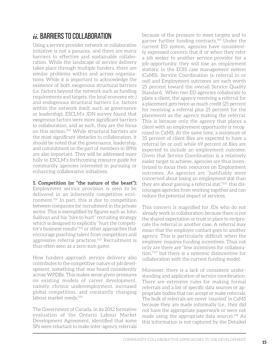## *ii.* BARRIERS TO COLLABORATION

Using a service provider network or collaborative initiative is not a panacea, and there are many barriers to effective and sustainable collaboration. While the landscape of service delivery takes place through multiple funders, there are similar problems within and across organizations. While it is important to acknowledge the existence of both exogenous structural barriers (i.e. factors beyond the network such as funding requirements and targets, the local economy etc.) and endogenous structural barriers (i.e. factors within the network itself, such as governance or leadership), ESCLM's JDN survey found that exogenous factors were more significant barriers to collaboration, and as such, they are the focus on this section.100 While structural barriers are the most significant obstacles to collaboration, it should be noted that the governance, leadership, and commitment on the part of members in SPNs are also important. They will be addressed more fully in ESCLM's forthcoming resource guide for community agencies interested in pursuing or enhancing collaborative initiatives.

**1. Competition (or "the nature of the beast"):**  Employment service provision is seen to be delivered in an inherently competitive environment.101 In part, this is due to competition between companies for recruitment in the private sector. This is exemplified by figures such as John Sullivan and his "hire to hurt" recruiting strategy which is designed to explicitly "hurt the competitor's business results"102 or other approaches that encourage poaching talent from competitors and aggressive referral practices.103 Recruitment is thus often seen as a zero-sum game.

How funders approach service delivery also contributes to the competitive nature of job development, something that was heard consistently across WPDBs. This makes sense given pressures on existing models of career development, namely, chronic underemployment, increased global competition, and constantly changing labour market needs.104

The Government of Canada, in its 2012 formative evaluation of the Ontario Labour Market Development Agreement, identified that some SPs were reluctant to make inter-agency referrals

because of the pressure to meet targets and to garner further funding contracts.105 Under the current EO system, agencies have consistently expressed concern that if or when they refer a job seeker to another service provider for a job opportunity, they will lose an employment statistic in the EOIS case management system (CaMS). Service Coordination (a referral in or out) and Employment outcomes are each worth 25 percent toward the overall Service Quality Standard. When two EO agencies collaborate to place a client, the agency receiving a referral for a placement gets twice as much credit (25 percent for receiving a referral plus 25 percent for the placement) as the agency making the referral. This is because only the agency that places a client with an employment opportunity is recognized in CaMS. At the same time, a minimum of 35 percent of client files are expected to have a referral (in or out) while 69 percent of files are expected to include an employment outcome. Given that Service Coordination is a relatively easier target to achieve, agencies are thus incentivized to focus their resources on Employment outcomes. As agencies are "justifiably more concerned about losing an employment stat than they are about gaining a referral stat,"<sup>106</sup> this discourages agencies from working together and can reduce the potential impact of services.

This concern is magnified for JDs who do not already work in collaboration because there is not the shared expectation or trust in place to reciprocate the referral in another case. A referral may mean that the employer contact goes to another agency. This is particularly difficult when the employer requires funding incentives. Thus not only are there are "few incentives for collaboration,"107 but there is a systemic disincentive for collaboration with the current funding model.

Moreover, there is a lack of consistent understanding and application of service coordination. There are extensive rules for making formal referrals and a list of specific data sources or appropriate bodies that can accept or make referrals. The bulk of referrals are never 'counted' in CaMS because they are made informally (i.e., they did not have the appropriate paperwork or were not made using the appropriate data source).108 As this information is not captured by the Detailed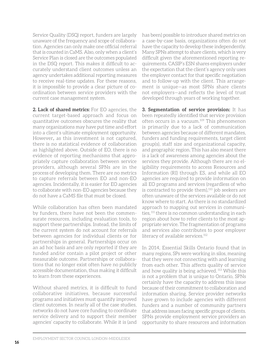Service Quality (DSQ) report, funders are largely unaware of the frequency and scope of collaboration. Agencies can only make one official referral that is counted in CaMS. Also, only when a client's Service Plan is closed are the outcomes populated in the DSQ report. This makes it difficult to accurately understand client outcomes unless an agency undertakes additional reporting measures to receive real-time updates. For these reasons, it is impossible to provide a clear picture of coordination between service providers with the current case management system.

**2. Lack of shared metrics:** For EO agencies, the current target-based approach and focus on quantitative outcomes obscures the reality that many organizations may have put time and effort into a client's ultimate employment opportunity. However*,* as this investment is not captured, there is no statistical evidence of collaboration as highlighted above. Outside of EO, there is no evidence of reporting mechanisms that appropriately capture collaboration between service providers, although several SPNs are in the process of developing them. There are no metrics to capture referrals between EO and non-EO agencies. Incidentally, it is easier for EO agencies to collaborate with non-EO agencies because they do not have a CaMS file that must be closed.

While collaboration has often been mandated by funders, there have not been the commensurate resources, including evaluation tools, to support these partnerships. Instead, the limits of the current system do not account for referrals between agencies for individual clients or for partnerships in general. Partnerships occur on an ad hoc basis and are only reported if they are funded and/or contain a pilot project or other measurable outcome. Partnerships or collaborations that no longer exist often have no publicly accessible documentation, thus making it difficult to learn from these experiences.

Without shared metrics, it is difficult to fund collaborative initiatives, because successful programs and initiatives must quantify improved client outcomes. In nearly all of the case studies, networks do not have core funding to coordinate service delivery and to support their member agencies' capacity to collaborate. While it is (and has been) possible to introduce shared metrics on a case-by-case basis, organizations often do not have the capacity to develop these independently. Many SPNs attempt to share clients, which is very difficult given the aforementioned reporting requirements. CASIP's ESN shares employers under the expectation that the client's agency only uses the employer contact for that specific negotiation and to follow-up with the client. This arrangement is unique—as most SPNs share clients not employers—and reflects the level of trust developed through years of working together.

**3. Segmentation of service provision:** It has been repeatedly identified that service provision often occurs in a vacuum.109 This phenomenon is primarily due to a lack of communication between agencies because of different mandates, funders and funding requirements, target client group(s), staff size and organizational capacity, and geographic region. This has also meant there is a lack of awareness among agencies about the services they provide. Although there are no eligibility requirements to access Resources and Information (RI) through ES, and while all EO agencies are required to provide information on all EO programs and services (regardless of who is contracted to provide them), $110$  job seekers are often unaware of the services available or do not know where to start. As there is no standardized approach to mapping out services in communities, <sup>111</sup> there is no common understanding in each region about how to refer clients to the most appropriate service. The fragmentation of programs and services also contributes to poor employer literacy of available services.<sup>112</sup>

In 2014, Essential Skills Ontario found that in many regions, SPs were working in silos, meaning that they were not connecting with and learning from each other. This affects quality of service and how quality is being achieved. 113 While this is not a problem that is unique to Ontario, SPNs certainly have the capacity to address this issue because of their commitment to collaboration and information sharing. Service provider networks have grown to include agencies with different funders and a number of community partners that address issues facing specific groups of clients. SPNs provide employment service providers an opportunity to share resources and information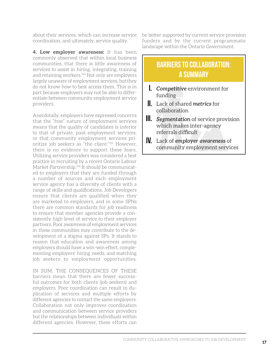about their services, which can increase service coordination, and ultimately, service quality.

**4. Low employer awareness:** It has been commonly observed that within local business communities, that there is little awareness of services to assist in hiring, integrating, training and retaining workers.114 Not only are employers largely unaware of employment services, but they do not know how to best access them. This is in part because employers may not be able to differentiate between community employment service providers.

Anecdotally, employers have expressed concerns that the "free" nature of employment services means that the quality of candidates is inferior to that of private, paid employment services, or that community employment services prioritize job seekers as "the client."115 However, there is no evidence to support these fears. Utilizing service providers was considered a best practice in recruiting by a recent Ontario Labour Market Partnership.<sup>116</sup> It should be communicated to employers that they are funded through a number of sources and each employment service agency has a diversity of clients with a range of skills and qualifications. Job Developers ensure that clients are qualified when they are marketed to employers, and in some SPNs there are common standards for job readiness to ensure that member agencies provide a consistently high level of service to their employer partners. Poor awareness of employment services in these communities may contribute to the development of a stigma against SPs. It stands to reason that education and awareness among employers should have a win-win effect, complementing employers' hiring needs, and matching job seekers to employment opportunities.

In sum, the consequences of these barriers mean that there are fewer successful outcomes for both clients (job seekers) and employers. Poor coordination can result in duplication of services and multiple efforts by different agencies to contact the same employers. Collaboration not only improves coordination and communication between service providers but the relationships between individuals within different agencies. However, these efforts can

be better supported by current service provision funders and by the current programmatic landscape within the Ontario Government.

## **BARRIERS TO COLLABORATION: A SUMMARY**

- *Competitive* environment for **I.**  funding
- Lack of shared *metrics* for **II.**  collaboration
- *Segmentation* of service provision **III.**  which makes inter-agency referrals difficult
- Lack of *employer awareness* of **IV.** community employment services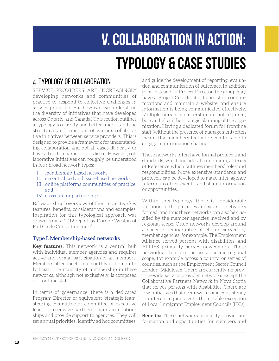# **V. COLLABORATION in action: TYPOLOGY & CASE STUDIES**

## <span id="page-23-0"></span>*i* TYPOLOGY OF COLLABORATION

Service providers are increasingly developing networks and communities of practice to respond to collective challenges in service provision. But how can we understand the diversity of initiatives that have developed across Ontario, and Canada? This section outlines a typology to classify and better understand the structures and functions of various collaborative initiatives between service providers. This is designed to provide a framework for understanding collaboration and not all cases fit neatly or have all of the characteristics listed. However, collaborative initiatives can roughly be understood in four broad network types:

- I. membership-based networks,
- II. decentralized and issue-based networks,
- III. online platforms communities of practice, and
- IV. cross-sector partnerships.

Below are brief overviews of their respective key features, benefits, considerations and examples. Inspiration for this typological approach was drawn from a 2012 report by Dorene Weston of Full Circle Consulting Inc.117

#### **Type I. Membership-based networks**

**Key features:** This network is a central hub with individual member agencies and requires active and formal participation of all members. Members often meet on a monthly or bi-monthly basis. The majority of membership in these networks, although not exclusively, is composed of frontline staff.

In terms of governance, there is a dedicated Program Director or equivalent (strategic team, steering committee or committee of executive leaders) to engage partners, maintain relationships and provide support to agencies. They will set annual priorities, identify ad hoc committees,

and guide the development of reporting, evaluation and communication of outcomes. In addition to or instead of a Project Director, the group may have a Project Coordinator to assist in communications and maintain a website, and ensure information is being communicated effectively. Multiple tiers of membership are not required, but can help in the strategic planning of the organization. Having a dedicated forum for frontline staff (without the presence of management) often means that members feel more comfortable to engage in information sharing.

These networks often have formal protocols and standards, which include, at a minimum, a Terms of Reference which outlines members' roles and responsibilities. More extensive standards and protocols can be developed to make inter-agency referrals, co-host events, and share information or opportunities.

Within this typology there is considerable variation in the purposes and sizes of networks formed, and thus these networks can also be classified by the member agencies involved and by regional scope. Often networks develop around a specific demographic of clients served by member agencies, for example, The Employment Alliance served persons with disabilities, and ALLIES primarily serves newcomers. These networks often form across a specific regional scope, for example across a county, or series of counties, such as the Employment Sector Council London-Middlesex. There are currently no province-wide service provider networks except the Collaborative Partners Network in Nova Scotia that serves persons with disabilities. There are few initiatives that occur with some consistency in different regions, with the notable exception of Local Immigrant Employment Councils (IECs).

**Benefits:** These networks primarily provide information and opportunities for members and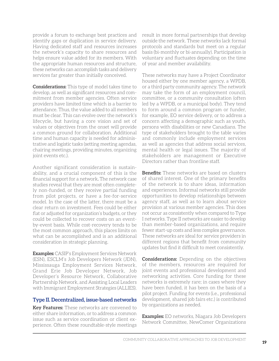provide a forum to exchange best practices and identify gaps or duplication in service delivery. Having dedicated staff and resources increases the network's capacity to share resources and helps ensure value added for its members. With the appropriate human resources and structure, these networks can accomplish tasks and delivery services far greater than initially conceived.

**Considerations:** This type of model takes time to develop, as well as significant resources and commitment from member agencies. Often service providers have limited time which is a barrier to attendance. Thus, the value added to all members must be clear. This can evolve over the network's lifecycle, but having a core vision and set of values or objectives from the onset will provide a common ground for collaboration. Additional time and human capacity is needed for administrative and logistic tasks (setting meeting agendas, chairing meetings, providing minutes, organizing joint events etc.).

Another significant consideration is sustainability, and a crucial component of this is the financial support for a network*.* The network case studies reveal that they are most often completely non-funded, or they receive partial funding from pilot projects, or have a fee-for-service model. In the case of the latter, there must be a clear return on investment. Fees could be either flat or adjusted for organization's budgets, or they could be collected to recover costs on an eventby-event basis. While cost-recovery tends to be the most common approach, this places limits on what can be accomplished and is an additional consideration in strategic planning.

**Examples:** CASIP's Employment Services Network (ESN), ESCLM's Job Developers Network (JDN), Mississauga Employment Services Network, Grand Erie Job Developer Network, Job Developer's Resource Network, Collaborative Partnership Network, and Assisting Local Leaders with Immigrant Employment Strategies (ALLIES).

#### **Type II. Decentralized, issue-based networks**

**Key Features:** These networks are convened to either share information, or to address a common issue such as service coordination or client experience. Often these roundtable-style meetings result in more formal partnerships that develop outside the network. These networks lack formal protocols and standards but meet on a regular basis (bi-monthly or bi-annually). Participation is voluntary and fluctuates depending on the time of year and member availability.

These networks may have a Project Coordinator housed either by one member agency, a WPDB, or a third party community agency. The network may take the form of an employment council, committee, or a community consultation (often led by a WPDB, or a municipal body). They tend to form around a common program or funder, for example, EO service delivery, or to address a concern affecting a demographic such as youth, persons with disabilities or new Canadians. The type of stakeholders brought to the table varies and commonly include employment services as well as agencies that address social services, mental health or legal issues. The majority of stakeholders are management or Executive Directors rather than frontline staff.

**Benefits:** These networks are based on clusters of shared interest. One of the primary benefits of the network is to share ideas, information and experiences. Informal networks still provide opportunities to develop relationships between agency staff, as well as to learn about service provision at various member agencies. This does not occur as consistently when compared to Type I networks. Type II networks are easier to develop than member-based organizations, and require fewer start-up costs and less complex governance. These networks are ideal for service providers in different regions that benefit from community updates but find it difficult to meet consistently.

**Considerations:** Depending on the objectives of the members, resources are required for joint events and professional development and networking activities. Core funding for these networks is extremely rare; in cases where they have been funded, it has been on the basis of a pilot project. Funding for events (i.e., professional development, shared job fairs etc.) is contributed by organizations as needed.

**Examples:** EO networks, Niagara Job Developers Network Committee, NewComer Organizations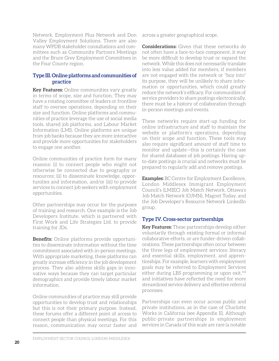Network, Employment Plus Network and Don Valley Employment Solutions. There are also many WPDB stakeholder consultations and committees such as Community Partners Meetings and the Bruce Grey Employment Committees in the Four County region.

#### **Type III. Online platforms and communities of practice**

**Key Features:** Online communities vary greatly in terms of scope, size and function. They may have a rotating committee of leaders or frontline staff to oversee operations, depending on their size and function. Online platforms and communities of practice leverage the use of social media tools, shared job platforms, and Labour Market Information (LMI). Online platforms are unique from job banks because they are more interactive and provide more opportunities for stakeholders to engage one another.

Online communities of practice form for many reasons: (i) to connect people who might not otherwise be connected due to geography or resources; (ii) to disseminate knowledge, opportunities and information, and/or (iii) to provide services to connect job seekers with employment opportunities.

Other partnerships may occur for the purposes of training and research. One example is the Job Developers Institute, which is partnered with First Work and Life Strategies Ltd. to provide training for JDs.

**Benefits:** Online platforms provide opportunities to disseminate information without the time commitment associated with in-person meetings. With appropriate marketing, these platforms can greatly increase efficiency in the job development process. They also address skills gaps in innovative ways because they can target particular demographics and provide timely labour market information.

Online communities of practice may still provide opportunities to develop trust and relationships but this is not their primary purpose. Instead, these forums offer a different point of access to connect people than physical meetings. For this reason, communication may occur faster and

across a greater geographical scope.

**Considerations:** Given that these networks do not often have a face-to-face component, it may be more difficult to develop trust or expand the network. While this does not necessarily translate into less value added for members, if members are not engaged with the network or "buy into" its purpose, they will be unlikely to share information or opportunities, which could greatly reduce the network's efficacy. For communities of service providers to share postings electronically, there must be a history of collaboration through in-person meetings and events.

These networks require start-up funding for online infrastructure and staff to maintain the website or platform's operations, depending on their scope and function. These tools may also require significant amount of staff time to monitor and update—this is certainly the case for shared databases of job postings. Having upto-date postings is crucial and networks must be prepared to regularly add and remove postings.

**Examples:** BC Centre for Employment Excellence, London Middlesex Immigrant Employment Council's (LMIEC) Job Match Network, Ottawa's Job Match Network (OJMN), Magnet Today, and the Job Developer's Resource Network LinkedIn group.

#### **Type IV. Cross-sector partnerships**

**Key Features:** These partnerships develop either voluntarily through existing formal or informal collaborative efforts, or are funder-driven collaborations. These partnerships often occur between the three legs of employment services: literacy and essential skills, employment, and apprenticeships. For example, learners with employment goals may be referred to Employment Services either during LBS programming or upon exit.<sup>118</sup> and initiatives have reflected the need for more streamlined service delivery and effective referral processes.

Partnerships can even occur across public and private institutions, as in the case of Charlotte Works in California (see Appendix II). Although public-private partnerships in employment services in Canada of this scale are rare (a notable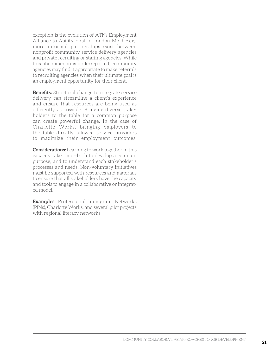exception is the evolution of ATNs Employment Alliance to Ability First in London-Middlesex), more informal partnerships exist between nonprofit community service delivery agencies and private recruiting or staffing agencies. While this phenomenon is underreported, community agencies may find it appropriate to make referrals to recruiting agencies when their ultimate goal is an employment opportunity for their client.

**Benefits:** Structural change to integrate service delivery can streamline a client's experience and ensure that resources are being used as efficiently as possible. Bringing diverse stakeholders to the table for a common purpose can create powerful change. In the case of Charlotte Works, bringing employers to the table directly allowed service providers to maximize their employment outcomes.

**Considerations:** Learning to work together in this capacity take time—both to develop a common purpose, and to understand each stakeholder's processes and needs. Non-voluntary initiatives must be supported with resources and materials to ensure that all stakeholders have the capacity and tools to engage in a collaborative or integrated model.

**Examples:** Professional Immigrant Networks (PINs), Charlotte Works, and several pilot projects with regional literacy networks.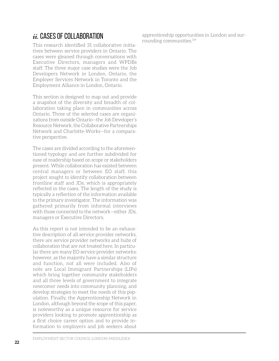### *ii.* CASES OF COLLABORATION

This research identified 31 collaborative initiatives between service providers in Ontario. The cases were gleaned through conversations with Executive Directors, managers and WPDBs staff. The three major case studies were the Job Developers Network in London, Ontario, the Employer Services Network in Toronto and the Employment Alliance in London, Ontario.

This section is designed to map out and provide a snapshot of the diversity and breadth of collaboration taking place in communities across Ontario. Three of the selected cases are organizations from outside Ontario—the Job Developer's Resource Network, the Collaborative Partnerships Network and Charlotte-Works—for a comparative perspective.

The cases are divided according to the aforementioned typology and are further subdivided for ease of readership based on scope or stakeholders present. While collaboration has existed between central managers or between EO staff, this project sought to identify collaboration between frontline staff and JDs, which is appropriately reflected in the cases. The length of the study is typically a reflection of the information available to the primary investigator. The information was gathered primarily from informal interviews with those connected to the network—either JDs, managers or Executive Directors.

As this report is not intended to be an exhaustive description of all service provider networks, there are service provider networks and hubs of collaboration that are not treated here. In particular there are many EO service provider networks; however, as the majority have a similar structure and function, not all were included. Also of note are Local Immigrant Partnerships (LIPs) which bring together community stakeholders and all three levels of government to integrate newcomer needs into community planning, and develop strategies to meet the needs of this population. Finally, the Apprenticeship Network in London, although beyond the scope of this paper, is noteworthy as a unique resource for service providers looking to promote apprenticeship as a first choice career option and to provide information to employers and job seekers about apprenticeship opportunities in London and surrounding communities.119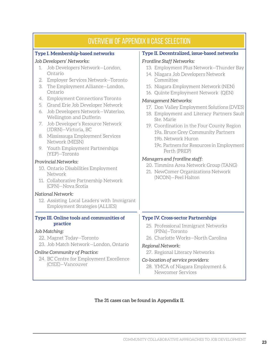| <b>OVERVIEW OF APPENDIX II CASE SELECTION</b>                                                                                                                                                                                                                                                                                                                                                                                                                                                                                                      |                                                                                                                                                                                                                                                                                                                                                                                                                                                                                                                                                         |  |  |  |  |  |  |  |  |
|----------------------------------------------------------------------------------------------------------------------------------------------------------------------------------------------------------------------------------------------------------------------------------------------------------------------------------------------------------------------------------------------------------------------------------------------------------------------------------------------------------------------------------------------------|---------------------------------------------------------------------------------------------------------------------------------------------------------------------------------------------------------------------------------------------------------------------------------------------------------------------------------------------------------------------------------------------------------------------------------------------------------------------------------------------------------------------------------------------------------|--|--|--|--|--|--|--|--|
| Type I. Membership-based networks                                                                                                                                                                                                                                                                                                                                                                                                                                                                                                                  | Type II. Decentralized, issue-based networks                                                                                                                                                                                                                                                                                                                                                                                                                                                                                                            |  |  |  |  |  |  |  |  |
| Job Developers' Networks:<br>Job Developers Network-London,<br>1.<br>Ontario<br>Employer Services Network-Toronto<br>2.<br>The Employment Alliance-London,<br>3.<br>Ontario<br><b>Employment Connections Toronto</b><br>4.<br>Grand Erie Job Developer Network<br>5.<br>Job Developers Network-Waterloo,<br>6.<br>Wellington and Dufferin<br>Job Developer's Resource Network<br>7.<br>(JDRN)-Victoria, BC<br>Mississauga Employment Services<br>8.<br>Network (MESN)<br>9. Youth Employment Partnerships<br>(YEP)-Toronto<br>Provincial Networks: | Frontline Staff Networks:<br>13. Employment Plus Network-Thunder Bay<br>14. Niagara Job Developers Network<br>Committee<br>15. Niagara Employment Network (NEN)<br>16. Quinte Employment Network (QEN)<br><b>Management Networks:</b><br>17. Don Valley Employment Solutions (DVES)<br>18. Employment and Literacy Partners Sault<br>Ste. Marie<br>19. Coordination in the Four County Region<br>19a. Bruce Grey Community Partners<br>19b. Network Huron<br>19c. Partners for Resources in Employment<br>Perth (PREP)<br>Managers and frontline staff: |  |  |  |  |  |  |  |  |
| 10. Ontario Disabilities Employment<br>Network<br>11. Collaborative Partnership Network<br>(CPN)-Nova Scotia<br>National Network:<br>12. Assisting Local Leaders with Immigrant<br>Employment Strategies (ALLIES)                                                                                                                                                                                                                                                                                                                                  | 20. Timmins Area Network Group (TANG)<br>21. NewComer Organizations Network<br>(NCON)-Peel Halton                                                                                                                                                                                                                                                                                                                                                                                                                                                       |  |  |  |  |  |  |  |  |
| Type III. Online tools and communities of<br>practice<br>Job Matching:<br>22. Magnet Today-Toronto<br>23. Job Match Network-London, Ontario<br>Online Community of Practice:<br>24. BC Centre for Employment Excellence<br>(CfEE)-Vancouver                                                                                                                                                                                                                                                                                                        | <b>Type IV. Cross-sector Partnerships</b><br>25. Professional Immigrant Networks<br>(PINs)-Toronto<br>26. Charlotte Works-North Carolina<br>Regional Network:<br>27. Regional Literacy Networks<br>Co-location of service providers:<br>28. YMCA of Niagara Employment &<br>Newcomer Services                                                                                                                                                                                                                                                           |  |  |  |  |  |  |  |  |

#### **The 31 cases can be found in Appendix II.**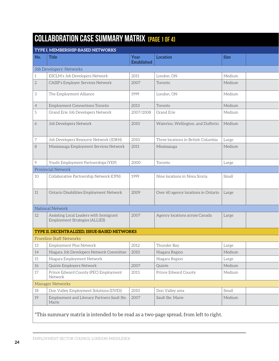## **COLLABORATION CASE SUMMARY MATRIX** [PAGE 1 OF 4]

| TYPE I. MEMBERSHIP-BASED NETWORKS                                        |                                                                                               |                                                                                               |                |                                             |  |  |
|--------------------------------------------------------------------------|-----------------------------------------------------------------------------------------------|-----------------------------------------------------------------------------------------------|----------------|---------------------------------------------|--|--|
| Title                                                                    | Year<br>Established                                                                           | Location                                                                                      | Size           |                                             |  |  |
| Job Developers' Networks                                                 |                                                                                               |                                                                                               |                |                                             |  |  |
| ESCLM's Job Developers Network                                           | 2011                                                                                          | London, ON                                                                                    | Medium         |                                             |  |  |
| CASIP's Employer Services Network                                        | 2007                                                                                          | Toronto                                                                                       | Medium         |                                             |  |  |
| The Employment Alliance                                                  | 1999                                                                                          | London, ON                                                                                    | Medium         |                                             |  |  |
| Employment Connections Toronto                                           | 2013                                                                                          | Toronto                                                                                       | Medium         |                                             |  |  |
| Grand Erie Job Developers Network                                        | 2007/2008                                                                                     | Grand Erie                                                                                    | Medium         |                                             |  |  |
| Job Developers Network                                                   | 2010                                                                                          | Waterloo, Wellington, and Dufferin                                                            | Medium         |                                             |  |  |
| Job Developers Resource Network (JDRN)                                   | 2010                                                                                          | Three locations in British Columbia                                                           | Large          |                                             |  |  |
| Mississauga Employment Services Network                                  | 2011                                                                                          | Mississauga                                                                                   | Medium         |                                             |  |  |
| Youth Employment Partnerships (YEP)                                      | 2000                                                                                          | Toronto                                                                                       | Large          |                                             |  |  |
|                                                                          |                                                                                               |                                                                                               |                |                                             |  |  |
| Collaborative Partnership Network (CPN)                                  | 1999                                                                                          | Nine locations in Nova Scoria                                                                 | Small          |                                             |  |  |
| Ontario Disabilities Employment Network                                  | 2009                                                                                          |                                                                                               |                |                                             |  |  |
|                                                                          |                                                                                               |                                                                                               |                |                                             |  |  |
| Assisting Local Leaders with Immigrant<br>Employment Strategies (ALLIES) | 2007                                                                                          | Agency locations across Canada                                                                | Large          |                                             |  |  |
|                                                                          |                                                                                               |                                                                                               |                |                                             |  |  |
|                                                                          |                                                                                               |                                                                                               |                |                                             |  |  |
| Employment Plus Network                                                  | 2012                                                                                          | Thunder Bay                                                                                   | Large          |                                             |  |  |
|                                                                          |                                                                                               |                                                                                               | Medium         |                                             |  |  |
| Niagara Employment Network                                               |                                                                                               | Niagara Region                                                                                | Large          |                                             |  |  |
| Quinte Employers Network                                                 | 2007                                                                                          | Quinte                                                                                        | Medium         |                                             |  |  |
| Prince Edward County (PEC) Employment<br>Network                         | 2013                                                                                          | Prince Edward County                                                                          | Medium         |                                             |  |  |
|                                                                          |                                                                                               |                                                                                               |                |                                             |  |  |
| Don Valley Employment Solutions (DVES)                                   | 2010                                                                                          | Don Valley area                                                                               | Small          |                                             |  |  |
| Employment and Literacy Partners Sault Ste.<br>Marie                     | 2007                                                                                          | Sault Ste. Marie                                                                              | Medium         |                                             |  |  |
|                                                                          | Provincial Network<br>National Network<br><b>Frontline Staff Networks</b><br>Manager Networks | TYPE II. DECENTRALIZED, ISSUE-BASED NETWORKS<br>Niagara Job Developers Network Committee 2010 | Niagara Region | Over 60 agency locations in Ontario   Large |  |  |

### \*This summary matrix is intended to be read as a two-page spread, from left to right.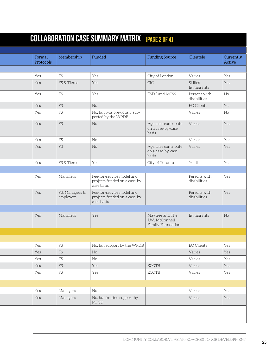|                             | <b>COLLABORATION CASE SUMMARY MATRIX IPAGE 2 OF 41</b>                   |                                                        |                              |                     |
|-----------------------------|--------------------------------------------------------------------------|--------------------------------------------------------|------------------------------|---------------------|
|                             |                                                                          |                                                        |                              |                     |
| Membership                  | Funded                                                                   | <b>Funding Source</b>                                  | Clientele                    | Currently<br>Active |
|                             |                                                                          |                                                        |                              |                     |
|                             | Yes                                                                      | City of London                                         | Varies                       | Yes                 |
| FS & Tiered                 | Yes                                                                      | <b>CIC</b>                                             | Skilled<br>Immigrants        | Yes                 |
|                             | Yes                                                                      | ESDC and MCSS                                          | Persons with<br>disabilities | $\rm No$            |
|                             | No                                                                       |                                                        | EO Clients                   | Yes                 |
|                             | No, but was previously sup-<br>ported by the WPDB                        |                                                        | Varies                       | No                  |
|                             | $\rm No$                                                                 | Agencies contribute<br>on a case-by-case<br>basis      | Varies                       | Yes                 |
|                             | $\rm No$                                                                 |                                                        | Varies                       | Yes                 |
|                             | No                                                                       | Agencies contribute<br>on a case-by-case<br>basis      | Varies                       | Yes                 |
| FS & Tiered                 | Yes                                                                      | City of Toronto                                        | Youth                        | Yes                 |
|                             |                                                                          |                                                        |                              |                     |
| Managers                    | Fee-for-service model and<br>projects funded on a case-by-<br>case basis |                                                        | Persons with<br>disabilities | Yes                 |
| FS, Managers &<br>employers | Fee-for-service model and<br>projects funded on a case-by-<br>case basis |                                                        | Persons with<br>disabilities | Yes                 |
|                             |                                                                          |                                                        |                              |                     |
| Managers                    | Yes                                                                      | Maytree and The<br>J.W. McConnell<br>Family Foundation | Immigrants                   | No                  |
|                             |                                                                          |                                                        |                              |                     |
|                             | No, but support by the WPDB                                              |                                                        | EO Clients                   | Yes                 |
|                             | No                                                                       |                                                        | Varies                       | Yes                 |
|                             | $\rm No$                                                                 |                                                        | Varies                       | Yes                 |
|                             | Yes                                                                      | ECOTB                                                  | Varies                       | Yes                 |
|                             | Yes                                                                      | ECOTB                                                  | Varies                       | Yes                 |
|                             |                                                                          |                                                        |                              |                     |
|                             |                                                                          |                                                        |                              |                     |
| Managers                    | No                                                                       |                                                        | Varies                       | Yes                 |
| Managers                    | No, but in-kind support by<br>MTCU                                       |                                                        | Varies                       | Yes                 |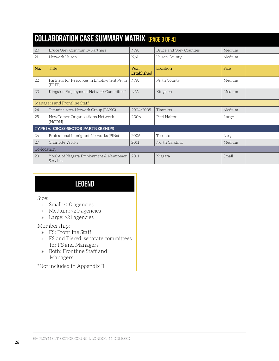|     | <b>COLLABORATION CASE SUMMARY MATRIX IPAGE 3 OF 41</b> |                     |                         |        |  |  |  |
|-----|--------------------------------------------------------|---------------------|-------------------------|--------|--|--|--|
| 20  | <b>Bruce Grey Community Partners</b>                   | N/A                 | Bruce and Grey Counties | Medium |  |  |  |
| 21  | Network Huron                                          | N/A                 | Huron County            | Medium |  |  |  |
| No. | Title                                                  | Year<br>Established | Location                | Size   |  |  |  |
| 22  | Partners for Resources in Employment Perth<br>(PREP)   | N/A                 | Perth County            | Medium |  |  |  |
| 23  | Kingston Employment Network Committee*                 | N/A                 | Kingston                | Medium |  |  |  |
|     | Managers and Frontline Staff                           |                     |                         |        |  |  |  |
| 24  | Timmins Area Network Group (TANG)                      | 2004/2005           | Timmins                 | Medium |  |  |  |
| 25  | NewComer Organizations Network<br>(NCON)               | 2006                | Peel Halton             | Large  |  |  |  |
|     | TYPE IV. CROSS-SECTOR PARTNERSHIPS                     |                     |                         |        |  |  |  |
| 26  | Professional Immigrant Networks (PINs)                 | 2006                | Toronto                 | Large  |  |  |  |
| 27  | Charlotte Works                                        | 2011                | North Carolina          | Medium |  |  |  |
|     | Co-location                                            |                     |                         |        |  |  |  |
| 28  | YMCA of Niagara Employment & Newcomer<br>Services      | 2011                | Niagara                 | Small  |  |  |  |

## **Legend**

#### Size:

- » Small: <10 agencies
- » Medium: <20 agencies
- » Large: >21 agencies

### Membership:

- » FS: Frontline Staff
- » FS and Tiered: separate committees for FS and Managers
- » Both: Frontline Staff and Managers

\*Not included in Appendix II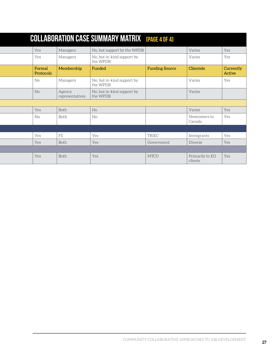|    |                     |                           | <b>COLLABORATION CASE SUMMARY MATRIX EPAGE 4 OF 41</b> |                       |                            |                     |
|----|---------------------|---------------------------|--------------------------------------------------------|-----------------------|----------------------------|---------------------|
|    | Yes                 | Managers                  | No, but support by the WPDB                            |                       | Varies                     | Yes                 |
|    | Yes                 | Managers                  | No, but in-kind support by<br>the WPDB                 |                       | Varies                     | Yes                 |
|    | Formal<br>Protocols | Membership                | Funded                                                 | <b>Funding Source</b> | Clientele                  | Currently<br>Active |
| No |                     | Managers                  | No, but in-kind support by<br>the WPDB                 |                       | Varies                     | Yes                 |
| No |                     | Agency<br>representatives | No, but in-kind support by<br>the WPDB                 |                       | Varies                     |                     |
|    |                     |                           |                                                        |                       |                            |                     |
|    | Yes                 | Both                      | No                                                     |                       | Varies                     | Yes                 |
| No |                     | Both                      | No                                                     |                       | Newcomers to<br>Canada     | Yes                 |
|    |                     |                           |                                                        |                       |                            |                     |
|    | Yes                 | FS                        | Yes                                                    | TRIEC                 | Immigrants                 | Yes                 |
|    | Yes                 | Both                      | Yes                                                    | Government            | Diverse                    | Yes                 |
|    |                     |                           |                                                        |                       |                            |                     |
|    | Yes                 | Both                      | Yes                                                    | MTCU                  | Primarily to EO<br>clients | Yes                 |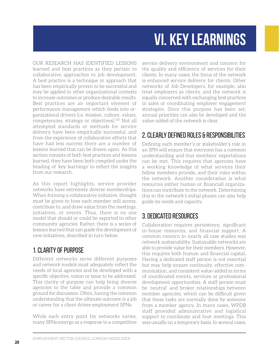# **vi. KEY LEARNINGS**

<span id="page-33-0"></span>Our research has identified lessons learned and best practices as they pertain to collaborative approaches to job development. A best practice is a technique or approach that has been empirically proven to be successful and may be applied in other organizational contexts to increase outcomes or produce desirable results. Best practices are an important element of performance management which feeds into organizational drivers (i.e. mission, culture, values, competencies, strategy or objectives).120 Not all attempted standards or methods for service delivery have been empirically successful, and from the experience of collaborative efforts that have had less success there are a number of lessons learned that can be drawn upon. As this section consists of both best practices and lessons learned, they have been both compiled under the heading of 'key learnings' to reflect the insights from our research.

As this report highlights, service provider networks have extremely diverse memberships. When forming a collaborative initiative, thought must be given to how each member will access, contribute to, and draw value from the meetings, initiatives, or events. Thus, there is no one model that should or could be exported to other community agencies. Rather, there is a series of lessons learned that can guide the development of new initiatives, described in turn below.

### 1. Clarity of purpose

Different networks serve different purposes and network models must adequately reflect the needs of local agencies and be developed with a specific objective, vision or issue to be addressed. This clarity of purpose can help bring diverse agencies to the table and provide a common ground for discussion. Often, having the common understanding that the ultimate outcome is a job or career for a client drives employment SPNs.

While each entry point for networks varies, many SPNs emerge as a response to a competitive

service delivery environment and concern for the quality and efficiency of services for their clients. In many cases, the focus of the network is enhanced service delivery for clients. Other networks of Job Developers, for example, also treat employers as clients, and the network is equally concerned with exchanging best practices in sales or coordinating employer engagement strategies. Once this purpose has been set, annual priorities can also be developed and the value-added of the network is clear.

### 2. Clearly defined roles & responsibilities

Defining each member's or stakeholder's role in an SPN will ensure that everyone has a common understanding and that members' expectations can be met. This requires that agencies have a working knowledge of what services their fellow members provide, and their roles within the network. Another consideration is what resources (either human or financial) organizations can contribute to the network. Determining this in the network's initial phases can also help guide its needs and capacity.

### 3. Dedicated resources

Collaboration requires persistence, significant in-house resources, and financial support. A common concern in nearly all case studies was network sustainability. Sustainable networks are able to provide value for their members. However, this requires both human and financial capital. Having a dedicated staff person is not essential but may help ensure continuity, effective communication, and consistent value-added in terms of coordinated events, services or professional development opportunities. A staff person must be 'neutral' and broker relationships between member agencies, which can be difficult given that these tasks are normally done by someone from a member agency. In many cases, WPDB staff provided administrative and logistical support to coordinate and host meetings. This was usually on a temporary basis. In several cases,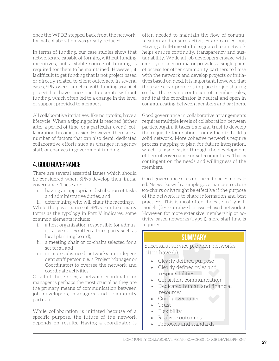once the WPDB stepped back from the network, formal collaboration was greatly reduced.

In terms of funding, our case studies show that networks are capable of forming without funding incentives, but a stable source of funding is required for them to be maintained. However, it is difficult to get funding that is not project based or directly related to client outcomes. In several cases, SPNs were launched with funding as a pilot project but have since had to operate without funding, which often led to a change in the level of support provided to members.

All collaborative initiatives, like nonprofits, have a lifecycle. When a tipping point is reached (either after a period of time, or a particular event), collaboration becomes easier. However, there are a number of factors that can also derail dedicated collaborative efforts such as changes in agency staff, or changes in government funding.

### 4. Good governance

There are several essential issues which should be considered when SPNs develop their initial governance. These are:

- i. having an appropriate distribution of tasks and administrative duties, and
- ii. determining who will chair the meetings.

While the governance of SPNs can take many forms as the typology in Part V indicates, some common elements include:

- i. a host organization responsible for administrative duties (often a third party such as local planning board),
- ii. a meeting chair or co-chairs selected for a set term, and
- iii. in more advanced networks an independent staff person (i.e. a Project Manager or Coordinator) to oversee the network and coordinate activities.

Of all of these roles, a network coordinator or manager is perhaps the most crucial as they are the primary means of communication between job developers, managers and community partners.

While collaboration is initiated because of a specific purpose, the future of the network depends on results. Having a coordinator is often needed to maintain the flow of communication and ensure activities are carried out. Having a full-time staff designated to a network helps ensure continuity, transparency and sustainability. While all job developers engage with employers, a coordinator provides a single point of access for other community partners to liaise with the network and develop projects or initiatives based on need. It is important, however, that there are clear protocols in place for job sharing so that there is no confusion of member roles, and that the coordinator is neutral and open in communicating between members and partners.

Good governance in collaborative arrangements requires multiple levels of collaboration between parties. Again, it takes time and trust to develop the requisite foundation from which to build a solid network. More cohesive networks require process mapping to plan for future integration, which is made easier through the development of tiers of governance or sub-committees. This is contingent on the needs and willingness of the members.

Good governance does not need to be complicated. Networks with a simple governance structure (co-chairs only) might be effective if the purpose of the network is to share information and best practices. This is most often the case in Type II models (de-centralized or issue-based networks). However, for more extensive membership or activity-based networks (Type I), more staff time is required.

### **SUMMARY**

Successful service provider networks often have (a):

- » Clearly defined purpose
- » Clearly defined roles and responsibilities
- » Consistent communication
- » Dedicated human and financial resources
- » Good governance
- » Trust
- » Flexibility
- » Realistic outcomes
- » Protocols and standards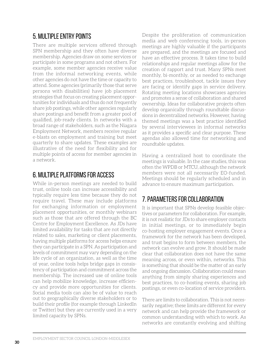### 5. Multiple entry points

There are multiple services offered through SPN membership and they often have diverse membership. Agencies draw on some services or participate in some programs and not others. For example, some member agencies receive value from the informal networking events, while other agencies do not have the time or capacity to attend. Some agencies (primarily those that serve persons with disabilities) have job placement strategies that focus on creating placement opportunities for individuals and thus do not frequently share job postings, while other agencies regularly share postings and benefit from a greater pool of qualified, job-ready clients. In networks with a broad range of stakeholders, such as the Niagara Employment Network, members receive regular e-blasts on employment and training but meet quarterly to share updates. These examples are illustrative of the need for flexibility and for multiple points of access for member agencies in a network.

### 6. Multiple platforms for access

While in-person meetings are needed to build trust, online tools can increase accessibility and typically require less time because they do not require travel. These may include platforms for exchanging information or employment placement opportunities, or monthly webinars such as those that are offered through the BC Centre for Employment Excellence. As JDs have limited availability for tasks that are not directly related to sales, marketing or client placements, having multiple platforms for access helps ensure they can participate in a SPN. As participation and levels of commitment may vary depending on the life cycle of an organization, as well as the time of year, online tools helps bridge gaps in consistency of participation and commitment across the membership. The increased use of online tools can help mobilize knowledge, increase efficiency and provide more opportunities for clients. Social media tools can also be of value to reach out to geographically diverse stakeholders or to build their profile (for example through LinkedIn or Twitter) but they are currently used in a very limited capacity by SPNs.

Despite the proliferation of communication media and web conferencing tools, in-person meetings are highly valuable if the participants are prepared, and the meetings are focused and have an effective process. It takes time to build relationships and regular meetings allow for the creation of rapport and trust. Many SPNs meet monthly, bi-monthly, or as needed to exchange best practices, troubleshoot, tackle issues they are facing or identify gaps in service delivery. Rotating meeting locations showcases agencies and promotes a sense of collaboration and shared ownership. Ideas for collaborative projects often develop organically through roundtable discussions in decentralized networks. However, having themed meetings was a best practice identified by several interviewees in informal networks as it provides a specific and clear purpose. These agendas also allowed time for networking and roundtable updates.

Having a centralized host to coordinate the meetings is valuable. In the case studies, this was often the WPDB or MTCU, although the network members were not all necessarily EO-funded. Meetings should be regularly scheduled and in advance to ensure maximum participation.

### 7. Parameters for collaboration

It is important that SPNs develop feasible objectives or parameters for collaboration. For example, it is not realistic for JDs to share employer contacts in initial meetings, or to immediately begin co-hosting employer engagement events. Once a framework for the network has been developed, and trust begins to form between members, the network can evolve and grow. It should be made clear that collaboration does not have the same meaning across, or even within, networks. This is something that should be the matter of an early and ongoing discussion. Collaboration could mean anything from simply sharing experiences and best practices, to co-hosting events, sharing job postings, or even co-location of service providers.

There are limits to collaboration. This is not necessarily negative; these limits are different for every network and can help provide the framework or common understanding with which to work. As networks are constantly evolving and shifting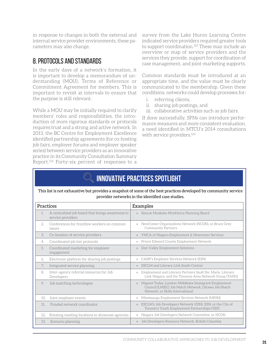in response to changes in both the external and internal service provider environments, these parameters may also change.

### 8. Protocols and standards

In the early days of a network's formation, it is important to develop a memorandum of understanding (MOU), Terms of Reference or Commitment Agreement for members. This is important to revisit at intervals to ensure that the purpose is still relevant.

While a MOU may be initially required to clarify members' roles and responsibilities, the introduction of more rigorous standards or protocols requires trust and a strong and active network. In 2013, the BC Centre for Employment Excellence identified partnership agreements (for co-hosting job fairs, employer forums and employer speaker series) between service providers as an innovative practice in its Community Consultation Summary Report.122 Forty-six percent of responses to a survey from the Lake Huron Learning Centre indicated service providers required greater tools to support coordination.<sup>123</sup> These may include an overview or map of service providers and the services they provide, support for coordination of case management, and joint-marketing supports.

Common standards must be introduced at an appropriate time, and the value must be clearly communicated to the membership. Given these conditions, networks could develop processes for:

- i. referring clients,
- ii. sharing job postings, and
- iii. collaborative activities such as job fairs.

If done successfully, SPNs can introduce performance measures and more consistent evaluation, a need identified in MTCU's 2014 consultations with service providers.<sup>124</sup>

# **INNOVATIVE PRACTICES SPOTLIGHT**

This list is not exhaustive but provides a snapshot of some of the best practices developed by community service provider networks in the identified case studies.

| <b>Practices</b> |                                                                       | <b>Examples</b>                                                                                                                                                 |
|------------------|-----------------------------------------------------------------------|-----------------------------------------------------------------------------------------------------------------------------------------------------------------|
| 1.               | A centralized job board that brings awareness to<br>service providers | Simcoe Muskoka Workforce Planning Board<br>$\mathcal{V}$                                                                                                        |
| $2^{\circ}$      | Conferences for frontline workers on common<br>issues                 | NewComer Organizations Network (NCON), or Bruce Grey<br>$\mathcal{V}$<br><b>Community Partners</b>                                                              |
| 3.               | Co-location of service providers                                      | YMCA of Niagara Employment & Newcomer Services<br>$\rangle$                                                                                                     |
| 4.               | Coordinated job fair protocols                                        | Prince Edward County Employment Network<br>$\rangle$                                                                                                            |
| 5.               | Coordinated marketing for employer<br>engagement                      | Don Valley Employment Solutions<br>$\mathcal{V}$                                                                                                                |
| 6.               | Electronic platform for sharing job postings                          | CASIP's Employer Services Network (ESN)<br>$\mathcal{V}$                                                                                                        |
| 7.               | Integrated service planning                                           | ESCLM and Literacy Link South Central<br>$\mathcal{V}$                                                                                                          |
| 8.               | Inter-agency referral resources for Job<br>Developers                 | Employment and Literacy Partners Sault Ste. Marie, Literacy<br>$\mathcal{P}$<br>Link Niagara, and the Timmins Area Network Group (TANG)                         |
| 9.               | Job matching technologies                                             | Magnet Today, London-Middlesex Immigrant Employment<br>$\mathcal{V}$<br>Council (LMIEC) Job Match Network, Ottawa Job Match<br>Network, or Skills International |
| 10.              | Joint employer events                                                 | Mississauga Employment Services Network (MESN)<br>$\rangle$                                                                                                     |
| 11.              | Funded network coordinator                                            | ESCLM's Job Developers Network (JDN), ESN, or the City of<br>$\rangle\!\rangle$<br>Toronto's Youth Employment Partnerships (YEP)                                |
| 12.              | Rotating meeting locations to showcase agencies                       | Niagara Job Developers Network Committee, or NCON<br>$\rangle$                                                                                                  |
| 13.              | Scenario planning                                                     | Job Developers Resource Network, British Columbia<br>$\mathcal{V}$                                                                                              |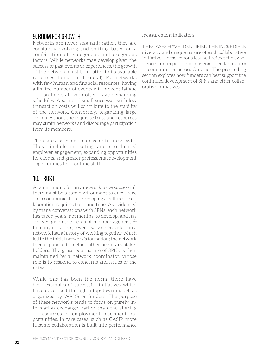## 9. Room for growth

Networks are never stagnant; rather, they are constantly evolving and shifting based on a combination of endogenous and exogenous factors. While networks may develop given the success of past events or experiences, the growth of the network must be relative to its available resources (human and capital). For networks with few human and financial resources, having a limited number of events will prevent fatigue of frontline staff who often have demanding schedules. A series of small successes with low transaction costs will contribute to the stability of the network. Conversely, organizing large events without the requisite trust and resources may strain networks and discourage participation from its members.

There are also common areas for future growth. These include marketing and coordinated employer engagement, expanding opportunities for clients, and greater professional development opportunities for frontline staff.

## 10. Trust

At a minimum, for any network to be successful, there must be a safe environment to encourage open communication. Developing a culture of collaboration requires trust and time. As evidenced by many conversations with SPNs, each network has taken years, not months, to develop, and has evolved given the needs of member agencies.<sup>121</sup> In many instances, several service providers in a network had a history of working together which led to the initial network's formation; the network then expanded to include other necessary stakeholders. The grassroots nature of SPNs is then maintained by a network coordinator, whose role is to respond to concerns and issues of the network.

While this has been the norm, there have been examples of successful initiatives which have developed through a top-down model, as organized by WPDB or funders. The purpose of these networks tends to focus on purely information exchange, rather than the sharing of resources or employment placement opportunities. In rare cases, such as CASIP, more fulsome collaboration is built into performance

measurement indicators.

Thecases have identified the incredible diversity and unique nature of each collaborative initiative. These lessons learned reflect the experience and expertise of dozens of collaborators in communities across Ontario. The proceeding section explores how funders can best support the continued development of SPNs and other collaborative initiatives.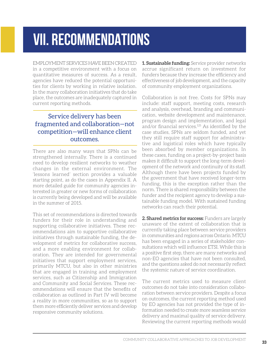# **viI. RECOMMENDATIONS**

EMPLOYMENT SERVICES HAVE BEEN CREATED in a competitive environment with a focus on quantitative measures of success. As a result, agencies have reduced the potential opportunities for clients by working in relative isolation. In the many collaboration initiatives that do take place, the outcomes are inadequately captured in current reporting methods.

### Service delivery has been fragmented and collaboration—not competition—will enhance client outcomes.

There are also many ways that SPNs can be strengthened internally. There is a continued need to develop resilient networks to weather changes in the external environment. The 'lessons learned' section provides a valuable starting point, as do the cases in Appendix II. A more detailed guide for community agencies interested in greater or new forms of collaboration is currently being developed and will be available in the summer of 2015.

This set of recommendations is directed towards funders for their role in understanding and supporting collaborative initiatives. These recommendations aim to supportive collaborative initiatives through sustainable funding, the development of metrics for collaborative success, and a more enabling environment for collaboration. They are intended for governmental initiatives that support employment services, primarily MTCU, but also in other ministries that are engaged in training and employment services, such as Citizenship and Immigration and Community and Social Services. These recommendations will ensure that the benefits of collaboration as outlined in Part IV will become a reality in more communities, so as to support them more efficiently deliver services and develop responsive community solutions.

**1. Sustainable funding:** Service provider networks accrue significant return on investment for funders because they increase the efficiency and effectiveness of job development, and the capacity of community employment organizations.

Collaboration is not free. Costs for SPNs may include: staff support, meeting costs, research and analysis, overhead, branding and communication, website development and maintenance, program design and implementation, and legal and/or financial services.125 As identified by the case studies, SPNs are seldom funded, and yet they still require staff support for administrative and logistical roles which have typically been absorbed by member organizations. In these cases, funding on a project-by-project basis makes it difficult to support the long-term development of the network and continuity of its staff. Although there have been projects funded by the government that have received longer-term funding, this is the exception rather than the norm. There is shared responsibility between the funder and the recipient agency to develop a sustainable funding model. With sustained funding networks can reach their potential.

**2. Shared metrics for success:** Funders are largely unaware of the extent of collaboration that is currently taking place between service providers in communities and regions across Ontario. MTCU has been engaged in a series of stakeholder consultations which will influence ETSI. While this is a positive first step, there are many networks and non-EO agencies that have not been consulted, and the questions asked do not necessarily reflect the systemic nature of service coordination.

The current metrics used to measure client outcomes do not take into consideration collaboration between service providers. Despite a focus on outcomes, the current reporting method used by EO agencies has not provided the type of information needed to create more seamless service delivery and maximal quality of service delivery. Reviewing the current reporting methods would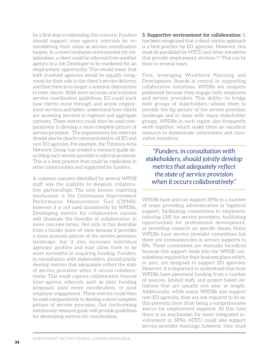be a first step to redressing this concern. Funders should support inter-agency referrals by reconsidering their value as service coordination targets. In a more conducive environment for collaboration, a client could be referred from another agency to a Job Developer to be marketed for an employment opportunity. This would mean that both involved agencies would be equally recognized for their role in the client's service delivery, and that there is no longer a systemic disincentive to refer clients. With more accurate and inclusive service coordination guidelines, EO could track how clients move through and access employment services and better understand how clients are accessing services in regional and aggregate contexts. These metrics could then be used comparatively to develop a more complete picture of service provision. The requirements for referrals should also be clearly communicated to all EO and non-EO agencies. For example, the Timmins Area Network Group has created a resource guide describing each service provider's referral protocols. This is a best practice that could be replicated in other communities and supported by funders.

A common concern identified by several WPDB staff was the inability to measure collaborative partnerships. The only known reporting mechanism is the Continuous Improvement Performance Measurement Tool (CIPMS); however it is not used consistently by WPDBs. Developing metrics for collaborative success will illustrate the benefits of collaboration in more concrete terms. Not only is this desirable from a funder point-of-view because it provides a more accurate picture of the service provision landscape, but it also increases individual agencies' profiles and may allow them to be more successful in acquiring funding. Funders, in consultation with stakeholders, should jointly develop metrics that adequately reflect the state of service provision when it occurs collaboratively. This could capture collaboration beyond inter-agency referrals such as joint funding proposals, joint event coordination, or joint employer engagement. These metrics could then be used comparatively to develop a more complete picture of service provision. Our forthcoming community resource guide will provide guidelines for developing metrics for coordination.

**3. Supportive environment for collaboration:** It has been recognized that a client-centric approach is a best practice by EO agencies. However, this must be paralleled by MTCU and other ministries that provide employment services.126 This can be done in several ways.

First, leveraging Workforce Planning and Development Boards is central in supporting collaborative initiatives. WPDBs are uniquely positioned because they engage both employers and service providers. This ability—to bridge both groups of stakeholders—allows them to provide 'the big picture' of the service provision landscape and to liaise with many stakeholder groups. WPDBs in each region also frequently work together, which make them an excellent resource to disseminate information and innovative initiatives.

*"Funders, in consultation with stakeholders, should jointly develop metrics that adequately reflect the state of service provision when it occurs collaboratively."*

WPDBs have and can support SPNs in a number of ways: providing administrative or logistical support, facilitating connections to employers, tailoring LMI for service providers, facilitating opportunities for professional development, or providing research on specific issues**.** Many WPDBs have service provider committees but there are inconsistencies in service supports to SPs. These committees are mutually beneficial because this support feeds into the WPDB consultations required for their business plans which, in part, are designed to support EO agencies. However, it is important to understand that most WPDBs have piecemeal funding from a number of sources, limited staff, and project-based initiatives that are usually one year in length. Additionally, while many WPDBs also support non-EO agencies, they are not required to do so; this prevents them from being a comprehensive source for employment supports. At this time there is no mechanism for more integrated involvement in SPNs. MTCU could also support service provider meetings; however, they must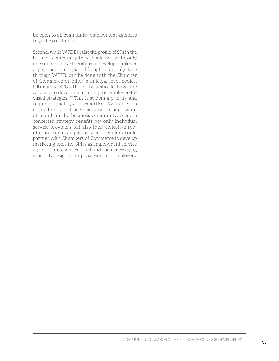be open to all community employment agencies regardless of funder.

Second, while WPDBs raise the profile of SPs in the business community, they should not be the only ones doing so. Partnerships to develop employer engagement strategies, although commonly done through WFPB, can be done with the Chamber of Commerce or other municipal level bodies. Ultimately, SPNs themselves should have the capacity to develop marketing for employer-focused strategies.127 This is seldom a priority and requires funding and expertise. Awareness is created on an ad hoc basis and through word of mouth in the business community. A more concerted strategy benefits not only individual service providers but also their collective reputation. For example, service providers could partner with Chambers of Commerce to develop marketing tools for SPNs as employment service agencies are client-centred and their messaging is usually designed for job seekers, not employers.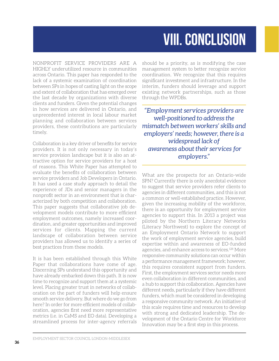# **viii. CONCLUSION**

Nonprofit service providers are a highly underutilized resource in communities across Ontario. This paper has responded to the lack of a systemic examination of coordination between SPs in hopes of casting light on the scope and extent of collaboration that has emerged over the last decade by organizations with diverse clients and funders. Given the potential changes in how services are delivered in Ontario, and unprecedented interest in local labour market planning and collaboration between services providers, these contributions are particularly timely.

Collaboration is a key driver of benefits for service providers. It is not only necessary in today's service provision landscape but it is also an attractive option for service providers for a host of reasons. This White Paper has attempted to evaluate the benefits of collaboration between service providers and Job Developers in Ontario. It has used a case study approach to detail the experience of JDs and senior managers in the nonprofit sector in an environment that is characterized by both competition and collaboration. This paper suggests that collaborative job development models contribute to more efficient employment outcomes, namely increased coordination, and greater opportunities and improved services for clients. Mapping the current landscape of collaboration between service providers has allowed us to identify a series of best practices from these models.

It is has been established through this White Paper that collaborations have come of age. Discerning SPs understand this opportunity and have already embarked down this path. It is now time to recognize and support them at a systemic level. Placing greater trust in networks of collaboration on the part of funders will help ensure smooth service delivery. But where do we go from here? In order for more efficient models of collaboration, agencies first need more representative metrics (i.e. in CaMS and EO data). Developing a streamlined process for inter-agency referrals

should be a priority, as is modifying the case management system to better recognize service coordination. We recognize that this requires significant investment and infrastructure. In the interim, funders should leverage and support existing network partnerships, such as those through the WPDBs.

*"Employment services providers are well-positioned to address the mismatch between workers' skills and employers' needs; however, there is a widespread lack of awareness about their services for employers."*

What are the prospects for an Ontario-wide SPN? Currently there is only anecdotal evidence to suggest that service providers refer clients to agencies in different communities, and this is not a common or well-established practice. However, given the increasing mobility of the workforce, there is an opportunity for employment service agencies to support this. In 2013 a project was piloted by the Northern Literacy Networks (Literacy Northwest) to explore the concept of an Employment Ontario Network to support the work of employment service agencies, build expertise within and awareness of EO-funded agencies, and enhance access to services.<sup>128</sup> More responsive community solutions can occur within a performance management framework; however, this requires consistent support from funders. First, the employment services sector needs more even collaboration in different communities, and a hub to support this collaboration. Agencies have different needs, particularly if they have different funders, which must be considered in developing a responsive community network. An initiative of this scale requires time and resources to develop with strong and dedicated leadership. The development of the Ontario Centre for Workforce Innovation may be a first step in this process.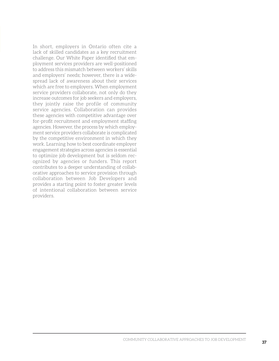In short, employers in Ontario often cite a lack of skilled candidates as a key recruitment challenge. Our White Paper identified that employment services providers are well-positioned to address this mismatch between workers' skills and employers' needs; however, there is a widespread lack of awareness about their services which are free to employers. When employment service providers collaborate, not only do they increase outcomes for job seekers and employers, they jointly raise the profile of community service agencies. Collaboration can provides these agencies with competitive advantage over for-profit recruitment and employment staffing agencies. However, the process by which employment service providers collaborate is complicated by the competitive environment in which they work. Learning how to best coordinate employer engagement strategies across agencies is essential to optimize job development but is seldom recognized by agencies or funders. This report contributes to a deeper understanding of collaborative approaches to service provision through collaboration between Job Developers and provides a starting point to foster greater levels of intentional collaboration between service providers.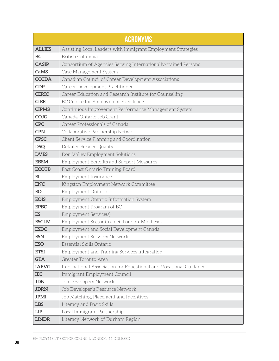| <b>ACRONYMS</b> |                                                                   |  |
|-----------------|-------------------------------------------------------------------|--|
| <b>ALLIES</b>   | Assisting Local Leaders with Immigrant Employment Strategies      |  |
| <b>BC</b>       | British Columbia                                                  |  |
| <b>CASIP</b>    | Consortium of Agencies Serving Internationally-trained Persons    |  |
| <b>CaMS</b>     | Case Management System                                            |  |
| <b>CCCDA</b>    | Canadian Council of Career Development Associations               |  |
| <b>CDP</b>      | Career Development Practitioner                                   |  |
| <b>CERIC</b>    | Career Education and Research Institute for Counselling           |  |
| <b>CfEE</b>     | BC Centre for Employment Excellence                               |  |
| <b>CIPMS</b>    | Continuous Improvement Performance Management System              |  |
| <b>COJG</b>     | Canada-Ontario Job Grant                                          |  |
| <b>CPC</b>      | Career Professionals of Canada                                    |  |
| <b>CPN</b>      | Collaborative Partnership Network                                 |  |
| <b>CPSC</b>     | Client Service Planning and Coordination                          |  |
| <b>DSQ</b>      | Detailed Service Quality                                          |  |
| <b>DVES</b>     | Don Valley Employment Solutions                                   |  |
| <b>EBSM</b>     | Employment Benefits and Support Measures                          |  |
| <b>ECOTB</b>    | East Coast Ontario Training Board                                 |  |
| E <sub>I</sub>  | Employment Insurance                                              |  |
| <b>ENC</b>      | Kingston Employment Network Committee                             |  |
| EO              | Employment Ontario                                                |  |
| <b>EOIS</b>     | Employment Ontario Information System                             |  |
| <b>EPBC</b>     | Employment Program of BC                                          |  |
| <b>ES</b>       | Employment Service(s)                                             |  |
| <b>ESCLM</b>    | Employment Sector Council London-Middlesex                        |  |
| <b>ESDC</b>     | Employment and Social Development Canada                          |  |
| <b>ESN</b>      | Employment Services Network                                       |  |
| <b>ESO</b>      | Essential Skills Ontario                                          |  |
| <b>ETSI</b>     | Employment and Training Services Integration                      |  |
| <b>GTA</b>      | Greater Toronto Area                                              |  |
| <b>IAEVG</b>    | International Association for Educational and Vocational Guidance |  |
| <b>IEC</b>      | Immigrant Employment Council                                      |  |
| <b>JDN</b>      | Job Developers Network                                            |  |
| <b>JDRN</b>     | Job Developer's Resource Network                                  |  |
| <b>JPMI</b>     | Job Matching, Placement and Incentives                            |  |
| <b>LBS</b>      | Literacy and Basic Skills                                         |  |
| <b>LIP</b>      | Local Immigrant Partnership                                       |  |
| <b>LiNDR</b>    | Literacy Network of Durham Region                                 |  |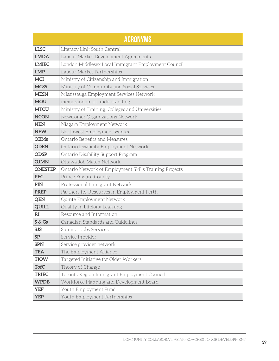| <b>ACRONYMS</b> |                                                        |  |
|-----------------|--------------------------------------------------------|--|
| <b>LLSC</b>     | Literacy Link South Central                            |  |
| <b>LMDA</b>     | Labour Market Development Agreements                   |  |
| <b>LMIEC</b>    | London Middlesex Local Immigrant Employment Council    |  |
| <b>LMP</b>      | Labour Market Partnerships                             |  |
| <b>MCI</b>      | Ministry of Citizenship and Immigration                |  |
| <b>MCSS</b>     | Ministry of Community and Social Services              |  |
| <b>MESN</b>     | Mississauga Employment Services Network                |  |
| <b>MOU</b>      | memorandum of understanding                            |  |
| <b>MTCU</b>     | Ministry of Training, Colleges and Universities        |  |
| <b>NCON</b>     | NewComer Organizations Network                         |  |
| <b>NEN</b>      | Niagara Employment Network                             |  |
| <b>NEW</b>      | Northwest Employment Works                             |  |
| <b>OBMs</b>     | Ontario Benefits and Measures                          |  |
| <b>ODEN</b>     | Ontario Disability Employment Network                  |  |
| <b>ODSP</b>     | Ontario Disability Support Program                     |  |
| <b>OJMN</b>     | Ottawa Job Match Network                               |  |
| <b>ONESTEP</b>  | Ontario Network of Employment Skills Training Projects |  |
| <b>PEC</b>      | Prince Edward County                                   |  |
| PIN             | Professional Immigrant Network                         |  |
| <b>PREP</b>     | Partners for Resources in Employment Perth             |  |
| <b>QEN</b>      | Quinte Employment Network                              |  |
| <b>QUILL</b>    | Quality in Lifelong Learning                           |  |
| RI              | Resource and Information                               |  |
| S & Gs          | Canadian Standards and Guidelines                      |  |
| <b>SJS</b>      | Summer Jobs Services                                   |  |
| SP              | Service Provider                                       |  |
| <b>SPN</b>      | Service provider network                               |  |
| <b>TEA</b>      | The Employment Alliance                                |  |
| <b>TIOW</b>     | Targeted Initiative for Older Workers                  |  |
| <b>TofC</b>     | Theory of Change                                       |  |
| <b>TRIEC</b>    | Toronto Region Immigrant Employment Council            |  |
| <b>WPDB</b>     | Workforce Planning and Development Board               |  |
| <b>YEF</b>      | Youth Employment Fund                                  |  |
| <b>YEP</b>      | Youth Employment Partnerships                          |  |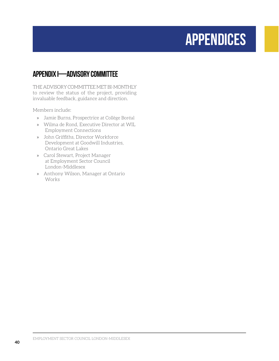# **APPENDIces**

# **APPENDIX I—ADVISORY COMMITTEE**

THE ADVISORY COMMITTEE MET BI-MONTHLY to review the status of the project, providing invaluable feedback, guidance and direction.

Members include:

- » Jamie Burns, Prospectrice at Collège Boréal
- » Wilma de Rond, Executive Director at WIL Employment Connections
- » John Griffiths, Director Workforce Development at Goodwill Industries, Ontario Great Lakes
- » Carol Stewart, Project Manager at Employment Sector Council London-Middlesex
- » Anthony Wilson, Manager at Ontario Works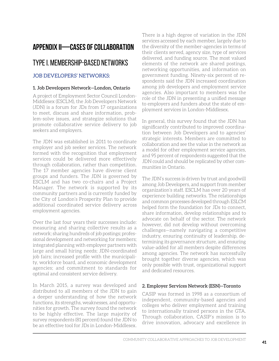# **APPENDIX II—CASES OF COLLABORATION**

## Type I. Membership-based networks

#### Job Developers' Networks:

#### **1. Job Developers Network—London, Ontario**

A project of Employment Sector Council London-Middlesex (ESCLM), the Job Developers Network (JDN) is a forum for JDs from 17 organizations to meet, discuss and share information, problem-solve issues, and strategize solutions that promote collaborative service delivery to job seekers and employers.

The JDN was established in 2011 to coordinate employer and job seeker services. The network formed with the recognition that employment services could be delivered more effectively through collaboration, rather than competition. The 17 member agencies have diverse client groups and funders. The JDN is governed by ESCLM and has two co-chairs and a Project Manager. The network is supported by its community partners and is currently funded by the City of London's Prosperity Plan to provide additional coordinated service delivery across employment agencies.

Over the last four years their successes include: measuring and sharing collective results as a network; sharing hundreds of job postings; professional development and networking for members; integrated planning with employer partners with large and small hiring needs; JDN-coordinated job fairs; increased profile with the municipality, workforce board, and economic development agencies; and commitment to standards for optimal and consistent service delivery.

In March 2015, a survey was developed and distributed to all members of the JDN to gain a deeper understanding of how the network functions, its strengths, weaknesses, and opportunities for growth. The survey found the network to be highly effective. The large majority of survey respondents (81 percent) found the JDN to be an effective tool for JDs in London-Middlesex.

There is a high degree of variation in the JDN services accessed by each member, largely due to the diversity of the member-agencies in terms of their clients served, agency size, type of services delivered, and funding source. The most valued elements of the network are shared postings, networking opportunities, and information on government funding. Ninety-six percent of respondents said the JDN increased coordination among job developers and employment service agencies. Also important to members was the role of the JDN in presenting a unified message to employers and funders about the state of employment services in London-Middlesex.

In general, this survey found that the JDN has significantly contributed to improved coordination between Job Developers and to agencies' strategic interests. Members are committed to collaboration and see the value in the network as a model for other employment service agencies, and 95 percent of respondents suggested that the JDN could and should be replicated by other communities in Ontario.

The JDN's success is driven by trust and goodwill among Job Developers, and support from member organization's staff. ESCLM has over 20 years of experience building networks. The relationships and common processes developed through ESLCM helped form the foundation for JDs to connect, share information, develop relationships and to advocate on behalf of the sector. The network however, did not develop without overcoming challenges—namely navigating a competitive industry, ensuring continuity of leadership, determining its governance structure, and ensuring value-added for all members despite differences among agencies. The network has successfully brought together diverse agencies, which was only possible with trust, organizational support and dedicated resources.

#### **2. Employer Services Network (ESN)—Toronto**

CASIP was formed in 1998 as a consortium of independent, community-based agencies and colleges who deliver employment and training to internationally trained persons in the GTA. Through collaboration, CASIP's mission is to drive innovation, advocacy and excellence in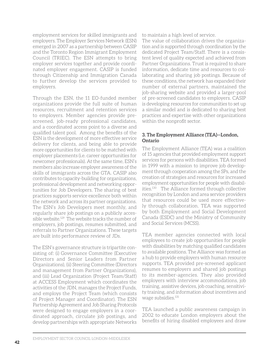employment services for skilled immigrants and employers. The Employer Services Network (ESN) emerged in 2007 as a partnership between CASIP and the Toronto Region Immigrant Employment Council (TRIEC). The ESN attempts to bring employer services together and provide coordinated employer engagement. CASIP is funded through Citizenship and Immigration Canada to further develop the services provided to employers.

Through the ESN, the 11 EO-funded member organizations provide the full suite of human resources, recruitment and retention services to employers. Member agencies provide prescreened, job-ready professional candidates, and a coordinated access point to a diverse and qualified talent pool. Among the benefits of the ESN is the development of more effective service delivery for clients, and being able to provide more opportunities for clients to be matched with employer placements (i.e. career opportunities for newcomer professionals). At the same time, ESN's members also increase employer awareness of the skills of immigrants across the GTA. CASIP also contributes to capacity-building for organizations, professional development and networking opportunities for Job Developers. The sharing of best practices supports service excellence both within the network and across its partner organizations. The ESN's Job Developers meet monthly, and regularly share job postings on a publicly accessible website.<sup>129</sup> The website tracks the number of employers, job postings, resumes submitted, and referrals to Partner Organizations. These targets are built into performance review of JDs.

The ESN's governance structure is tripartite consisting of: (i) Governance Committee (Executive Directors and Senior Leaders from Partner Organizations), (ii) Steering Committee (Directors and management from Partner Organizations), and (iii) Lead Organization (Project Team/Staff) at ACCESS Employment which coordinates the activities of the JDN, manages the Project Funds, and employs the Project Team (which consists of Project Manager and Coordinator). The ESN Partnership Agreement and Job Sharing Protocols were designed to engage employers in a coordinated approach, circulate job postings, and develop partnerships with appropriate Networks

to maintain a high level of service.

The value of collaboration drives the organization and is supported through coordination by the dedicated Project Team/Staff. There is a consistent level of quality expected and achieved from Partner Organizations. Trust is required to share information, dedicate time and resources to collaborating and sharing job postings. Because of these conditions, the network has expanded their number of external partners, maintained the job-sharing website and provided a larger-pool of pre-screened candidates to employers. CASIP is developing resources for communities to set up a similar model and is dedicated to sharing best practices and expertise with other organizations within the nonprofit sector.

#### **3. The Employment Alliance (TEA)—London, Ontario**

The Employment Alliance (TEA) was a coalition of 15 agencies that provided employment support services for persons with disabilities. TEA formed in 1999 with a mission to improve job development through cooperation among the SPs, and the creation of strategies and resources for increased employment opportunities for people with disabilities.130 The Alliance formed through collective recognition by London and area service providers that resources could be used more effectively through collaboration. TEA was supported by both Employment and Social Development Canada (ESDC) and the Ministry of Community and Social Services (MCSS).

TEA member agencies connected with local employees to create job opportunities for people with disabilities by matching qualified candidates to available positions. The Alliance was formed as a hub to provide employers with human resource supports. TEA provided pre-screened applicant resumes to employers and shared job postings to its member-agencies. They also provided employers with interview accommodations, job training, assistive devices, job coaching, sensitivity training, and information about incentives and wage subsidies.131

TEA launched a public awareness campaign in 2002 to educate London employers about the benefits of hiring disabled employees and draw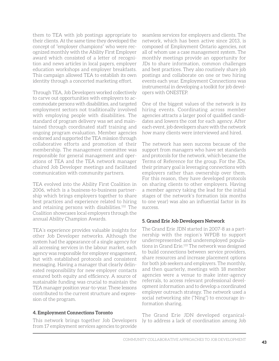them to TEA with job postings appropriate to their clients. At the same time they developed the concept of "employer champions" who were recognized monthly with the Ability First Employer award which consisted of a letter of recognition and news articles in local papers, employer education workshops and employer breakfasts. This campaign allowed TEA to establish its own identity through a concerted marketing effort.

Through TEA, Job Developers worked collectively to carve out opportunities with employers to accommodate persons with disabilities, and targeted employment sectors not traditionally involved with employing people with disabilities. The standard of program delivery was set and maintained through coordinated staff training and ongoing program evaluation. Member agencies endorsed and supported the TEA mission through collaborative efforts and promotion of their membership. The management committee was responsible for general management and operations of TEA and the TEA network manager chaired Job Developer meetings and facilitated communication with community partners.

TEA evolved into the Ability First Coalition in 2006, which is a business-to-business partnership which brings employers together to share best practices and experience related to hiring and retaining persons with disabilities.132 The Coalition showcases local employers through the annual Ability Champion Awards.

TEA's experience provides valuable insights for other Job Developer networks. Although the system had the appearance of a single agency for all accessing services in the labour market, each agency was responsible for employer engagement, but with established protocols and consistent messaging. Having a manager that clearly delineated responsibility for new employer contacts ensured both equity and efficiency. A source of sustainable funding was crucial to maintain the TEA manager position year-to-year. These lessons contributed to the current structure and expression of the program.

#### **4. Employment Connections Toronto**

This network brings together Job Developers from 17 employment services agencies to provide

seamless services for employers and clients. The network, which has been active since 2013, is composed of Employment Ontario agencies, not all of whom use a case management system. The monthly meetings provide an opportunity for JDs to share information, common challenges and best practices. They also routinely share job postings and collaborate on one or two hiring events each year. Employment Connections was instrumental in developing a toolkit for job developers with ONESTEP.

One of the biggest values of the network is its hiring events. Coordinating across member agencies attracts a larger pool of qualified candidates and lowers the cost for each agency. After each event, job developers share with the network how many clients were interviewed and hired.

The network has seen success because of the support from managers who have set standards and protocols for the network, which became the Terms of Reference for the group. For the JDs, their primary goal is leveraging connections with employers rather than ownership over them. For this reason, they have developed protocols on sharing clients to other employers. Having a member agency taking the lead for the initial stages of the network's formation (six months to one year) was also an influential factor in its success.

#### **5. Grand Erie Job Developers Network**

The Grand Erie JDN started in 2007-8 as a partnership with the region's WPDB to support underrepresented and underemployed populations in Grand Erie.<sup>133</sup> The network was designed to build connections between service providers, share resources and increase placement options for both job seekers and employers. The monthly, and then quarterly, meetings with 18 member agencies were a venue to make inter-agency referrals, to access relevant professional development information and to develop a coordinated employer outreach strategy. The network used a social networking site ("Ning") to encourage information sharing.

The Grand Erie JDN developed organically to address a lack of coordination among Job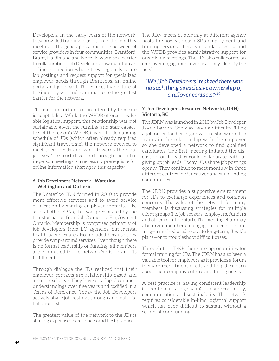Developers. In the early years of the network, they provided training in addition to the monthly meetings. The geographical distance between of service providers in four communities (Brantford, Brant, Haldimand and Norfolk) was also a barrier to collaboration. Job Developers now maintain an online connection where they regularly share job postings and request support for specialized employer needs through BrantJobs, an online portal and job board. The competitive nature of the industry was and continues to be the greatest barrier for the network.

The most important lesson offered by this case is adaptability. While the WPDB offered invaluable logistical support, this relationship was not sustainable given the funding and staff capacities of the region's WPDB. Given the demanding schedule of JDs (which often already required significant travel time), the network evolved to meet their needs and work towards their objectives. The trust developed through the initial in-person meetings is a necessary prerequisite for online information sharing in this capacity.

#### **6. Job Developers Network—Waterloo, Wellington and Dufferin**

The Waterloo JDN formed in 2010 to provide more effective services and to avoid service duplication by sharing employer contacts. Like several other SPNs, this was precipitated by the transformation from Job Connect to Employment Ontario. Membership is comprised primarily of job developers from EO agencies, but mental health agencies are also included because they provide wrap-around services. Even though there is no formal leadership or funding, all members are committed to the network's vision and its fulfillment.

Through dialogue the JDs realized that their employer contacts are relationship-based and are not exclusive. They have developed common understandings over five years and codified in a Terms of Reference. Today the Job Developers actively share job postings through an email distribution list.

The greatest value of the network to the JDs is sharing expertise, experiences and best practices. The JDN meets bi-monthly at different agency hosts to showcase each SP's employment and training services. There is a standard agenda and the WPDB provides administrative support for organizing meetings. The JDs also collaborate on employer engagement events as they identify the need.

#### *"We [Job Developers] realized there was no such thing as exclusive ownership of employer contacts."134*

#### **7. Job Developer's Resource Network (JDRN)— Victoria, BC**

The JDRN was launched in 2010 by Job Developer Jayne Barron. She was having difficulty filling a job order for her organization; she wanted to maintain the relationship with the employer so she developed a network to find qualified candidates. The first meeting initiated the discussion on how JDs could collaborate without giving up job leads. Today, JDs share job postings openly. They continue to meet monthly in three different centres in Vancouver and surrounding communities.

The JDRN provides a supportive environment for JDs to exchange experiences and common concerns. The value of the network for many members is discussing strategies for multiple client groups (i.e. job seekers, employers, funders and other frontline staff). The meeting chair may also invite members to engage in scenario planning—a method used to create long-term, flexible plans—or to troubleshoot difficult cases.

Through the JDNR there are opportunities for formal training for JDs. The JDRN has also been a valuable tool for employers as it provides a forum to share recruitment needs and help JDs learn about their company culture and hiring needs.

A best practice is having consistent leadership (rather than rotating chairs) to ensure continuity, communication and sustainability. The network requires considerable in-kind logistical support which has been difficult to sustain without a source of core funding.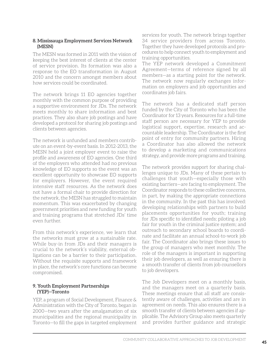#### **8. Mississauga Employment Services Network (MESN)**

The MESN was formed in 2011 with the vision of keeping the best interest of clients at the center of service provision. Its formation was also a response to the EO transformation in August 2010 and the concern amongst members about how services could be coordinated.

The network brings 11 EO agencies together monthly with the common purpose of providing a supportive environment for JDs. The network meets monthly to share information and best practices. They also share job postings and have developed a protocol for sharing job postings and clients between agencies.

The network is unfunded and members contribute on an event-by-event basis. In 2012-2013, the MESN held a joint employer event to raise the profile and awareness of EO agencies. One third of the employers who attended had no previous knowledge of EO supports so the event was an excellent opportunity to showcase EO supports for employers. However, the event required intensive staff resources. As the network does not have a formal chair to provide direction for the network, the MESN has struggled to maintain momentum. This was exacerbated by changing government priorities and new funding for youth and training programs that stretched JDs' time even further.

From this network's experience, we learn that the networks must grow at a sustainable rate. While buy-in from JDs and their managers is crucial to the network's viability, external obligations can be a barrier to their participation. Without the requisite supports and framework in place, the network's core functions can become compromised.

#### **9. Youth Employment Partnerships (YEP)—Toronto**

YEP, a program of Social Development, Finance & Administration with the City of Toronto, began in 2000—two years after the amalgamation of six municipalities and the regional municipality in Toronto—to fill the gaps in targeted employment services for youth. The network brings together 34 service providers from across Toronto. Together they have developed protocols and procedures to help connect youth to employment and training opportunities.

The YEP network developed a Commitment Agreement—terms of reference signed by all members—as a starting point for the network. The network now regularly exchanges information on employers and job opportunities and coordinates job fairs.

The network has a dedicated staff person funded by the City of Toronto who has been the Coordinator for 13 years. Resources for a full-time staff person are necessary for YEP to provide logistical support, expertise, research and accountable leadership. The Coordinator is the first point of entry for community partners. Hiring a Coordinator has also allowed the network to develop a marketing and communications strategy, and provide more programs and training.

The network provides support for sharing challenges unique to JDs. Many of these pertain to challenges that youth—especially those with existing barriers—are facing to employment. The Coordinator responds to these collective concerns, in part, by making the appropriate connections in the community. In the past this has involved: developing relationships with partners to build placements opportunities for youth; training for JDs specific to identified needs; piloting a job fair for youth in the criminal justice system; and outreach to secondary school boards to coordinate and facilitate an annual school-to-work job fair. The Coordinator also brings these issues to the group of managers who meet monthly. The role of the managers is important in supporting their job developers, as well as ensuring there is a smooth transfer of clients from job counsellors to job developers.

The Job Developers meet on a monthly basis, and the managers meet on a quarterly basis. These meetings ensure that all staff are consistently aware of challenges, activities and are in agreement on needs. This also ensures there is a smooth transfer of clients between agencies if applicable. The Advisory Group also meets quarterly and provides further guidance and strategic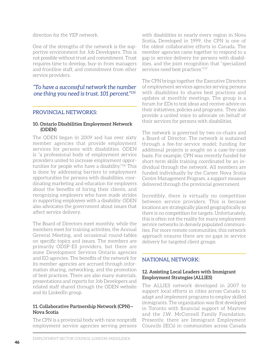direction for the YEP network.

One of the strengths of the network is the supportive environment for Job Developers. This is not possible without trust and commitment. Trust requires time to develop, buy-in from managers and frontline staff, and commitment from other service providers.

#### *"To have a successful network the number one thing you need is trust. 101 percent."135*

#### Provincial Networks:

#### **10. Ontario Disabilities Employment Network (ODEN)**

The ODEN began in 2009 and has over sixty member agencies that provide employment services for persons with disabilities. ODEN is "a professional body of employment service providers united to increase employment opportunities for people who have a disability."136 This is done by addressing barriers to employment opportunities for persons with disabilities, coordinating marketing and education for employers about the benefits of hiring their clients, and recognizing employers who have made strides in supporting employees with a disability. ODEN also advocates the government about issues that affect service delivery.

The Board of Directors meet monthly, while the members meet for training activities, the Annual General Meeting, and occasional round-tables on specific topics and issues. The members are primarily ODSP-ES providers, but there are some Development Services Ontario agencies and EO agencies. The benefits of the network for its member agencies are accrued through information sharing, networking, and the promotion of best practices. There are also many materials, presentations and reports for Job Developers and related staff shared through the ODEN website and its LinkedIn group.

#### **11. Collaborative Partnership Network (CPN)— Nova Scotia**

The CPN is a provincial body with nine nonprofit employment service agencies serving persons

with disabilities in nearly every region in Nova Scotia**.** Developed in 1999, the CPN is one of the oldest collaborative efforts in Canada. The member agencies came together to respond to a gap in service delivery for persons with disabilities, and the joint recognition that "specialized services need best practices."137

The CPN brings together the Executive Directors of employment services agencies serving persons with disabilities to shares best practices and updates at monthly meetings. The group is a forum for EDs to test ideas and receive advice on their initiatives, policies and programs. They also provide a united voice to advocate on behalf of their services for persons with disabilities.

The network is governed by two co-chairs and a Board of Director. The network is sustained through a fee-for-service model; funding for additional projects is sought on a case-by-case basis. For example, CPN was recently funded for short-term skills training coordinated by an individual through the network. All members are funded individually by the Career Nova Scotia Centre Management Program, a support measure delivered through the provincial government.

Incredibly, there is virtually no competition between service providers. This is because locations are strategically placed geographically so there is no competition for targets. Unfortunately, this is often not the reality for many employment service networks in densely populated communities. For more remote communities, this network approach ensures there are no gaps in service delivery for targeted client groups.

#### National Network:

#### **12. Assisting Local Leaders with Immigrant Employment Strategies (ALLIES)**

The ALLIES network developed in 2007 to support local efforts in cities across Canada to adapt and implement programs to employ skilled immigrants. The organization was first developed in Toronto with financial support of Maytree and the J.W. McConnell Family Foundation. Presently, there are Immigrant Employment Councils (IECs) in communities across Canada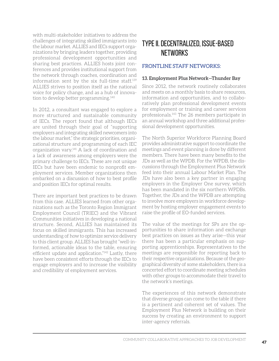with multi-stakeholder initiatives to address the challenges of integrating skilled immigrants into the labour market. ALLIES and IECs support organizations by bringing leaders together, providing professional development opportunities and sharing best practices. ALLIES hosts joint conferences and provides institutional support from the network through coaches, coordination and information sent by the six full-time staff.139 ALLIES strives to position itself as the national voice for policy change, and as a hub of innovation to develop better programming.140

In 2012, a consultant was engaged to explore a more structured and sustainable community of IECs. The report found that although IECs are united through their goal of "supporting employers and integrating skilled newcomers into the labour market," the strategic priorities, organizational structure and programming of each IEC organization vary.141 A lack of coordination and a lack of awareness among employers were the primary challenge to IECs. These are not unique IECs but have been endemic to nonprofit employment services. Member organizations then embarked on a discussion of how to best profile and position IECs for optimal results.

There are important best practices to be drawn from this case. ALLIES learned from other organizations such as the Toronto Region Immigrant Employment Council (TRIEC) and the Vibrant Communities initiatives in developing a national structure. Second, ALLIES has maintained its focus on skilled immigrants. This has increased understanding of how to optimize service delivery to this client group. ALLIES has brought "well-informed, actionable ideas to the table, ensuring efficient update and application."142 Lastly, there have been consistent efforts through the IECs to engage employers and to increase the visibility and credibility of employment services.

# Type II. Decentralized, issue-based networks

#### Frontline Staff Networks:

#### **13. Employment Plus Network—Thunder Bay**

Since 2012, the network routinely collaborates and meets on a monthly basis to share resources, information and opportunities, and to collaboratively plan professional development events for employment or training and career services professionals.143 The 26 members participate in an annual workshop and three additional professional development opportunities.

The North Superior Workforce Planning Board provides administrative support to coordinate the meetings and event planning is done by different members. There have been many benefits to the JDs as well as the WPDB. For the WPDB, the discussions through the Employment Plus Network feed into their annual Labour Market Plan. The JDs have also been a key partner in engaging employers in the Employer One survey, which has been mandated in the six northern WPDBs. Together, the JDs and the WPDB are attempting to involve more employers in workforce development by hosting employer engagement events to raise the profile of EO-funded services.

The value of the meetings for SPs are the opportunities to share information and exchange best practices on issues as they arise—this year there has been a particular emphasis on supporting apprenticeships. Representatives to the meetings are responsible for reporting back to their respective organizations. Because of the geographical diversity of some stakeholders, there is a concerted effort to coordinate meeting schedules with other groups to accommodate their travel to the network's meetings.

The experiences of this network demonstrate that diverse groups can come to the table if there is a pertinent and coherent set of values. The Employment Plus Network is building on their success by creating an environment to support inter-agency referrals.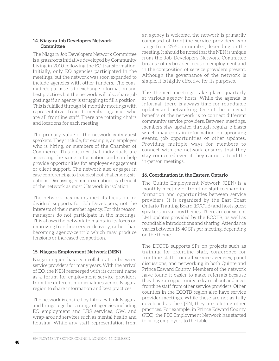#### **14. Niagara Job Developers Network Committee**

The Niagara Job Developers Network Committee is a grassroots initiative developed by Community Living in 2010 following the EO transformation. Initially, only EO agencies participated in the meetings, but the network was soon expanded to include agencies with other funders. The committee's purpose is to exchange information and best practices but the network will also share job postings if an agency is struggling to fill a position. This is fulfilled through bi-monthly meetings with representatives from its member agencies who are all frontline staff. There are rotating chairs and locations for each meeting.

The primary value of the network is its guest speakers. They include, for example, an employer who is hiring, or members of the Chamber of Commerce. This ensures that individuals are accessing the same information and can help provide opportunities for employer engagement or client support. The network also engages in case conferencing to troubleshoot challenging situations. Discussing common situations is a benefit of the network as most JDs work in isolation.

The network has maintained its focus on individual supports for Job Developers, not the interests of their member agency. For this reason, managers do not participate in the meetings. This allows the network to maintain its focus on improving frontline service delivery, rather than becoming agency-centric which may produce tensions or increased competition.

#### **15. Niagara Employment Network (NEN)**

Niagara region has seen collaboration between service providers for many years. With the arrival of EO, the NEN reemerged with its current name as a forum for employment service providers from the different municipalities across Niagara region to share information and best practices.

The network is chaired by Literacy Link Niagara and brings together a range of agencies including EO employment and LBS services, OW, and wrap-around services such as mental health and housing. While any staff representation from an agency is welcome, the network is primarily composed of frontline service providers who range from 25-50 in number, depending on the meeting. It should be noted that the NEN is unique from the Job Developers Network Committee because of its broader focus on employment and in the composition of service providers present. Although the governance of the network is simple, it is highly effective for its purposes.

The themed meetings take place quarterly at various agency hosts. While the agenda is informal, there is always time for roundtable updates and networking. One of the principal benefits of the network is to connect different community service providers. Between meetings, members stay updated through regular e-blasts which may contain information on upcoming events, job opportunities or other updates. Providing multiple ways for members to connect with the network ensures that they stay connected even if they cannot attend the in-person meetings.

#### **16. Coordination in the Eastern Ontario**

The Quinte Employment Network (QEN) is a monthly meeting of frontline staff to share information and opportunities between service providers. It is organized by the East Coast Ontario Training Board (ECOTB) and hosts guest speakers on various themes. There are consistent LMI updates provided by the ECOTB, as well as roundtable introductions and sharing. Attendance varies between 15-40 SPs per meeting, depending on the theme.

The ECOTB supports SPs on projects such as training for frontline staff, conference for frontline staff from all service agencies, panel discussions, and networking in both Quinte and Prince Edward County. Members of the network have found it easier to make referrals because they have an opportunity to learn about and meet frontline staff from other service providers. Other counties in the ECOTB region also have service provider meetings. While these are not as fully developed as the QEN, they are piloting other practices. For example, in Prince Edward County (PEC), the PEC Employment Network has started to bring employers to the table.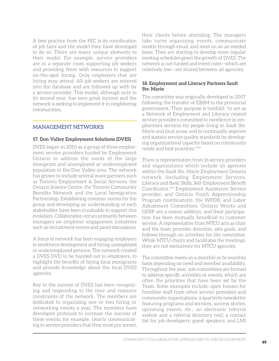A best practice from the PEC is its coordination of job fairs and the model they have developed to do so. There are many unique elements to their model. For example, service providers are in a separate room supporting job seekers and providing them with resources to support on-the-spot hiring. Only employers that are hiring may attend. All job seekers are entered into the database and are followed up with by a service provider. This model, although only in its second year, has seen great success and the network is seeking to implement it in neighboring communities.

#### Management Networks:

#### **17. Don Valley Employment Solutions (DVES)**

DVES began in 2010 as a group of three employment service providers funded by Employment Ontario to address the needs of the large immigrant and unemployed or underemployed population in the Don Valley area. The network has grown to include several more partners such as Toronto Employment & Social Services, the Ontario Science Centre, the Toronto Community Benefits Network and the Local Immigration Partnership. Establishing common norms for the group and developing an understanding of each stakeholder have been invaluable to support this evolution. Collaboration occurs primarily between managers on employer engagement initiatives such as recruitment events and panel discussions.

A focus of network has been engaging employers in workforce development and hiring unemployed or underemployed persons. The network created a DVES DVD to be handed out to employers, to highlight the benefits of hiring local immigrants and provide knowledge about the local DVES agencies.

Key to the success of DVES has been recognizing and responding to the time and resource constraints of the network. The members are dedicated to organizing one or two hiring or networking events a year. The members have developed protocols to increase the success of these events, for example, clearly communicating to service providers that they must pre-screen

their clients before attending. The managers take turns organizing events, communicate mostly through email, and meet on an as-needed basis. They are starting to develop more regular meeting schedules given the growth of DVES. The network is not funded and event costs—which are relatively low—are shared between all agencies.

#### **18. Employment and Literacy Partners Sault Ste. Marie**

The committee was originally developed in 2007 following the transfer of EBSM to the provincial government. Their purpose is twofold: "to act as a Network of Employment and Literacy related service providers committed to excellence in employment services for people living in Sault Ste. Marie and local areas; and to continually improve and sustain service quality standards by developing organizational capacity based on community needs and best practices."144

There is representation from 16 service providers and organizations which include all agencies within the Sault Ste. Marie Employment Ontario network (including Employment Services, Literacy and Basic Skills, Self-Employment Benefit Coordinator,145 Employment Assistance Service provider, and Ontario Youth Apprenticeship Program coordinators), the WPDB, and Labor Adjustment Committees. Ontario Works and ODSP are a recent addition, and their participation has been mutually beneficial to customer service. A representative from MTCU acts as chair and the team provides direction, sets goals, and follows through on activities for the committee. While MTCU chairs and facilitates the meetings, they are not exclusively for MTCU agencies.

The committee meets on a monthly or bi-monthly basis depending on need and member availability. Throughout the year, sub-committees are formed to address specific activities or events, which are often the priorities that have been set by the Team. Some examples include: open houses for frontline staff from other service providers and community organizations; a quarterly newsletter featuring programs and services, success stories, upcoming events, etc.; an electronic referral system and a referral directory tool; a contact list for job developers; guest speakers; and LMI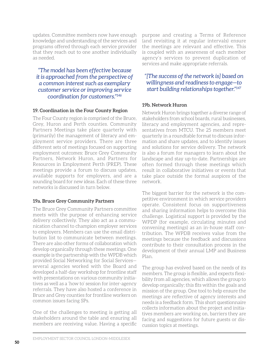updates. Committee members now have enough knowledge and understanding of the services and programs offered through each service provider that they reach out to one another individually as needed.

*"The model has been effective because it is approached from the perspective of a common interest such as exemplary customer service or improving service coordination for customers."146*

#### **19. Coordination in the Four County Region**

The Four County region is comprised of the Bruce, Grey, Huron and Perth counties. Community Partners Meetings take place quarterly with (primarily) the management of literacy and employment service providers. There are three different sets of meetings focused on supporting employment outcomes: Bruce Grey Community Partners, Network Huron, and Partners for Resources in Employment Perth (PREP). These meetings provide a forum to discuss updates, available supports for employers, and are a sounding board for new ideas. Each of these three networks is discussed in turn below.

#### **19a. Bruce Grey Community Partners**

The Bruce Grey Community Partners committee meets with the purpose of enhancing service delivery collectively. They also act as a communication channel to champion employer services to employers. Members can use the email distribution list to communicate between meetings. There are also other forms of collaboration which develop organically through these meetings. One example is the partnership with the WPDB which provided Social Networking for Social Services several agencies worked with the Board and developed a half-day workshop for frontline staff with presentations on various community initiatives as well as a 'how to' session for inter-agency referrals. They have also hosted a conference in Bruce and Grey counties for frontline workers on common issues facing SPs.

One of the challenges to meeting is getting all stakeholders around the table and ensuring all members are receiving value. Having a specific

purpose and creating a Terms of Reference (and revisiting it at regular intervals) ensure the meetings are relevant and effective. This is coupled with an awareness of each member agency's services to prevent duplication of services and make appropriate referrals.

#### *"[The success of the network is] based on willingness and readiness to engage—to start building relationships together."147*

#### **19b. Network Huron**

Network Huron brings together a diverse range of stakeholders from school boards, rural businesses, literacy and employment agencies, and representatives from MTCU. The 25 members meet quarterly in a roundtable format to discuss information and share updates, and to identify issues and solutions for service delivery. The network is also a forum for managers to learn about the landscape and stay up-to-date. Partnerships are often formed through these meetings which result in collaborative initiatives or events that take place outside the formal auspices of the network.

The biggest barrier for the network is the competitive environment in which service providers operate. Consistent focus on supportiveness and sharing information helps to overcome this challenge. Logistical support is provided by the WPDP (for example, circulating minutes and convening meetings) as an in-house staff contribution. The WPDB receives value from the meetings because the feedback and discussions contribute to their consultation process in the development of their annual LMP and Business Plan.

The group has evolved based on the needs of its members. The group is flexible, and expects flexibility from all agencies, which allows the group to develop organically; this fits within the goals and mission of the group. One tool to help ensure the meetings are reflective of agency interests and needs is a feedback form. This short questionnaire collects information about the project and initiatives members are working on, barriers they are facing and suggestions for future guests or discussion topics at meetings.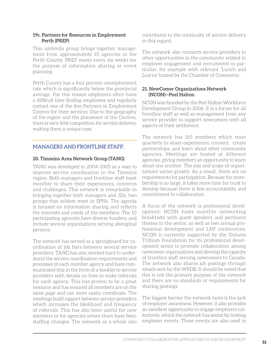#### **19c. Partners for Resources in Employment Perth (PREP)**

This umbrella group brings together management from approximately 10 agencies in the Perth County. PREP meets every six weeks for the purpose of information sharing or event planning.

Perth County has a four percent unemployment rate which is significantly below the provincial average. For this reason employers often have a difficult time finding employees and regularly contact one of the five Partners in Employment Centres for their services. Due to the geography of the region and the placement of the Centres, there is very little competition for service delivery, making them a unique case.

#### Managers and frontline staff:

#### **20. Timmins Area Network Group (TANG)**

TANG was developed in 2004-2005 as a way to improve service coordination in the Timmins region. Both managers and frontline staff meet monthly to share their experiences, concerns and challenges. This network is remarkable in bringing together both managers and JDs, two groups that seldom meet in SPNs. The agenda is focused on information sharing and reflects the interests and needs of the members. The 10 participating agencies have diverse funders, and include several organizations serving aboriginal persons.

The network has served as a springboard for coordination of job fairs between several service providers. TANG has also worked hard to understand the service coordination requirements and processes of each member agency and have communicated this in the form of a booklet to service providers with details on how to make referrals for each agency. This has proven to be a great resource and has ensured all members are on the same page and can more easily coordinate. The meetings build rapport between service providers which increases the likelihood and frequency of referrals. This has also been useful for new members or for agencies where there have been staffing changes. The network as a whole also

contributes to the continuity of service delivery in this regard.

The network also connects service providers to other opportunities in the community related to employer engagement and recruitment in particular, for example with relevant 'Lunch and Learns' hosted by the Chamber of Commerce.

#### **21. NewComer Organizations Network (NCON)—Peel Halton**

NCON was founded by the Peel Halton Workforce Development Group in 2006. It is a forum for all frontline staff as well as management from any service provider to support newcomers with all aspects of their settlement.

The network has 165 members which meet quarterly to share experiences, connect, create partnerships, and learn about other community agencies. Meetings are hosted at different agencies, giving members an opportunity to learn about one another. The size and scope of organizations varies greatly. As a result, there are no requirements for participation. Because the membership is so large, it takes more time for trust to develop because there is less accountability and commitment to collaboration.

A focus of the network is professional development: NCON hosts monthly networking breakfasts with guest speakers and pertinent themes to the sector, as well as two annual professional development and LMI conferences. NCON is currently supported by the Ontario Trillium Foundation for its professional development series to promote collaboration among newcomer organizations and develop the capacity of frontline staff serving newcomers to Canada. The network also shares job postings through emails sent by the WPDB. It should be noted that this is not the primary purpose of the network and there are no standards or requirements for sharing postings.

The biggest barrier the network faces is the lack of employer awareness. However, it also provides an excellent opportunity to engage employers collectively, which the network has seized by hosting employer events. These events are also used to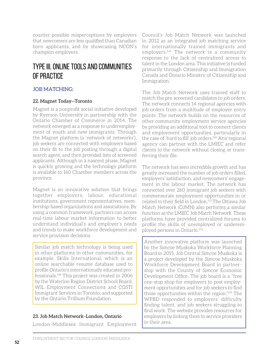counter possible misperceptions by employers that newcomers are less qualified than Canadian born applicants, and by showcasing NCON's champion employers.

# Type III. Online tools and communities of practice

#### JOB MATCHING:

#### **22. Magnet Today—Toronto**

Magnet is a nonprofit social initiative developed by Ryerson University in partnership with the Ontario Chamber of Commerce in 2014. The network emerged as a response to underemployment of youth and new immigrants. Through the Magnet platform (a 'network of networks'), job seekers are connected with employers based on their fit to the job posting through a digital search agent, and then provided lists of screened applicants. Although in a nascent phase, Magnet is quickly growing and the technology platform is available to 160 Chamber members across the province.

Magnet is an innovative solution that brings together employers, labour, educational institutions, government representatives, membership-based organizations and associations. By using a common framework, partners can access real-time labour market information to better understand individual's and employer's needs and trends to make workforce development and service provision decisions.

Similar job match technology is being used in other platforms in other communities, for example, Skills International, which is an online searchable resume database used to profile Ontario's internationally educated professionals.148 This project was created in 2006 by the Waterloo Region District School Board, WIL Employment Connections and COSTI Immigrant Services in Toronto, and supported by the Ontario Trillium Foundation.

#### **23. Job Match Network–London, Ontario**

London-Middlesex Immigrant Employment

Council's Job Match Network was launched in 2012 as an integrated job matching service for internationally trained immigrants and employers.149 The network is a community response to the lack of centralized access to talent in the London area. This initiative is funded primarily through Citizenship and Immigration Canada and Ontario Ministry of Citizenship and Immigration.

The Job Match Network uses trained staff to match the pre-screened candidates to job orders. The network connects 14 regional agencies with job orders from a multitude of employer entry points. The network builds on the resources of other community employment service agencies by providing an additional tool to connect clients and employment opportunities, particularly in the case of 'hard to fill' job orders.<sup>150</sup> Any regional agency can partner with the LMIEC and refer clients to the network without closing or transferring their file.

The network has seen incredible growth and has greatly increased the number of job orders filled, employers' satisfaction, and newcomers' engagement in the labour market. The network has connected over 260 immigrant job seekers with commensurate employment opportunities in or related to their field in London.151 The Ottawa Job Match Network (OJMN) also performs a similar function as the LMIEC Job Match Network. These platforms have provided centralized forums to profile the skills of unemployed or underemployed persons in Ontario.152

Another innovative platform was launched by the Simcoe Muskoka Workforce Planning Board in 2015. Job Central Simcoe Muskoka is a project developed by the Simcoe Muskoka Workforce Development Board in partnership with the County of Simcoe Economic Development Office. The job board is a "free one-stop shop for employers to post employment opportunities and for job seekers to find those opportunities within the region."153 The WPBD responded to employers' difficulty finding talent, and job seekers struggling to find work. The website provides resources for employers by linking them to service providers in their area.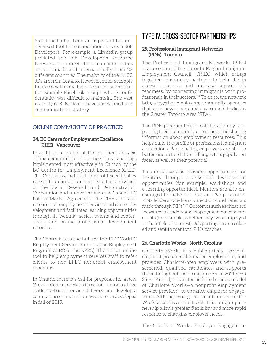Social media has been an important but under-used tool for collaboration between Job Developers. For example, a LinkedIn group predated the Job Developer's Resource Network to connect JDs from communities across Canada and internationally from 22 different countries. The majority of the 4,400 JDs are from Ontario. However, other attempts to use social media have been less successful, for example Facebook groups where confidentiality was difficult to maintain. The vast majority of SPNs do not have a social media or communications strategy.

#### Online Community of Practice:

#### **24. BC Centre for Employment Excellence (CfEE)—Vancouver**

In addition to online platforms, there are also online communities of practice. This is perhaps implemented most effectively in Canada by the BC Centre for Employment Excellence (CfEE). The Centre is a national nonprofit social policy research organization established as a division of the Social Research and Demonstration Corporation and funded through the Canada-BC Labour Market Agreement. The CfEE generates research on employment services and career development and facilitates learning opportunities through its webinar series, events and conferences, and online professional development resources.

The Centre is also the hub for the 100 WorkBC Employment Services Centres [the Employment Program of BC or the EPBC]. There is an online tool to help employment services staff to refer clients to non-EPBC nonprofit employment programs.

In Ontario there is a call for proposals for a new Ontario Centre for Workforce Innovation to drive evidence-based service delivery and develop a common assessment framework to be developed in fall of 2015.

## Type IV. Cross-sector Partnerships

#### **25. Professional Immigrant Networks (PINs)—Toronto**

The Professional Immigrant Networks (PINs) is a program of the Toronto Region Immigrant Employment Council (TRIEC) which brings together community partners to help clients access resources and increase support job readiness, by connecting immigrants with professionals in their sectors.<sup>154</sup> To do so, the network brings together employers, community agencies that serve newcomers, and government bodies in the Greater Toronto Area (GTA).

The PINs program fosters collaboration by supporting their community of partners and sharing information about employment resources. This helps build the profile of professional immigrant associations. Participating employers are able to better understand the challenges this population faces, as well as their potential.

This initiative also provides opportunities for mentors through professional development opportunities (for example, workshops and e-learning opportunities). Mentors are also encouraged to make referrals and "93 percent of PINs leaders acted on connections and referrals made through PINs."155 Outcomes such as these are measured to understand employment outcomes of clients (for example, whether they were employed in their field of interest). Job postings are circulated and sent to mentors' PINs coaches.

#### **26. Charlotte Works—North Carolina**

Charlotte Works is a public-private partnership that prepares clients for employment, and provides Charlotte-area employers with prescreened, qualified candidates and supports them throughout the hiring process. In 2011, CEO Steve Partridge transformed the business model of Charlotte Works—a nonprofit employment service provider—to enhance employer engagement. Although still government funded by the Workforce Investment Act, this unique partnership allows greater flexibility and more rapid response to changing employer needs.

The Charlotte Works Employer Engagement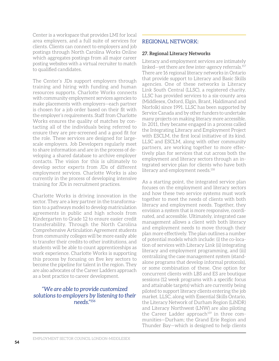Center is a workspace that provides LMI for local area employers, and a full suite of services for clients. Clients can connect to employers and job postings through North Carolina Works Online which aggregates postings from all major career posting websites with a virtual recruiter to match to qualified candidates.

The Center's JDs support employers through training and hiring with funding and human resources supports. Charlotte Works connects with community employment services agencies to make placements with employers—each partner is chosen for a job order based on their fit with the employer's requirements. Staff from Charlotte Works ensures the quality of matches by contacting all of the individuals being referred to ensure they are pre-screened and a good fit for the role. These services are designed for largescale employers. Job Developers regularly meet to share information and are in the process of developing a shared database to archive employer contacts. The vision for this is ultimately to develop sector experts from JDs of different employment services. Charlotte Works is also currently in the process of developing intensive training for JDs in recruitment practices.

Charlotte Works is driving innovation in the sector. They are a key partner in the transformation to a pathways model to develop matriculation agreements in public and high schools from Kindergarten to Grade 12 to ensure easier credit transferability. Through the North Carolina Comprehensive Articulation Agreement students from community colleges will be more easily able to transfer their credits to other institutions, and students will be able to count apprenticeships as work experience. Charlotte Works is supporting this process by focusing on five key sectors to become the pipeline for talent in the region. They are also advocates of the Career Ladders approach as a best practice to career development.

#### *"We are able to provide customized solutions to employers by listening to their needs."156*

#### Regional Network:

#### **27. Regional Literacy Networks**

Literacy and employment services are intimately linked—yet there are few inter-agency referrals.157 There are 16 regional literacy networks in Ontario that provide support to Literacy and Basic Skills agencies. One of these networks is Literacy Link South Central (LLSC), a registered charity. LLSC has provided services to a six-county area (Middlesex, Oxford, Elgin, Brant, Haldimand and Norfolk) since 1991. LLSC has been supported by Service Canada and by other funders to undertake many projects on making literacy more accessible. In 2011, they became engaged in a process called the Integrating Literacy and Employment Project with ESCLM, the first local initiative of its kind. LLSC and ESCLM, along with other community partners, are working together to more effectively plan for services that cut across both the employment and literacy sectors through an integrated service plan for clients who have both literacy and employment needs.<sup>158</sup>

As a starting point, the integrated service plan focuses on the employment and literacy sectors and how these two service systems must work together to meet the needs of clients with both literacy and employment needs. Together, they envision a system that is more responsive, coordinated, and accessible. Ultimately, integrated case management allows a client with both literacy and employment needs to move through their plan more effectively. The plan outlines a number of potential models which include: (i) the co-location of services with Literacy Link (ii) integrating literacy and employment programming, and (iii) centralizing the case management system (standalone programs that develop informal protocols), or some combination of these. One option for concurrent clients with LBS and ES are boutique sessions (12 week programs with a specific focus and attainable targets) which are currently being piloted to support literacy clients entering the job market. LLSC, along with Essential Skills Ontario, the Literacy Network of Durham Region (LiNDR) and Literacy Northwest (LNW) are also piloting the Career Ladder approach<sup>159</sup> in three communities—Durham; the Grand Erie Region and Thunder Bay—which is designed to help clients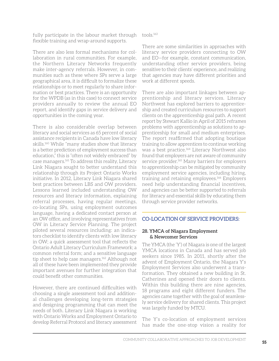fully participate in the labour market through flexible training and wrap-around supports.

There are also less formal mechanisms for collaboration in rural communities. For example, the Northern Literacy Networks frequently make inter-agency referrals. However, in communities such as these where SPs serve a large geographical area, it is difficult to formalize these relationships or to meet regularly to share information or best practices. There is an opportunity for the WPDB (as in this case) to connect service providers annually to review the annual EO report, and identify gaps in service delivery and opportunities in the coming year.

There is also considerable overlap between literacy and social services as 65 percent of social assistance recipients in Canada have low literacy skills.<sup>160</sup> While "many studies show that literacy is a better prediction of employment success than education," this is "often not widely embraced" by case managers.161 To address this reality, Literacy Link Niagara sought to better understand this relationship through its Project Ontario Works initiative. In 2012, Literacy Link Niagara shared best practices between LBS and OW providers. Lessons learned included understanding OW resources and literacy information, explaining referral processes, having regular meetings, co-locating SPs, using employment outcomes language, having a dedicated contact person at an OW office, and involving representatives from OW in Literacy Service Planning. The project piloted several resources including: an indicators checklist to identify clients with low literacy in OW; a quick assessment tool that reflects the Ontario Adult Literacy Curriculum Framework; a common referral form; and a sensitive language tip sheet to help case managers.<sup>162</sup> Although not all of these have been implemented they provide important avenues for further integration that could benefit other communities.

However, there are continued difficulties with choosing a single assessment tool and additional challenges developing long-term strategies and designing programming that can meet the needs of both. Literacy Link Niagara is working with Ontario Works and Employment Ontario to develop Referral Protocol and literacy assessment tools.163

There are some similarities in approaches with literacy service providers connecting to OW and EO—for example, constant communication, understanding other service providers, being sensitive to their clients' experience, and realizing that agencies may have different priorities and work at different speeds.

There are also important linkages between apprenticeship and literacy services. Literacy Northwest has explored barriers to apprenticeship and created curriculum resources to support clients on the apprenticeship goal path. A recent report by Stewart Kallio in April of 2015 reframes problems with apprenticeship as solutions to apprenticeship for small and medium enterprises. The report reaffirmed that adopting boutique training to allow apprentices to continue working was a best practice.<sup>164</sup> Literacy Northwest also found that employers are not aware of community service provider.<sup>165</sup> Many barriers for employers to apprenticeship can be mitigated by community employment service agencies, including hiring, training and retaining employees.<sup>166</sup> Employers need help understanding financial incentives, and agencies can be better supported to referrals for literacy and essential skills by educating them through service provider networks.

#### Co-location of service providers:

#### **28. YMCA of Niagara Employment & Newcomer Services**

The YMCA (the 'Y') of Niagara is one of the largest YMCA locations in Canada and has served job seekers since 1985. In 2011, shortly after the advent of Employment Ontario, the Niagara Y's Employment Services also underwent a transformation. They obtained a new building in St. Catherines and opened their doors to clients. Within this building there are nine agencies, 18 programs and eight different funders. The agencies came together with the goal of seamlessly service delivery for shared clients. This project was largely funded by MTCU.

The Y's co-location of employment services has made the one-stop vision a reality for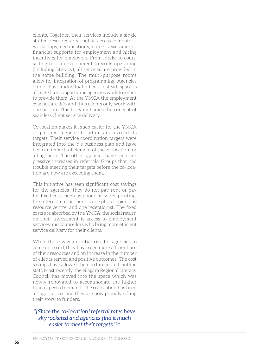clients. Together, their services include a single staffed resource area, public access computers, workshops, certifications, career assessments, financial supports for employment and hiring incentives for employers. From intake to counselling to job development to skills upgrading (including literacy), all services are provided in the same building. The multi-purpose rooms allow for integration of programming. Agencies do not have individual offices; instead, space is allocated for supports and agencies work together to provide them. At the YMCA the employment coaches are JDs and thus clients only work with one person. This truly embodies the concept of seamless client service delivery.

Co-location makes it much easier for the YMCA or partner agencies to attain and exceed its targets. Their service coordination targets were integrated into the Y's business plan and have been an important element of the co-location for all agencies. The other agencies have seen impressive increases in referrals. Groups that had trouble meeting their targets before the co-location are now are exceeding them.

This initiative has seen significant cost savings for the agencies—they do not pay rent or pay for fixed costs such as phone services, printing, the Internet etc. as there is one photocopier, one resource centre, and one receptionist. The fixed costs are absorbed by the YMCA; the social return on their investment is access to employment services and counsellors who bring more efficient service delivery for their clients.

While there was an initial risk for agencies to come on board, they have seen more efficient use of their resources and an increase in the number of clients served and positive outcomes. The cost savings have allowed them to hire more frontline staff. Most recently, the Niagara Regional Literacy Council has moved into the space which was newly renovated to accommodate the higher than expected demand. The co-location has been a huge success and they are now proudly telling their story to funders.

#### *"[Since the co-location] referral rates have skyrocketed and agencies find it much easier to meet their targets."167*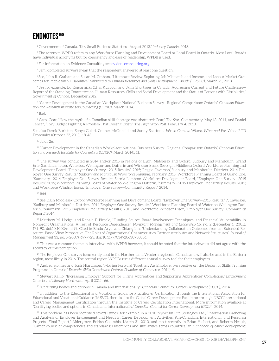### **Endnotes168**

1 Government of Canada, "Key Small Business Statistics—August 2013," *Industry Canada*, 2013.

2 The acronym WPDB refers to any Workforce Planning and Development Board or Local Board in Ontario. Most Local Boards have individual acronyms but for consistency and ease of readership, WPDB is used.

<sup>3</sup> For information on Evidence Consulting see evidence consulting.org.

4 Semi-completed surveys mean that the respondent answered at least one question.

5 See, John R. Graham and Susan M. Graham, "Literature Review Exploring Job Mismatch and Income, and Labour Market Outcomes for People with Disabilities," Submitted to *Human Resources and Skills Development Canada (HRSDC)*, March 25, 2013.

6 See for example, Ed Komarnicki (Chair),"Labour and Skills Shortages in Canada: Addressing Current and Future Challenges— Report of the Standing Committee on Human Resources, Skills and Social Development and the Status of Persons with Disabilities," *Government of Canada*, December 2012.

<sup>7</sup> "Career Development in the Canadian Workplace: National Business Survey—Regional Comparison: Ontario," *Canadian Education and Research Institute for Counselling (CERIC)*, March 2014.

<sup>8</sup> Ibid.

9 Carol Goar, "How the myth of a Canadian skill shortage was shattered: Goar," *The Star*, Commentary, May 13, 2014, and Daniel Tencer, "Tory Budget Fighting A Problem That Doesn't Exist?" *The Huffington Post*, February 4, 2013.

See also Derek Burleton, Sonya Gulati, Conner McDonald and Sonny Scarfone, *Jobs in Canada: Where, What and For Whom?* TD Economics (October 22, 2013), 18-43.

<sup>10</sup> Ibid., 26.

<sup>11</sup> "Career Development in the Canadian Workplace: National Business Survey—Regional Comparison: Ontario," *Canadian Education and Research Institute for Counselling (CERIC)* (March 2014), 11.

 $12$  The survey was conducted in 2014 and/or 2015 in regions of Elgin, Middlesex and Oxford, Sudbury and Manitoulin, Grand Erie, Sarnia Lambton, Waterloo, Wellington and Dufferin and Windsor Essex. See Elgin Middlesex Oxford Workforce Planning and Development Board, "Employer One Survey—2015 Results," 2015; Reggie Caverson,"Sudbury and Manitoulin Districts, 2014 Employer One Survey Results," *Sudbury and Manitoulin Workforce Planning*, February 2015; Workforce Planning Board of Grand Erie, "Summary—2014 Employer One Survey Results; Sarnia Lambton Workforce Development Board, "Employer One Survey—2015 Results," 2015; Workforce Planning Board of Waterloo Wellington Dufferin, "Summary—2015 Employer One Survey Results, 2015; and Workforce Windsor Essex, "Employer One Survey—Community Report," 2014.

 $13$  Ibid.

<sup>14</sup> See Elgin Middlesex Oxford Workforce Planning and Development Board, "Employer One Survey—2015 Results," 7, Caverson, "Sudbury and Manitoulin Districts, 2014 Employer One Survey Results," Workforce Planning Board of Waterloo Wellington Dufferin, "Summary—2015 Employer One Survey Results," 2015, and Workforce Windsor Essex, "Employer One Survey—Community Report," 2014.

<sup>15</sup> Matthew M. Hodge, and Ronald F. Piccolo, "Funding Source, Board Involvement Techniques, and Financial Vulnerability in Nonprofit Organizations: A Test of Resource Dependence," *Nonprofit Management and Leadership* 16, no. 2 (December 1, 2005), 171–90, doi:10.1002/nml.99. Cited in Bindu Arya, and Zhiang Lin, "Understanding Collaboration Outcomes from an Extended Resource-Based View Perspective: The Roles of Organizational Characteristics, Partner Attributes and Network Structures," *Journal of Management* 33, no. 5 (2007), 697–723, doi: 10.1177/014920630730556.

 $16$  This was a common theme in interviews with WPDB however, it should be noted that the interviewees did not agree with the accuracy of this perception.

 $17$  The Employer One survey is currently used in the Northern and Western regions in Canada and will also be used in the Eastern region, most likely in 2016. The central region WPDBs use a different annual survey tool for their employers.

<sup>18</sup> Andrea Holmes and Josh Hjartarson, "Moving Forward Together: An Employer Perspective on the Design of Skills Training Programs in Ontario," *Essential Skills Ontario and Ontario Chamber of Commerce* (2014): 9.

<sup>19</sup> Stewart Kallio, "Increasing Employer Support for Hiring Apprentices and Supporting Apprentices' Completion," *Employment Ontario and Literacy Northwest* (April 2015), 66.

<sup>20</sup> "Certifying bodies and options in Canada and Internationally," *Canadian Council for Career Development (CCCP)*, 2014.

<sup>21</sup> In addition to the Educational and Vocational Guidance Practitioner Certification through the International Association for Educational and Vocational Guidance (IAEVG), there is also the Global Career Development Facilitator through NBCC International and Career Management Certification through the institute of Career Certification International. More information available at "Certifying bodies and options in Canada and Internationally," *Canadian Council for Career Development (CCCP)*, 2014.

 $^{22}$  This problem has been identified several times, for example in a 2010 report by Life Strategies Ltd., "Information Gathering and Analysis of Employer Engagement and Needs in Career Development Activities, Pan-Canadian, International, and Research Projects—Final Report," Aldergrove, British Columbia, March 31, 2010, and most recently in Brian Hiebert, and Roberta Neault, "Career counselor competencies and standards: Differences and similarities across countries," in *Handbook of career development:*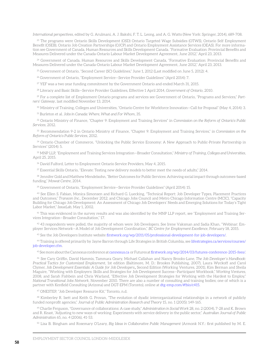*International perspectives*, edited by G. Arulmani, A. J. Bakshi, F. T. L. Leong, and A. G. Watts (New York: Springer, 2014), 689-708.

23 The programs were Ontario Skills Development (OSD) Ontario Targeted Wage Subsidies (OTWS), Ontario Self Employment Benefit (OSEB), Ontario Job Creation Partnerships (OJCP) and Ontario Employment Assistance Services (OEAS). For more information see Government of Canada, Human Resources and Skills Development Canada. "Formative Evaluation: Provincial Benefits and Measures Delivered under the Canada-Ontario Labour Market Development Agreement, June 2012," April 23, 2013.

24 Government of Canada, Human Resources and Skills Development Canada, "Formative Evaluation: Provincial Benefits and Measures Delivered under the Canada-Ontario Labour Market Development Agreement, June 2012," April 23, 2013.

 $^{25}$  Government of Ontario, "Second Career (SC) Guidelines," June 1, 2012 (Last modified on June 5, 2012): 4.

<sup>26</sup> Government of Ontario, "Employment Service-Service Provider Guidelines" (April 2014): 7.

 $27$  YEF was a two year funding commitment by the Government Ontario and ended March 31, 2015.

28 Literacy and Basic Skills—Service Provider Guidelines, Effective 1 April 2014, *Government of Ontario*, 2010.

29 For a complete list of Employment Ontario programs and services see Government of Ontario, "Programs and Services," *Partners' Gateway*, last modified November 13, 2014.

30 Ministry of Training, Colleges and Universities, "Ontario Centre for Workforce Innovation—Call for Proposal" (May 4, 2014): 3.

<sup>31</sup> Burleton et al. *Jobs in Canada: Where, What and For Whom*, 35.

32 Ontario Ministry of Finance, "Chapter 9: Employment and Training Services" in *Commission on the Reform of Ontario's Public Services*, 2012.

<sup>33</sup> Recommendation 9-2 in Ontario Ministry of Finance, "Chapter 9: Employment and Training Services," in *Commission on the Reform of Ontario's Public Services*, 2012.

<sup>34</sup> Ontario Chamber of Commerce, "Unlocking the Public Service Economy: A New Approach to Public-Private Partnership in Services" (2014): 5.

35 MNP LLP, "Employment and Training Services Integration—Broader Consultation," *Ministry of Training, Colleges and Universities*, April 25, 2015.

<sup>36</sup> David Fulford, Letter to Employment Ontario Service Providers, May 4, 2015.

<sup>37</sup> Essential Skills Ontario, "Elevate: Testing new delivery models to better meet the needs of adults," 2014.

<sup>38</sup> Jennifer Gold and Matthew Mendelsohn, "Better Outcomes for Public Services: Achieving social impact through outcomes-based funding," *Mowat Centre*, 2014.

39 Government of Ontario, "Employment Service—Service Provider Guidelines" (April 2014): 15.

40 See Ellen S. Fabian, Monica Simonsen and Richard G. Luecking, "Technical Report: Job Developer Types, Placement Practices and Outcomes," *Transcen Inc.*, December 2012; and Chicago Jobs Council and Metro Chicago Information Centre (MCIC), "Capacity Building for Chicago Job Development: An Assessment of Chicago Job Developers' Needs and Emerging Solutions for Today's Tight Labor Market," *IssueLab*, May 1, 2002.

<sup>41</sup> This was evidenced in the survey results and was also identified by the MNP LLP report, see "Employment and Training Services Integration—Broader Consultation," 17.

 $^{42}$  43 respondents were polled, the majority of whom were Job Developers. See Irene Vaksman and Sadia Khan, "Webinar: Employer Services Network—A Model of Job Development Coordination," *BC Centre for Employment Excellence*, February 18, 2015.

<sup>43</sup> See the Job Developers Institute website [firstwork.org/wp/2011/05/professional-development-for-job-developers/](http://www.firstwork.org/wp/2011/05/professional-development-for-job-developers/).

44 Training is offered primarily by Jayne Barron through Life Strategies in British Columbia, see [lifestrategies.ca/services/courses/](https://lifestrategies.ca/services/courses/job-developer.cfm) [job-developer.cfm.](https://lifestrategies.ca/services/courses/job-developer.cfm)

45 See more about the Cannexus conference at [cannexus.ca](http://cannexus.ca/) or Futures at [firstwork.org/wp/2014/03/futures-conference-2015-fees/](http://www.firstwork.org/wp/2014/03/futures-conference-2015-fees/).

<sup>46</sup> See Cary Griffin, David Hammis, Tammara Geary, Michael Callahan and Nancy Brooks-Lane, *The Job Developer's Handbook: Practical Tactics for Customized Employment*, 1st edition (Baltimore, M. D.: Brookes Publishing, 2007), Laura Wyckoff and Carol Clymer, *Job Development Essentials: A Guide for Job Developers*, Second Edition (Working Ventures, 2001), Kim Berman and Sheila Maguire, "Working with Employers: Skills and Strategies for Job Development Success—Participant Workbook," *Working Ventures*, 2008, and Sarah Fishbein and Chris Warland, "Effective Job Development Strategies for Working with the Hardest to Employ," *National Transitional Jobs Network*, November 2010. There are also a number of consulting and training bodies; one of which is a partner with Kenfield Consulting (Arizona) and DGT-EPM (Toronto), online at dtg-emp.com/#!bio/c415.

47 ONESTEP, "Job Developer Resource Kit," Toronto, n.d.

48 Kimberley R. Isett and Keith G. Provan, "The evolution of dyadic interorganizational relationships in a network of publicly funded nonprofit agencies," *Journal of Public Administration Research and Theory* 15, no. 1 (2005): 149-165.

49 Charlie Ferguson, "Governance of collaborations: A case study," *Administration in Social Work* 28, no. 2 (2004), 7-28 and K. Brown and R. Keast, "Adjusting to new ways of working: Experiments with service delivery in the public sector," *Australian Journal of Public Administration* 65, no. 4 (2006), 41-53.

50 Lisa B. Bingham and Rosemary O'Leary, *Big Ideas in Collaborative Public Management* (Armonk N.Y.: first published by M. E.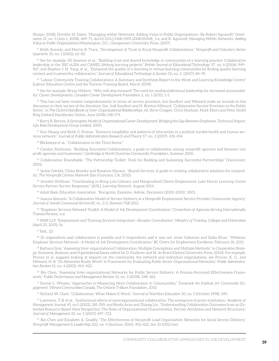Sharpe, 2008); Dorothy M. Daley, "Managing within Networks: Adding Value to Public Organizations—By Robert Agranoff," *Governance* 21, no. 3 (July 1, 2008), 469–71, doi:10.1111/j.1468-0491.2008.00408\_3.x; and R. Agranoff, *Managing Within Networks: Adding Value to Public Organizations* (Washington, D.C.: Georgetown University Press, 2007).

<sup>51</sup> Keith Snavely, and Martin B. Tracy, "Development of Trust in Rural Nonprofit Collaborations," *Nonprofit and Voluntary Sector Quarterly* 31, no. 1 (2002), 62–83.

52 See for example Jill Jameson et al., "Building trust and shared knowledge in communities of e-learning practice: Collaborative leadership in the JISC eLISA and CAMEL lifelong learning projects," *British Journal of Educational Technology* 37, no. 6 (2006), 949– 967, and Stephen J. H. Yang, et al., "Enhanced the quality of e-learning in virtual learning communities by finding quality learning content and trustworthy collaborators," *Journal of Educational Technology & Society* 10, no. 2. (2007), 84–95.

 $^{53}$  "Labour-Community Training Collaborations: A Summary and Synthesis Report to the Work and Learning Knowledge Centre" (Labour Education Centre and the Toronto Training Board, March 2009).

54 See for example, Bryan Hiebert. "Who will step forward? The need for multijurisdictional leadership for increased accountability," *Career Developments, Canadian Career Development Foundation* 2, no. 1 (2011), 1-5.

55 This has not been treated comprehensively in terms of service provision, but Sandfort and Milward make an inroads in this discussion in their survey of the literature. See, Jodi Sandfort and H. Brinton Milward, "Collaborative Service Provision in the Public Sector," in *The Oxford Handbook of Inter-Organizational Relationships*, ed. Steve Cropper, Chris Huxham, Mark Ebers and Peter Smith Ring (Oxford Handbooks Online, June 2008), 148-174.

56 Kerry B. Bernes, *A Synergistic Model of Organizational Career Development: Bridging the Gap Between Employees*, Technical Report, *Life-Role Development Group Limited*, 2000.

 $57$  Kun Huang and Keith G. Provan, "Resource tangibility and patterns of interaction in a publicly funded health and human services network," *Journal of Public Administration Research and Theory* 17, no. 3 (2007), 435-454.

58 Blickstead et al., "Collaboration in the Third Sector."

59 Carolyn Parkinson, "Building Successful Collaborations: a guide to collaboration among nonprofit agencies and between non profit agencies and businesses," *Cambridge & North Dumfries Community Foundation*, Summer 2006.

60 Collaboration Roundtable, "The Partnership Toolkit: Tools for Building and Sustaining Successful Partnerships" (Vancouver, 2001).

<sup>61</sup> Jackie Cefolda, China Brotsky and Roxanne Hanson, "Shared Services: A guide to creating collaborative solutions for nonprofits," *The Nonprofit Centres Network* (San Francisco, CA, 2010).

 $62$  Jennifer Kirkham, "Coordinating to Bring Low-Literacy and Marginalized Clients Employment, Lake Huron Learning Centre Service Partner Survey Responses," *QUILL Learning Network*, August 2014.

<sup>63</sup> Adult Basic Education Association, "Recognize, Examine, Advise, Document (2000-2001)," 2001.

64 Joanna Samuels, "A Collaborative Model of Service Delivery at a Nonprofit Employment Service Provider Community Agency," *Journal of Jewish Communal Service 85, no. 2/3, Summer/Fall 2012.*

<sup>65</sup> "Employer Services Network Toolkit: A Model of Job Development Coordination," *Consortium of Agencies Serving Internationally Trained Persons*, n.d.

66 MNP LLP, "Employment and Training Services Integration—Broader Consultation," *Ministry of Training, Colleges and Universities* (April 25, 2015), 16.

<sup>67</sup> Ibid., 23.

68 35 respondents said collaboration is possible and 0 respondents said it was not. Irene Vaksman and Sadia Khan, "Webinar: Employer Services Network—A Model of Job Development Coordination," *BC Centre for Employment Excellence*, February 18, 2015.

69 Barbara Gray, "Assessing Inter-organizational Collaboration: Multiple Conceptions and Multiple Methods," in *Cooperative Strategy: Economic, Business, and Organizational Issues* edited by D. Faulkner and M. de Rond (Oxford University Press, 2000). For example, Provan et al. suggests looking at impacts on the community, the network and individual organizations, see Provan, K. G., and Milward, H. B. "Do Networks Really Work? A Framework for Evaluating Public Sector Organizational Networks," *Public Administration Review* 61, no. 4 (2001), 414–423.

70 Bin Chen, "Assessing Inter-organizational Networks for Public Service Delivery: A Process-Perceived Effectiveness Framework," *Public Performance and Management Review* 31, no. 3 (2008), 348–363.

71 Denise L. Whaley, "Approaches to Measuring More Collaboration in Communities," *Tamarack-An Institute for Community Engagement, Vibrant Communities Canada, The Ontario Trillium Foundation*, 2010.

<sup>72</sup> Richard W. Clark, "Collaboration: What Makes It Work," *Journal of Nutrition Education* 30, no. 5 (October 1998), 349.

<sup>73</sup> Lawrence, T. B. et al., "Institutional effects of interorganizational collaboration: The emergence of proto-institution," *Academy of Management Journal* 45, no.1 (2002), 281-290; and Bindu Arya and Zhiang Lin, "Understanding Collaboration Outcomes from an Extended Resource-Based View Perspective: The Roles of Organizational Characteristics, Partner Attributes and Network Structures," *Journal of Management* 33. no. 5 (2007), 697–723.

<sup>74</sup> Bin Chen and Elizabeth A. Graddy, "The Effectiveness of Nonprofit Lead-Organization Networks for Social Service Delivery," *Nonprofit Management & Leadership* 220, no. 4 (Summer 2010), 402-422, doi: 10.1002/nml.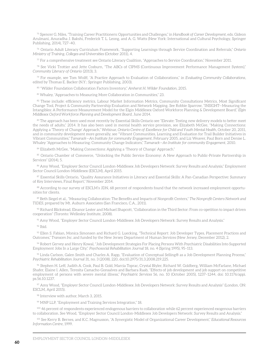<sup>75</sup> Spencer G. Niles, "Training Career Practitioners: Opportunities and Challenges," in *Handbook of Career Development*, eds. Gideon Arulmani, Anuradha J. Bakshi, Frederick T. L. Leong, and A. G. Watts (New York: International and Cultural Psychology, Springer Publishing, 2014), 727–40.

<sup>76</sup> Ontario Adult Literacy Curriculum Framework, "Supporting Learnings through Service Coordination and Referrals," *Ontario Ministry of Training, Colleges and Universities* (October 2011), 4.

 $\frac{77}{7}$  For a comprehensive treatment see Ontario Literacy Coalition, "Approaches to Service Coordination," November 2011.

 $78$  See Vicki Trottier and Jette Cosburn, "The ABCs of CIPMS (Continuous Improvement Performance Management System)," *Community Literacy of Ontario* (2013), 3.

79 For example, see Tom Wolff, "A Practice Approach to Evaluation of Collaborations," in *Evaluating Community Collaborations*, edited by Thomas E. Backer (N.Y.: Springer Publishing, 2003).

80 "Wilder Foundation Collaboration Factors Inventory," *Amherst H. Wilder Foundation*, 2015.

<sup>81</sup> Whaley, "Approaches to Measuring More Collaboration in Communities," 23.

82 These include: efficiency metrics, Labour Market Information Metrics, Community Consultations Metrics, Most Significant Change Tool, Project & Community Partnership Evaluation and Network Mapping. See Robbie Sparrow, "INSIGHT—Measuring the Intangibles: A Performance Measurement Model for the Elgin Middlesex Oxford Workforce Planning & Development Board," *Elgin Middlesex Oxford Workforce Planning and Development Board*, June 2014.

83 The approach has been used most recently by Essential Skills Ontario see "Elevate: Testing new delivery models to better meet the needs of adults," 2014. It has also been used in mental health service provision, see Elizabeth McGee, "Making Connections: Applying a 'Theory of Change' Approach," Webinar, *Ontario Centre of Excellence for Child and Youth Mental Health*, October 20, 2011, and in community development more generally, see "Vibrant Communities, Learning and Evaluation for Trail Builder Initiatives in Vibrant Communities," *Tamarack—An Institute for community Engagement*, February 2005, and Liz Weaver, Paul Born and Denise L. Whaley "Approaches to Measuring: Community Change Indicators," *Tamarack—An Institute for community Engagement*, 2010.

84 Elizabeth McGee, "Making Connections: Applying a 'Theory of Change' Approach."

85 Ontario Chamber of Commerce, "Unlocking the Public Service Economy: A New Approach to Public-Private Partnership in Services" (2014), 5.

86 Amy Wood, "Employer Sector Council London-Middlesex Job Developers Network: Survey Results and Analysis," Employment Sector Council London-Middlesex (ESCLM), April 2015.

87 Essential Skills Ontario, "Quality Assurance Initiatives in Literacy and Essential Skills: A Pan-Canadian Perspective: Summary of Key Interviews, Final Report," November 2014.

88 According to our survey of ESCLM's JDN, 68 percent of respondents found that the network increased employment opportunities for clients.

89 Beth Siegel et al., "Measuring Collaboration: The Benefits and Impacts of Nonprofit Centers," *The Nonprofit Centers Network and TIDES*, prepared by Mt. Auburn Associates (San Francisco, C.A., 2011).

 $90$  Richard Blickstead, Eleanor Lester and Michael Shapcott, "Collaboration in the Third Sector: From co-opetition to impact driven cooperation" (Toronto: Wellesley Institute, 2008).

91 Amy Wood, "Employer Sector Council London-Middlesex Job Developers Network: Survey Results and Analysis."

<sup>92</sup> Ibid.

93 Ellen S. Fabian, Monica Simonsen and Richard G. Luecking, "Technical Report: Job Developer Types, Placement Practices and Outcomes," *Transcen Inc.* and funded by the New Jersey Department of Human Services (New Jersey, December 2012), 2.

<sup>94</sup> Robert Gervey and Henry Kowal, "Job Development Strategies For Placing Persons With Psychiatric Disabilities Into Supported Employment Jobs In a Large City," *Psychosocial Rehabilitation Journal* 18, no. 4 (Spring 1995), 95–113.

95 Linda Carlson, Galen Smith and Charles A. Rapp, "Evaluation of Conceptual Selling® as a Job Development Planning Process," *Psychiatric Rehabilitation Journal* 31, no. 3 (2008), 220, doi:10.2975/31.3.2008.219.225.

<sup>96</sup> Stephen H. Leff, Judith A. Cook, Paul B. Gold, Marcia Toprac, Crystal Blyler, Richard W. Goldberg, William McFarlane, Michael Shafer, Elaine I. Allen, Teresita Camacho-Gonsalves and Barbara Raab, "Effects of job development and job support on competitive employment of persons with severe mental illness," *Psychiatric Services* 56, no. 10 (October 2005), 1237–1244, doi: 10.1176/appi. ps.56.10.1237.

<sup>97</sup> Amy Wood, "Employer Sector Council London-Middlesex Job Developers Network: Survey Results and Analysis" (London, ON: ESCLM, April 2015).

<sup>98</sup> Interview with author, March 3, 2015.

99 MNP LLP, "Employment and Training Services Integration," 18.

100 46 percent of respondents experienced endogenous barriers to collaboration while 62 percent experienced exogenous barriers to collaboration. See Wood, "Employer Sector Council London-Middlesex Job Developers Network: Survey Results and Analysis."

101 See Kerry B. Bernes, and K.C. Magnusson, "A Synergistic Model of Organizational Career Development," *Educational Resources Information Centre*, 1999.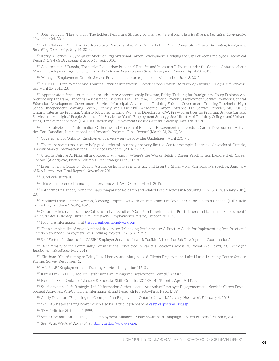102 John Sullivan, "Hire to Hurt: The Boldest Recruiting Strategy of Them All," *ere.et Recruiting Intelligence. Recruiting Community*, November 24, 2014.

103 John Sullivan, "15 Ultra-Bold Recruiting Practices—Are You Falling Behind Your Competitors?" *ere.et Recruiting Intelligence. Recruiting Community*, July 14, 2014.

104 Kerry B. Bernes, "A Synergistic Model of Organizational Career Development: Bridging the Gap Between Employees—Technical Report," *Life-Role Development Group Limited*, 2000.

105 Government of Canada, "Formative Evaluation: Provincial Benefits and Measures Delivered under the Canada-Ontario Labour Market Development Agreement, June 2012," *Human Resources and Skills Development Canada*, April 23, 2013.

106 Manager, Employment Ontario Service Provider, email correspondence with author, June 3, 2015.

107 MNP LLP, "Employment and Training Services Integration—Broader Consultation," *Ministry of Training, Colleges and Universities*, April 25, 2015, 23.

108 Appropriate referral sources 'out' include a/an: Apprenticeship Program, Bridge Training for Immigrants, Co-op Diploma Apprenticeship Program, Credential Assessment, Custom Basic Plan Item, EO Service Provider, Employment Service Provider, General Education Development, Government Services Municipal, Government Training Federal, Government Training Provincial, High School, Independent Learning Centre, Literacy and Basic Skills-Academic Career Entrance, LBS Service Provider, MCI, ODSP, Ontario Internship Program, Ontario Job Bank, Ontario Women's Directorate, OW, Pre-Apprenticeship Program, Service Canada, Services for Aboriginal People, Summer Job Service, or Youth Employment Strategy. See Ministry of Training, Colleges and Universities, "Employment Service (ES)–Data Dictionary," *Employment Ontario Partners' Gateway* (January 2012), 38.

109 Life Strategies Ltd., "Information Gathering and Analysis of Employer Engagement and Needs in Career Development Activities, Pan-Canadian, International, and Research Projects—Final Report" (March 31, 2010), 34.

110 Government of Ontario, "Employment Service—Service Provider Guidelines" (April 2014), 5.

111 There are some resources to help guide referrals but they are very limited. See for example, Learning Networks of Ontario, "Labour Market Information for LBS Service Providers" (2014), 16-17.

112 Cited in Deirdre A. Pickerell and Roberta A. Neault. "Where's the Work? Helping Career Practitioners Explore their Career Options" (Aldergrove, British Columbia: Life Strategies Ltd., 2012).

113 Essential Skills Ontario, "Quality Assurance Initiatives in Literacy and Essential Skills: A Pan-Canadian Perspective: Summary of Key Interviews, Final Report," November 2014.

114 Quod vide supra 10.

115 This was referenced in multiple interviews with WPDB from March 2015.

116 Katherine Englander, "Mind the Gap: Comparator Research and related Best Practices in Recruiting," *ONESTEP* (January 2015), 23.

117 Modified from Dorene Weston, "Scoping Project—Network of Immigrant Employment Councils across Canada" (Full Circle Consulting Inc., June 1, 2012), 10-13.

118 Ontario Ministry of Training, Colleges and Universities, "Goal Path Descriptions for Practitioners and Learners—Employment," in *Ontario Adult Literacy Curriculum Framework* (Employment Ontario, October 2011), 6.

<sup>119</sup> For more information visit [theapprenticeshipnetwork.com](http://www.theapprenticeshipnetwork.com/).

120 For a complete list of organizational drivers see "Managing Performance: A Practice Guide for Implementing Best Practices," *Ontario Network of Employment Skills Training Projects (ONESTEP)*, n.d.

<sup>121</sup> See "Factors for Success" in CASIP, "Employer Services Network Toolkit: A Model of Job Development Coordination."

122 "A Summary of the Community Consultations Conducted in Various Locations across BC—What We Heard," *BC Centre for Employment Excellence*, May 2013.

<sup>123</sup> Kirkham, "Coordinating to Bring Low-Literacy and Marginalized Clients Employment, Lake Huron Learning Centre Service Partner Survey Responses," 5.

124 MNP LLP, "Employment and Training Services Integration," 16-22.

125 Karen Link, "ALLIES Toolkit: Establishing an Immigrant Employment Council," *ALLIES*.

126 Essential Skills Ontario, "Literacy & Essential Skills Ontario, 2013/2014" (Toronto, April 2014), 7.

127 See for example Life Strategies Ltd. "Information Gathering and Analysis of Employer Engagement and Needs in Career Development Activities, Pan-Canadian, International, and Research Projects—Final Report," 39.

128 Cindy Davidson, "Exploring the Concept of an Employment Ontario Network," *Literacy Northwest*, February 4, 2013.

 $129$  See CASIP's job sharing board which also has a public job board at casip.ca/posting list.asp.

130 TEA, "Mission Statement," 1999.

131 Steele Communications Inc., "The Employment Alliance—Public Awareness Campaign Revised Proposal," March 8, 2002.

132 See "Who We Are," *Ability First*, [abilityfirst.ca/who-we-are.](http://www.abilityfirst.ca/who-we-are)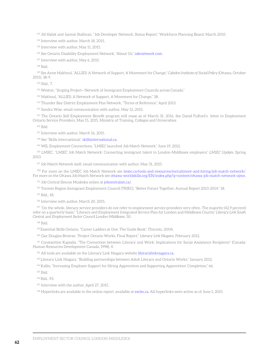133 Jill Halyk and Jaymie Stallman, "Job Developer Network, Status Report," Workforce Planning Board, March 2010.

134 Interview with author, March 18, 2015.

135 Interview with author, May 11, 2015.

136 See Ontario Disability Employment Network, "About Us," odenetwork.com.

137 Interview with author, May 6, 2015.

<sup>138</sup> Ibid.

139 See Anne Makhoul, "ALLIES: A Network of Support, A Movement for Change," *Caledon Institute of Social Policy* (Ottawa, October 2011), 38-9.

<sup>140</sup> Ibid., 7.

141 Weston, "Scoping Project—Network of Immigrant Employment Councils across Canada."

142 Makhoul, "ALLIES: A Network of Support, A Movement for Change," 38.

143 Thunder Bay District Employment Plus Network, "Terms of Reference," April 2013.

144 Sandra Wise, email communication with author, May 12, 2015.

<sup>145</sup> The Ontario Self-Employment Benefit program will cease as of March 31, 2016. See David Fulford's letter to Employment Ontario Service Providers, May 15, 2015, Ministry of Training, Colleges and Universities.

<sup>146</sup> Ibid.

<sup>147</sup> Interview with author, March 16, 2015.

<sup>148</sup> See "Skills International," [skillsinternational.ca.](https://www.skillsinternational.ca/)

149 WIL Employment Connections, "LMIEC launched Job Match Network," June 19, 2012.

150 LMIEC, "LMIEC Job Match Network: Connecting immigrant talent to London-Middlesex employers," *LMIEC Update*, Spring 2013.

151 Job Match Network staff, email communication with author, May 31, 2015.

152 For more on the LMIEC Job Match Network see l[miec.ca/tools-and-resources/recruitment-and-hiring/job-match-network/](http://www.lmiec.ca/tools-and-resources/recruitment-and-hiring/job-match-network/). For more on the Ottawa Job Match Network see [ottawa-worldskills.org/EN/index.php?q=content/ottawa-job-match-network-ojmn](http://www.ottawa-worldskills.org/EN/index.php?q=content/ottawa-job-match-network-ojmn).

153 Job Central Simcoe Muskoka online at [jobcentralsm.ca/](https://www.jobcentralsm.ca/).

154 Toronto Region Immigrant Employment Council (TRIEC), "Better Future Together, Annual Report 2013-2014," 18.

<sup>155</sup> Ibid., 18.

156 Interview with author, March 20, 2015.

157 "On the whole, literacy service providers do not refer to employment service providers very often. The majority (42.9 percent) refer on a quarterly basis." "Literacy and Employment Integrated Service Plan for London and Middlesex County," *Literacy Link South Central* and *Employment Sector Council London-Middlesex*, 50.

<sup>158</sup> Ibid.

159 Essential Skills Ontario, "Career Ladders at One: The Guide Book," (Toronto, 2014).

160 Gay Douglas Broerse, "Project Ontario Works, Final Report," *Literacy Link Niagara*, February 2012.

161 Constantine Kapsalis, "The Connection between Literacy and Work: Implications for Social Assistance Recipients" (Canada: Human Resources Development Canada, 1998), 4.

<sup>162</sup> All tools are available on the Literacy Link Niagara websit[e literacylinkniagara.ca.](http://www.literacylinkniagara.ca/)

163 Literacy Link Niagara, "Building partnerships between Adult Literacy and Ontario Works," January 2012.

164 Kallio, "Increasing Employer Support for Hiring Apprentices and Supporting Apprentices' Completion," 66.

<sup>165</sup> Ibid.

166 Ibid., 93.

<sup>167</sup> Interview with the author, April 27, 2015.

<sup>168</sup> Hyperlinks are available in the online report, available at [esclm.ca.](http://esclm.ca) All hyperlinks were active as of June 1, 2015.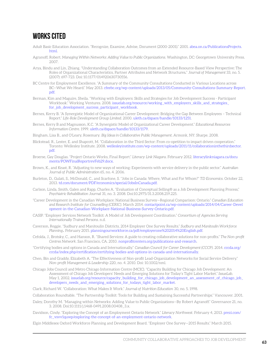## **Works Cited**

- Adult Basic Education Association. "Recognize, Examine, Advise, Document (2000-2001)." 2001[. abea.on.ca/PublicationsProjects.](http://abea.on.ca/PublicationsProjects.html)  [html](http://abea.on.ca/PublicationsProjects.html).
- Agranoff, Robert. *Managing Within Networks: Adding Value to Public Organizations*. Washington, DC: Georgetown University Press. 2007.
- Arya, Bindu and Lin, Zhiang. "Understanding Collaboration Outcomes from an Extended Resource-Based View Perspective: The Roles of Organizational Characteristics, Partner Attributes and Network Structures*.*" *Journal of Management* 33, no. 5. (2007): 697-723. Doi: 10.1177/014920630730556.
- BC Centre for Employment Excellence. "A Summary of the Community Consultations Conducted in Various Locations across BC—What We Heard." May 2013. [cfeebc.org/wp-content/uploads/2013/05/Community-Consultations-Summary-Report.](http://cfeebc.org/wp-content/uploads/2013/05/Community-Consultations-Summary-Report.pdf)  [pdf](http://cfeebc.org/wp-content/uploads/2013/05/Community-Consultations-Summary-Report.pdf).
- Berman, Kim and Maguire, Sheila. "Working with Employers: Skills and Strategies for Job Development Success Participant Workbook." Working Ventures. 2008. [issuelab.org/resource/working\\_with\\_employers\\_skills\\_and\\_strategies\\_](http://issuelab.org/resource/working_with_employers_skills_and_strategies_for_job_development_success_participant_workbook) [for\\_job\\_development\\_success\\_participant\\_workbook](http://issuelab.org/resource/working_with_employers_skills_and_strategies_for_job_development_success_participant_workbook).
- Bernes, Kerry B. "A Synergistic Model of Organizational Career Development: Bridging the Gap Between Employees Technical Report." *Life-Role Development Group Limited*. 2000. [uleth.ca/dspace/handle/10133/1251](http://uleth.ca/dspace/handle/10133/1251).
- Bernes, Kerry B and Magnusson, K.C. "A Synergistic Model of Organizational Career Development." *Educational Resources Information Centre*. 1999. [uleth.ca/dspace/handle/10133/1179](http://uleth.ca/dspace/handle/10133/1179).
- Bingham, Lisa B., and O'Leary, Rosemary. *Big Ideas in Collaborative Public Management*. Armonk, NY: Sharpe. 2008.
- Blickstead, R., Lester, E. and Shapcott, M. "Collaboration in the Third Sector: From co-opetition to impact driven cooperation." Toronto: Wellesley Institute. 2008. [wellesleyinstitute.com/wp-content/uploads/2011/11/collaborationinthethirdsector.](http://wellesleyinstitute.com/wp-content/uploads/2011/11/collaborationinthethirdsector.pdf)  [pdf](http://wellesleyinstitute.com/wp-content/uploads/2011/11/collaborationinthethirdsector.pdf).
- Broerse, Gay Douglas. "Project Ontario Works, Final Report." *Literacy Link Niagara*. February 2012. [literacylinkniagara.ca/docu](http://literacylinkniagara.ca/documents/POWFinalReportrevFeb29.docx)  [ments/POWFinalReportrevFeb29.docx.](http://literacylinkniagara.ca/documents/POWFinalReportrevFeb29.docx)
- Brown, K., and Keast, R. "Adjusting to new ways of working: Experiments with service delivery in the public sector." *Australian Journal of Public Administration* 65, no. 4. 2006.
- Burleton, D., Gulati, S., McDonald, C., and Scarfone, S. "Jobs in Canada: Where, What and For Whom?" *TD Economics*. October 22, 2013. [td.com/document/PDF/economics/special/JobsInCanada.pdf](http://td.com/document/PDF/economics/special/JobsInCanada.pdf).
- Carlson, Linda, Smith, Galen and Rapp, Charles A. "Evaluation of Conceptual Selling® as a Job Development Planning Process," *Psychiatric Rehabilitation Journal* 31, no. 3. 2008. Doi:10.2975/31.3.2008.219.225.
- "Career Development in the Canadian Workplace: National Business Survey—Regional Comparison: Ontario." *Canadian Education and Research Institute for Counselling (CERIC)*. March 2014. [contactpoint.ca/wp-content/uploads/2014/04/Career-Devel](http://contactpoint.ca/wp-content/uploads/2014/04/Career-Development-in-the-Canadian-Workplace-National-Business-Survey-Ontario.pdf)  [opment-in-the-Canadian-Workplace-National-Business-Survey-Ontario.pdf](http://contactpoint.ca/wp-content/uploads/2014/04/Career-Development-in-the-Canadian-Workplace-National-Business-Survey-Ontario.pdf).
- CASIP. "Employer Services Network Toolkit: A Model of Job Development Coordination." *Consortium of Agencies Serving Internationally Trained Persons*. n.d.
- Caverson, Reggie. "Sudbury and Manitoulin Districts, 2014 Employer One Survey Results." *Sudbury and Manitoulin Workforce Planning*. February 2015. [planningourworkforce.ca/pdf/employerone%202014%20English.pdf](http://planningourworkforce.ca/pdf/employerone%202014%20English.pdf).
- Cefolda, J., Brotsky, C., and Hanson, R. "Shared Services: A guide to creating collaborative solutions for non-profits." *The Non-profit Centres Network*. San Francisco, CA. 2010. [nonprofitcenters.org/publications-and-research](http://nonprofitcenters.org/publications-and-research).
- "Certifying bodies and options in Canada and Internationally." *Canadian Council for Career Development (CCCP)*. 2014. [cccda.org/](http://cccda.org/cccda/index.php/certification/certifying-bodies-and-options-in-canada-and-internationally)  [cccda/index.php/certification/certifying-bodies-and-options-in-canada-and-internationally.](http://cccda.org/cccda/index.php/certification/certifying-bodies-and-options-in-canada-and-internationally)
- Chen, Bin and Graddy, Elizabeth A. "The Effectiveness of Non-profit Lead-Organization Networks for Social Service Delivery." *Non-profit Management & Leadership* 220, no. 4. 2010. Doi: 10.1002/nml.
- Chicago Jobs Council and Metro Chicago Information Centre (MCIC). "Capacity Building for Chicago Job Development: An Assessment of Chicago Job Developers' Needs and Emerging Solutions for Today's Tight Labor Market." *IssueLab.*  May 1, 2002. issuelab.org/resource/capacity\_building\_for\_chicago\_job\_development\_an\_assessment\_of\_chicago\_job [developers\\_needs\\_and\\_emerging\\_solutions\\_for\\_todays\\_tight\\_labor\\_market](http://www.issuelab.org/resource/capacity_building_for_chicago_job_development_an_assessment_of_chicago_job_developers_needs_and_emerging_solutions_for_todays_tight_labor_market).
- Clark, Richard W. "Collaboration: What Makes It Work." *Journal of Nutrition Education* 30, no. 5. 1998.
- Collaboration Roundtable. "The Partnership Toolkit: Tools for Building and Sustaining Successful Partnerships." Vancouver. 2001.
- Daley, Dorothy M. "Managing within Networks: Adding Value to Public Organizations—By Robert Agranoff." Governance 21, no. 3. 2008. Doi:10.1111/j.1468-0491.2008.00408\_3.x.
- Davidson, Cindy. "Exploring the Concept of an Employment Ontario Network." *Literacy Northwest*. February 4, 2013. [prezi.com/](http://prezi.com/fc_vsvv1quwp/exploring-the-concept-of-an-employment-ontario-network)  [fc\\_vsvv1quwp/exploring-the-concept-of-an-employment-ontario-network](http://prezi.com/fc_vsvv1quwp/exploring-the-concept-of-an-employment-ontario-network).
- Elgin Middlesex Oxford Workforce Planning and Development Board. "Employer One Survey—2015 Results." March 2015.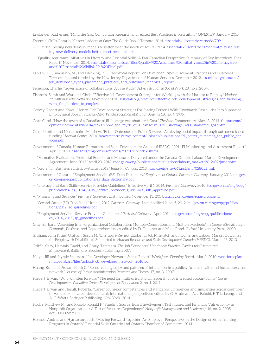Englander, Katherine. "Mind the Gap: Comparator Research and related Best Practices in Recruiting." *ONESTEP*. January 2015. Essential Skills Ontario. "Career Ladders at One: The Guide Book." Toronto. 2014. [essentialskillsontario.ca/node/709.](http://essentialskillsontario.ca/node/709)

- —. "Elevate: Testing new delivery models to better meet the needs of adults." 2014. [essentialskillsontario.ca/content/elevate-test](http://essentialskillsontario.ca/content/elevate-testing-new-delivery-models-better-meet-needs-adults)  [ing-new-delivery-models-better-meet-needs-adults](http://essentialskillsontario.ca/content/elevate-testing-new-delivery-models-better-meet-needs-adults).
- —. "Quality Assurance Initiatives in Literacy and Essential Skills: A Pan-Canadian Perspective: Summary of Key Interviews, Final Report." November 2014. [essentialskillsontario.ca/files/Quality%20Assurance%20Initiatives%20in%20Literacy%20](http://www.essentialskillsontario.ca/files/Quality%20Assurance%20Initiatives%20in%20Literacy%20and%20Essential%20Skills%20-%20Final.pdf)  [and%20Essential%20Skills%20-%20Final.pdf.](http://www.essentialskillsontario.ca/files/Quality%20Assurance%20Initiatives%20in%20Literacy%20and%20Essential%20Skills%20-%20Final.pdf)
- Fabian, E. S., Simonsen, M., and Luecking, R. G. "Technical Report: Job Developer Types, Placement Practices and Outcomes." *Transcen Inc*. and funded by the New Jersey Department of Human Services. December 2012. [issuelab.org/resource/](http://issuelab.org/resource/job_developer_types_placement_practices_and_outcomes_technical_report)  [job\\_developer\\_types\\_placement\\_practices\\_and\\_outcomes\\_technical\\_report.](http://issuelab.org/resource/job_developer_types_placement_practices_and_outcomes_technical_report)
- Ferguson, Charlie. "Governance of collaborations: A case study." *Administration in Social Work* 28, no 2. 2004.
- Fishbein, Sarah and Warland, Chris. "Effective Job Development Strategies for Working with the Hardest to Employ." *National Transitional Jobs Network*. November 2010. [issuelab.org/resource/effective\\_job\\_development\\_strategies\\_for\\_working\\_](http://issuelab.org/resource/effective_job_development_strategies_for_working_with_the_hardest_to_employ)  with the hardest to employ.
- Gervey, Robert and Kowal, Henry. "Job Development Strategies For Placing Persons With Psychiatric Disabilities Into Supported Employment Jobs In a Large City." *Psychosocial Rehabilitation Journal* 18, no. 4. 1995.
- Goar, Carol. "How the myth of a Canadian skill shortage was shattered: Goar." *The Star.* Commentary. May 13, 2014. [thestar.com/](http://www.thestar.com/opinion/commentary/2014/05/13/how_the_myth_of_a_canadian_skill_shortage_was_shattered_goar.html)  opinion/commentary/2014/05/13/how the myth of a canadian skill shortage was shattered goar.html.
- Gold, Jennifer and Mendelsohn, Matthew. "Better Outcomes for Public Services: Achieving social impact through outcomes-based funding." *Mowat Centre*. 2014. [mowatcentre.ca/wp-content/uploads/publications/91\\_better\\_outcomes\\_for\\_public\\_ser](http://mowatcentre.ca/wp-content/uploads/publications/91_better_outcomes_for_public_services.pdf)  [vices.pdf](http://mowatcentre.ca/wp-content/uploads/publications/91_better_outcomes_for_public_services.pdf).
- Government of Canada, Human Resources and Skills Development Canada (HRSDC). "2011 EI Monitoring and Assessment Report." April 6, 2013. [esdc.gc.ca/eng/jobs/ei/reports/mar2011//index.shtml.](http://www.esdc.gc.ca/eng/jobs/ei/reports/mar2011//index.shtml)
- —. "Formative Evaluation: Provincial Benefits and Measures Delivered under the Canada-Ontario Labour Market Development Agreement, June 2012." April 23, 2013. [esdc.gc.ca/eng/publications/evaluations/labour\\_market/2012/02/june.shtml](http://www.esdc.gc.ca/eng/publications/evaluations/labour_market/2012/02/june.shtml).
- —. "Key Small Business Statistics—August 2013." *Industry Canada*. 2013. [ic.gc.ca/eic/site/061.nsf/eng/02805.html.](http://ic.gc.ca/eic/site/061.nsf/eng/02805.html)
- Government of Ontario. "Employment Service (ES)–Data Dictionary." *Employment Ontario Partners' Gateway.* January 2012. [tcu.gov.](http://tcu.gov.on.ca/eng/eopg/publications/es_data_dictionary.pdf)  [on.ca/eng/eopg/publications/es\\_data\\_dictionary.pdf.](http://tcu.gov.on.ca/eng/eopg/publications/es_data_dictionary.pdf)
- —. "Literacy and Basic Skills—Service Provider Guidelines." Effective April 1, 2014. *Partners' Gateway.* 2010. [tcu.gov.on.ca/eng/eopg/](http://tcu.gov.on.ca/eng/eopg/publications/lbs_2014_2015_service_provider_guidelines_sdb_approved.pdf) [publications/lbs\\_2014\\_2015\\_service\\_provider\\_guidelines\\_sdb\\_approved.pdf.](http://tcu.gov.on.ca/eng/eopg/publications/lbs_2014_2015_service_provider_guidelines_sdb_approved.pdf)
- —. "Programs and Services." *Partners' Gateway*. Last modified November 13, 2014. [tcu.gov.on.ca/eng/eopg/programs.](http://tcu.gov.on.ca/eng/eopg/programs)
- —. "Second Career (SC) Guidelines." June 1, 2012. *Partners' Gateway*. Last modified June 5, 2012. [tcu.gov.on.ca/eng/eopg/publica](http://tcu.gov.on.ca/eng/eopg/publications/2012_sc_guidelines.pdf)  [tions/2012\\_sc\\_guidelines.pdf](http://tcu.gov.on.ca/eng/eopg/publications/2012_sc_guidelines.pdf).
- —. "Employment Service—Service Provider Guidelines." *Partners' Gateway*. April 2014. [tcu.gov.on.ca/eng/eopg/publications/](http://tcu.gov.on.ca/eng/eopg/publications/es_2014_2015_sp_guidelines.pdf)  [es\\_2014\\_2015\\_sp\\_guidelines.pdf.](http://tcu.gov.on.ca/eng/eopg/publications/es_2014_2015_sp_guidelines.pdf)
- Gray, Barbara. "Assessing Inter-organizational Collaboration: Multiple Conceptions and Multiple Methods." In *Cooperative Strategy: Economic, Business, and Organizational Issues*, edited by D. Faulkner and M. de Rond. Oxford University Press. 2000.
- Graham, John R. and Graham, Susan M. "Literature Review Exploring Job Mismatch and Income, and Labour Market Outcomes for People with Disabilities." Submitted to *Human Resources and Skills Development Canada (HRSDC)*. March 25, 2013.
- Griffin, Cary, Hammis, David, and Geary, Tammara. *The Job Developers' Handbook: Practical Tactics for Customized Employment*. Baltimore: Brookes Publishing, 2007.
- Halyk, Jill and Jaymie Stallman. "Job Developer Network, Status Report." *Workforce Planning Board*. March 2010. [workforceplan](http://workforceplanningboard.org/files/upload/job_developer_network_2010.pdf)  [ningboard.org/files/upload/job\\_developer\\_network\\_2010.pdf](http://workforceplanningboard.org/files/upload/job_developer_network_2010.pdf).
- Huang, Kun and Provan, Keith G. "Resource tangibility and patterns of interaction in a publicly funded health and human services network." *Journal of Public Administration Research and Theory* 17, no. 3. 2007.
- Hiebert, Bryan. "Who will step forward? The need for multijurisdictional leadership for increased accountability." *Career Developments, Canadian Career Development Foundation* 2, no. 1. 2011.
- Hiebert, Bryan and Neault, Roberta. "Career counselor competencies and standards: Differences and similarities across countries." In Handbook of career development: International perspectives, edited by G. Arulmani, A. J. Bakshi, F. T. L. Leong, and A. G. Watts. Springer Publishing. New York. 2014.
- Hodge, Matthew M., and Piccolo, Ronald F. "Funding Source, Board Involvement Techniques, and Financial Vulnerability in Nonprofit Organizations: A Test of Resource Dependence." *Nonprofit Management and Leadership* 16, no. 2. 2005. doi:10.1002/nml.99.
- Holmes, Andrea and Hjartarson, Josh. "Moving Forward Together: An Employer Perspective on the Design of Skills Training Programs in Ontario." Essential Skills Ontario and Ontario Chamber of Commerce. 2014.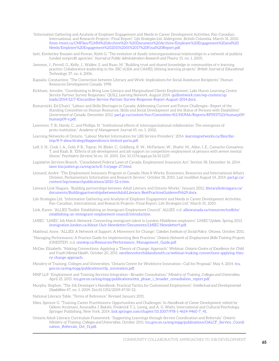- "Information Gathering and Analysis of Employer Engagement and Needs in Career Development Activities, Pan-Canadian, International, and Research Projects—Final Report." *Life Strategies Ltd*. Aldergrove, British Columbia. March 31, 2010. [flmm-fmmt.ca/CMFiles/FLMM%20Archive%20-%20Document%20Archive/Employer%20Engagement%20and%20](http://www.flmm-fmmt.ca/CMFiles/FLMM%20Archive%20-%20Document%20Archive/Employer%20Engagement%20and%20Needs/Employer%20Engagement%202011%2001%2017%20Final%20Report.pdf)  [Needs/Employer%20Engagement%202011%2001%2017%20Final%20Report.pdf](http://www.flmm-fmmt.ca/CMFiles/FLMM%20Archive%20-%20Document%20Archive/Employer%20Engagement%20and%20Needs/Employer%20Engagement%202011%2001%2017%20Final%20Report.pdf).
- Isett, Kimberley Roussin and Provan, Keith G. "The evolution of dyadic interorganizational relationships in a network of publicly funded nonprofit agencies." *Journal of Public Administration Research and Theory* 15, no. 1. 2005.
- Jameson, J., Ferrell, G., Kelly, J., Walker, S. and Ryan, M. "Building trust and shared knowledge in communities of e-learning practice: Collaborative leadership in the JISC eLISA and CAMEL lifelong learning projects." *British Journal of Educational Technology* 37, no. 6. 2006.
- Kapsalis, Constantine. "The Connection between Literacy and Work: Implications for Social Assistance Recipients." Human Resources Development Canada. 1998.
- Kirkham, Jennifer. "Coordinating to Bring Low-Literacy and Marginalized Clients Employment, Lake Huron Learning Centre Service Partner Survey Responses." *QUILL Learning Network*. August 2014. [quillnetwork.com/wp-content/up](http://www.quillnetwork.com/wp-content/uploads/2014/12/7-Kincardine-Service-Partner-Survey-Response-Report-August-2014.docx)  [loads/2014/12/7-Kincardine-Service-Partner-Survey-Response-Report-August-2014.docx.](http://www.quillnetwork.com/wp-content/uploads/2014/12/7-Kincardine-Service-Partner-Survey-Response-Report-August-2014.docx)
- Komarnicki, Ed (Chair). "Labour and Skills Shortages in Canada: Addressing Current and Future Challenges—Report of the Standing Committee on Human Resources, Skills and Social Development and the Status of Persons with Disabilities." *Government of Canada*. December 2012. [parl.gc.ca/content/hoc/Committee/411/HUMA/Reports/RP5937523/humarp09/](http://parl.gc.ca/content/hoc/Committee/411/HUMA/Reports/RP5937523/humarp09/humarp09-e.pdf)  [humarp09-e.pdf.](http://parl.gc.ca/content/hoc/Committee/411/HUMA/Reports/RP5937523/humarp09/humarp09-e.pdf)
- Lawrence, T. B., Hardy, C., and Phillips, N. "Institutional effects of interorganizational collaboration: The emergence of proto-institution." *Academy of Management Journal* 45, no. 1. 2002.
- Learning Networks of Ontario. "Labour Market Information for LBS Service Providers." 2014. [learningnetworks.ca/files/llsc](http://learningnetworks.ca/files/llsc-lmp/8-9-abea/strategy8appendices/a-lmitool-parta.pdf)[lmp/8-9-abea/strategy8appendices/a-lmitool-parta.pdf.](http://learningnetworks.ca/files/llsc-lmp/8-9-abea/strategy8appendices/a-lmitool-parta.pdf)
- Leff, S. H., Cook J. A., Gold, P. B., Toprac, M, Blyler, C., Goldberg, R. W., McFarlane, W., Shafer, M., Allen, I. E., Camacho-Gonsalves, T. and Raab, B. "Effects of job development and job support on competitive employment of persons with severe mental illness." *Psychiatric Services* 56 no. 10. 2005. Doi: 10.1176/appi.ps.56.10.1237.
- Legislative Services Branch. "Consolidated Federal Laws of Canada, Employment Insurance Act." Section 58. December 16, 2014. [laws-lois.justice.gc.ca/eng/acts/E-5.6/page-27.html](http://laws-lois.justice.gc.ca/eng/acts/E-5.6/page-27.html).
- Léonard, André. "The Employment Insurance Program in Canada: How It Works. Economics, Resources and International Affairs Division, Parliamentary Information and Research Service." October 18, 2010. Last modified August 14, 2014. [parl.gc.ca/](http://parl.gc.ca/content/lop/researchpublications/2010-52-e.htm)  [content/lop/researchpublications/2010-52-e.htm.](http://parl.gc.ca/content/lop/researchpublications/2010-52-e.htm)
- Literacy Link Niagara. "Building partnerships between Adult Literacy and Ontario Works." January 2012. [literacylinkniagara.ca/](http://literacylinkniagara.ca/documents/BuildingpartnershipsbetweenAdultLiteracy-BestPracticesGuiderevFeb29.docx)  [documents/BuildingpartnershipsbetweenAdultLiteracy-BestPracticesGuiderevFeb29.docx.](http://literacylinkniagara.ca/documents/BuildingpartnershipsbetweenAdultLiteracy-BestPracticesGuiderevFeb29.docx)
- Life Strategies Ltd. "Information Gathering and Analysis of Employer Engagement and Needs in Career Development Activities, Pan-Canadian, International, and Research Projects—Final Report, Life Strategies Ltd." March 31, 2010.
- Link, Karen. "ALLIES Toolkit: Establishing an Immigrant Employment Council." *ALLIES*. n.d. [alliescanada.ca/resources/toolkits/](http://alliescanada.ca/resources/toolkits/establishing-an-immigrant-employment-council/introduction)  [establishing-an-immigrant-employment-council/introduction.](http://alliescanada.ca/resources/toolkits/establishing-an-immigrant-employment-council/introduction)
- LMIEC. "LMIEC Job Match Network: Connecting immigrant talent to London-Middlesex employers." *LMIEC Update*. Spring 2013. [immigration.london.ca/About-Us/e-Newsletter/Documents/LMIEC-Newsletter9.pdf.](http://immigration.london.ca/About-Us/e-Newsletter/Documents/LMIEC-Newsletter9.pdf)
- Makhoul, Anne. "ALLIES: A Network of Support, A Movement for Change." *Caledon Institute of Social Policy*. Ottawa. October 2011.
- "Managing Performance: A Practice Guide for Implementing Best Practices." *Ontario Network of Employment Skills Training Projects (ONESTEP)*. n.d. [onestep.ca/Resources/Performance\\_Management\\_Guide.pdf.](http://onestep.ca/Resources/Performance_Management_Guide.pdf)
- McGee, Elizabeth. "Making Connections: Applying a 'Theory of Change' Approach." Webinar. *Ontario Centre of Excellence for Child and Youth Mental Health*. October 20, 2011. [excellenceforchildandyouth.ca/webinar/making-connections-applying-theo](http://www.excellenceforchildandyouth.ca/webinar/making-connections-applying-theory-change-approach)  [ry-change-approach](http://www.excellenceforchildandyouth.ca/webinar/making-connections-applying-theory-change-approach).
- Ministry of Training, Colleges and Universities. "Ontario Centre for Workforce Innovation—Call for Proposal." May 4, 2014. [tcu.](http://tcu.gov.on.ca/eng/eopg/publications/cfp_innovation.pdf)  [gov.on.ca/eng/eopg/publications/cfp\\_innovation.pdf](http://tcu.gov.on.ca/eng/eopg/publications/cfp_innovation.pdf).
- MNP LLP. "Employment and Training Services Integration—Broader Consultation." *Ministry of Training, Colleges and Universities*. April 25, 2015. [tcu.gov.on.ca/eng/eopg/publications/etsi\\_phase\\_i\\_broader\\_consultation\\_report.pdf](https://www.tcu.gov.on.ca/eng/eopg/publications/etsi_phase_i_broader_consultation_report.pdf).
- Murphy, Stephen. "The Job Developer's Handbook. Practical Tactics for Customized Employment." *Intellectual and Developmental Disabilities* 47, no. 1. 2009. Doi:10.1352/2009.47:50-52.
- National Literacy Table. "Terms of Reference." Revised January 2011.
- Niles, Spencer G. "Training Career Practitioners: Opportunities and Challenges." In *Handbook of Career Development*, edited by Gideon Arulmani, Anuradha J. Bakshi, Frederick T. L. Leong, and A. G. Watts. International and Cultural Psychology, Springer Publishing, New York. 2014. [link.springer.com/chapter/10.1007/978-1-4614-9460-7\\_41](http://link.springer.com/chapter/10.1007/978-1-4614-9460-7_41).
- Ontario Adult Literacy Curriculum Framework. "Supporting Learnings through Service Coordination and Referrals." *Ontario Ministry of Training, Colleges and Universities*. October 2011. [tcu.gov.on.ca/eng/eopg/publications/OALCF\\_Service\\_Coordi](http://tcu.gov.on.ca/eng/eopg/publications/OALCF_Service_Coordination_Referrals_Oct_11.pdf)  [nation\\_Referrals\\_Oct\\_11.pdf](http://tcu.gov.on.ca/eng/eopg/publications/OALCF_Service_Coordination_Referrals_Oct_11.pdf).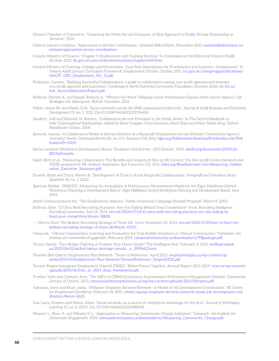- Ontario Chamber of Commerce. "Unlocking the Public Service Economy: A New Approach to Public-Private Partnership in Services<sup>"</sup> 2014
- Ontario Literacy Coalition. "Approaches to Service Coordination." *Essential Skills Ontario*. November 2011. [essentialskillsontario.ca/](http://essentialskillsontario.ca/content/approaches-service-coordination)  [content/approaches-service-coordination](http://essentialskillsontario.ca/content/approaches-service-coordination).
- Ontario Ministry of Finance. "Chapter 9: Employment and Training Services." In *Commission on the Reform of Ontario's Public Services*. 2012. [fin.gov.on.ca/en/reformcommission/chapters/ch9.html](http://www.fin.gov.on.ca/en/reformcommission/chapters/ch9.html).
- Ontario Ministry of Training, Colleges and Universities. "Goal Path Descriptions for Practitioners and Learners—Employment." In *Ontario Adult Literacy Curriculum Framework*. Employment Ontario. October 2011. [tcu.gov.on.ca/eng/eopg/publications/](http://tcu.gov.on.ca/eng/eopg/publications/OALCF_GPD_Employment_Oct_11.pdf)  [OALCF\\_GPD\\_Employment\\_Oct\\_11.pdf](http://tcu.gov.on.ca/eng/eopg/publications/OALCF_GPD_Employment_Oct_11.pdf).
- Parkinson, Carolyn. "Building Successful Collaborations: a guide to collaboration among non-profit agencies and between non-profit agencies and businesses." *Cambridge & North Dumfries Community Foundation*. Summer 2006. [cfc-fcc.ca/](http://cfc-fcc.ca/link_docs/collaborationReport.pdf)  [link\\_docs/collaborationReport.pdf.](http://cfc-fcc.ca/link_docs/collaborationReport.pdf)
- Pickerell, Deirdre A. and Neault, Roberta A. "Where's the Work? Helping Career Practitioners Explore their Career Options." *Life Strategies Ltd*. Aldergrove, British Columbia. 2012.
- Peltier, James W. and Naidu, G.M. "Social networks across the SME organizational lifecycle." *Journal of Small Business and Enterprise Development* 19, no. 1. 2012. Doi:[10.1108/14626001211196406.](http://dx.doi.org/10.1108/14626001211196406)
- Sandfort, Jodi and Milward, H. Brinton. "Collaborative Service Provision in the Public Sector." In *The Oxford Handbook of Inter-Organizational Relationships*, edited by Steve Cropper, Chris Huxham, Mark Ebers and Peter Smith Ring. Oxford Handbooks Online. 2008.
- Samuels, Joanna. "A Collaborative Model of Service Delivery at a Nonprofit Employment Service Provider Community Agency," *Journal of Jewish Communal Service* 85, no. 2/3. Summer/Fall 2012. [bjpa.org/Publications/downloadPublication.cfm?Pub](http://bjpa.org/Publications/downloadPublication.cfm?PublicationID=12119)  [licationID=12119.](http://bjpa.org/Publications/downloadPublication.cfm?PublicationID=12119)
- Sarnia Lambton Workforce Development Board. "Employer One Survey—2015 Results." 2015. [slwdb.org/documents/2015%20](http://slwdb.org/documents/2015%20ER1%20results)  [ER1%20results](http://slwdb.org/documents/2015%20ER1%20results).
- Siegel, Beth et al., "Measuring Collaboration: The Benefits and Impacts of Non-profit Centers." *The Non-profit Centers Network and TIDES*, prepared by Mt. Auburn Associates. San Francisco, CA. 2011. [tides.org/fileadmin/user/ncn/Measuring\\_Collabo](http://tides.org/fileadmin/user/ncn/Measuring_Collaboration_Executive_Summary.pdf)  [ration\\_Executive\\_Summary.pdf](http://tides.org/fileadmin/user/ncn/Measuring_Collaboration_Executive_Summary.pdf).
- Snavely, Keith and Tracy, Martin B. "Development of Trust in Rural Nonprofit Collaborations." *Nonprofit and Voluntary Sector Quarterly* 31, no. 1. 2002.
- Sparrow, Robbie. "INSIGHT—Measuring the Intangibles: A Performance Measurement Model for the Elgin Middlesex Oxford Workforce Planning & Development Board." *Elgin Middlesex Oxford Workforce Planning and Development Board*. June 2014.
- Steele Communications Inc. "The Employment Alliance—Public Awareness Campaign Revised Proposal." March 8, 2002.
- Sullivan, John. "15 Ultra-Bold Recruiting Practices—Are You Falling Behind Your Competitors?" *ere.et. Recruiting Intelligence. Recruiting Community*. July 14, 2014. [ere.net/2014/07/14/15-ultra-bold-recruiting-practices-are-you-falling-be](http://ere.net/2014/07/14/15-ultra-bold-recruiting-practices-are-you-falling-behind-your-competitors/#more-38828)  [hind-your-competitors/#more-38828.](http://ere.net/2014/07/14/15-ultra-bold-recruiting-practices-are-you-falling-behind-your-competitors/#more-38828)
- —. "Hire to Hurt: The Boldest Recruiting Strategy of Them All." *ere.et.* November 24, 2014. [ere.net/2014/11/24/hire-to-hurt-the](http://ere.net/2014/11/24/hire-to-hurt-the-boldest-recruiting-strategy-of-them-all/#more-41310)[boldest-recruiting-strategy-of-them-all/#more-41310.](http://ere.net/2014/11/24/hire-to-hurt-the-boldest-recruiting-strategy-of-them-all/#more-41310)
- Tamarack. "Vibrant Communities: Learning and Evaluation for Trail Builder Initiatives in Vibrant Communities." *Tamarack—An Institute for community Engagement*. February 2005. [tamarackcommunity.ca/downloads/vc/TBpackage.pdf](http://tamarackcommunity.ca/downloads/vc/TBpackage.pdf).
- Tencer, Daniel. "Tory Budget Fighting A Problem That Doesn't Exist?" *The Huffington Post*. February 4, 2013. [huffingtonpost.](http://huffingtonpost.ca/2013/04/02/skilled-labour-shortage-canada-_n_2999662.html)  [ca/2013/04/02/skilled-labour-shortage-canada-\\_n\\_2999662.html.](http://huffingtonpost.ca/2013/04/02/skilled-labour-shortage-canada-_n_2999662.html)
- Thunder Bay District Employment Plus Network. "Terms of Reference." April 2013. [employmentplus.ca/wp-content/up](http://employmentplus.ca/wp-content/uploads/2013/04/Employment-Plus-Network-TermsofReference_11April20131.pdf)  [loads/2013/04/Employment-Plus-Network-TermsofReference\\_11April20131.pdf.](http://employmentplus.ca/wp-content/uploads/2013/04/Employment-Plus-Network-TermsofReference_11April20131.pdf)
- Toronto Region Immigrant Employment Council (TRIEC). "Better Future Together, Annual Report 2013-2014." [triec.ca/wp-content/](http://triec.ca/wp-content/uploads/2015/06/triec_ar_2014_final_4weblowres.pdf) [uploads/2015/06/triec\\_ar\\_2014\\_final\\_4weblowres.pdf](http://triec.ca/wp-content/uploads/2015/06/triec_ar_2014_final_4weblowres.pdf).
- Trottier, Vicki and Cosburn, Jette. "The ABCs of CIPMS (Continuous Improvement Performance Management System)." *Community Literacy of Ontario*. 2013. [communityliteracyofontario.ca/wp/wp-content/uploads/2013/08/cipms.pdf](http://www.communityliteracyofontario.ca/wp/wp-content/uploads/2013/08/cipms.pdf).
- Vaksman, Irene and Khan, Sadia. "Webinar: Employer Services Network—A Model of Job Development Coordination." *BC Centre for Employment Excellence*. February 18, 2015. [cfeebc.org/say-employer-services-network-model-job-development-coor](http://cfeebc.org/say-employer-services-network-model-job-development-coordination/#more-2620)  [dination/#more-2620.](http://cfeebc.org/say-employer-services-network-model-job-development-coordination/#more-2620)
- Van Laere, Kristien and Heene, Aimé. "Social networks as a source of competitive advantage for the firm." *Journal of Workplace Learning* 15, no. 6. 2003. Doi: [10.1108/13665620310488548.](http://dx.doi.org/10.1108/13665620310488548)
- Weaver, L., Born, P., and Whaley D. L. "Approaches to Measuring: Community Change Indicators." *Tamarack—An Institute for Community Engagement*. 2010. [tamarackcommunity.ca/downloads/vc/Measuring\\_Community\\_Change.pdf](http://tamarackcommunity.ca/downloads/vc/Measuring_Community_Change.pdf).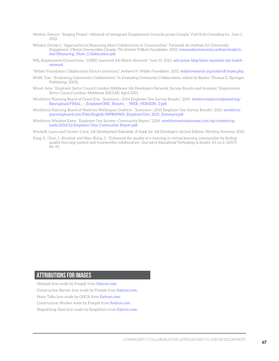- Weston, Dorene. "Scoping Project—Network of Immigrant Employment Councils across Canada." *Full Circle Consulting Inc.* June 1, 2012.
- Whaley, Denise L. "Approaches to Measuring More Collaboration in Communities," *Tamarack-An Institute for Community Engagement, Vibrant Communities Canada, The Ontario Trillium Foundation*, 2010. [tamarackcommunity.ca/downloads/in](http://tamarackcommunity.ca/downloads/index/Measuring_More_Collaboration.pdf)  [dex/Measuring\\_More\\_Collaboration.pdf](http://tamarackcommunity.ca/downloads/index/Measuring_More_Collaboration.pdf).
- WIL Employment Connections. "LMIEC launched Job Match Network." June 19, 2012. [wil.ca/our-blog/lmiec-launches-job-match](http://wil.ca/our-blog/lmiec-launches-job-match-network)[network.](http://wil.ca/our-blog/lmiec-launches-job-match-network)
- "Wilder Foundation Collaboration Factors Inventory." *Amherst H. Wilder Foundation*. 2015. [wilderresearch.org/tools/cfi/index.php](http://wilderresearch.org/tools/cfi/index.php).
- Wolff, Tom. "Evaluating Community Collaborative." In *Evaluating Community Collaborations*, edited by Backer, Thomas E. (Springer Publishing: 2003).
- Wood, Amy. "Employer Sector Council London-Middlesex Job Developers Network: Survey Results and Analysis." Employment Sector Council London-Middlesex (ESCLM). April 2015.
- Workforce Planning Board of Grand Erie. "Summary—2014 Employer One Survey Results." 2014. [workforceplanningboard.org/](http://workforceplanningboard.org/files/upload/FINAL_-_EmployerONE_Results_-_WEB_VERSION_0.pdf)  files/upload/FINAL - EmployerONE\_Results - WEB\_VERSION\_0.pdf.
- Workforce Planning Board of Waterloo Wellington Dufferin. "Summary—2015 Employer One Survey Results." 2015. [workforce](http://workforceplanningboard.com/Files/English/WPBWWD_EmployerOne_2015_Summary.pdf)  [planningboard.com/Files/English/WPBWWD\\_EmployerOne\\_2015\\_Summary.pdf](http://workforceplanningboard.com/Files/English/WPBWWD_EmployerOne_2015_Summary.pdf).
- Workforce Windsor Essex. "Employer One Survey—Community Report." 2014. [workforcewindsoressex.com/wp-content/up](http://workforcewindsoressex.com/wp-content/uploads/2014/12/Employer-One-Community-Report.pdf)  [loads/2014/12/Employer-One-Community-Report.pdf](http://workforcewindsoressex.com/wp-content/uploads/2014/12/Employer-One-Community-Report.pdf).
- Wyckoff, Laura and Clymer, Carol. *Job Development Essentials: A Guide for Job Developers.* Second Edition. *Working Ventures*, 2001.
- Yang, S., Chen, I., Kinshuk and Nian-Shing, C. "Enhanced the quality of e-learning in virtual learning communities by finding quality learning content and trustworthy collaborators." *Journal of Educational Technology & Society* 10, no 2. (2007): 84–95.

## **ATTRIBUTIONS FOR images**

Notepad Icon made by [Freepik](http://www.flaticon.com/authors/freepik) from [flaticon.com.](http://www.flaticon.com) Construction Barrier Icon made by Freepik from [flaticon.com.](http://www.flaticon.com) Peace Talks Icon made by [OHCA](http://www.flaticon.com/authors/ocha) from [flaticon.com.](http://www.flaticon.com ) Construction Worker made by Freepik from [flaticon.com.](http://www.flaticon.com) Magnifying Glass Icon made by [SimpleIcon](http://www.flaticon.com/authors/simpleicon) from [flaticon.com](http://www.flaticon.com).